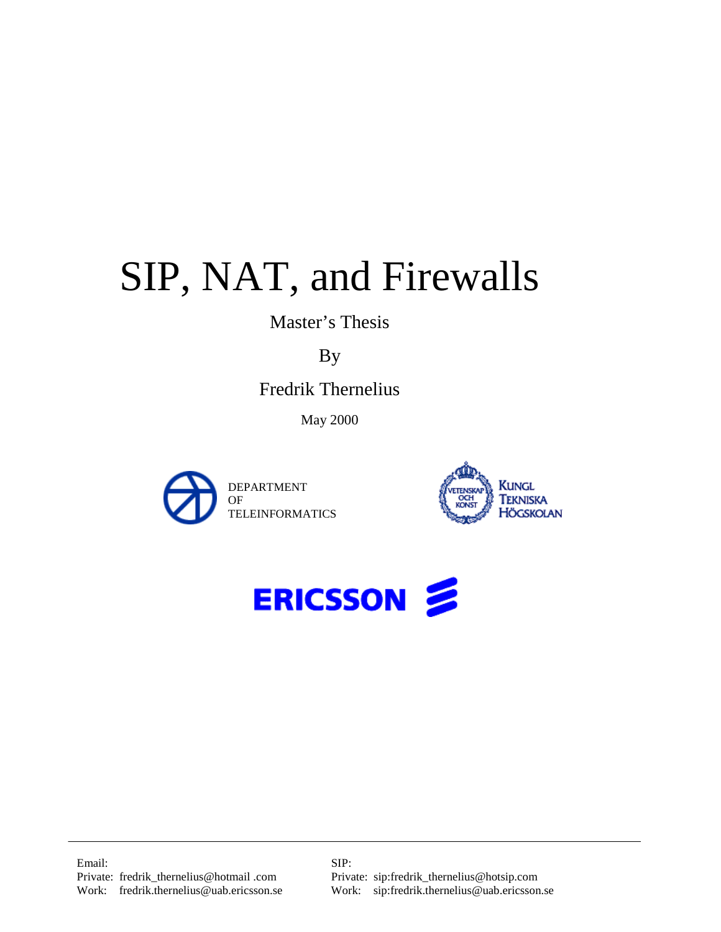# SIP, NAT, and Firewalls

Master's Thesis

By

Fredrik Thernelius

May 2000







Email: SIP:

Private: fredrik\_incriterius of 60than tom<br>Work: sip:fredrik.thernelius@uab.ericsson.se Work: sip:fredrik.thernelius@uab.ericsson.se Private: fredrik\_thernelius@hotmail .com Private: sip:fredrik\_thernelius@hotsip.com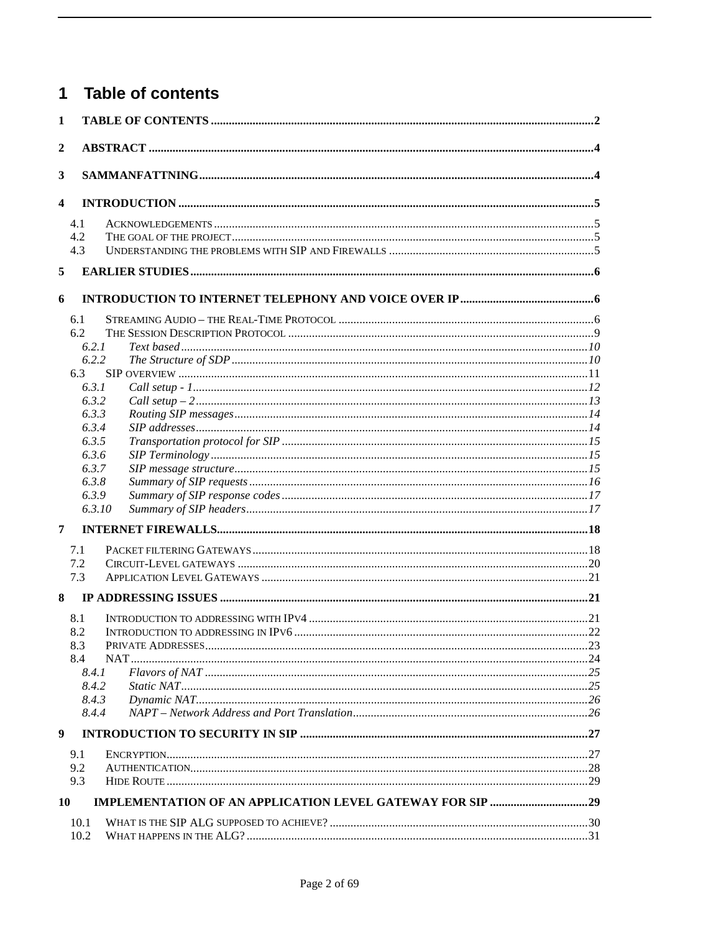#### **Table of contents**  $\overline{1}$

| $\mathbf{1}$            |                |  |
|-------------------------|----------------|--|
| $\boldsymbol{2}$        |                |  |
| 3                       |                |  |
| $\overline{\mathbf{4}}$ |                |  |
|                         | 4.1            |  |
|                         | 4.2            |  |
|                         | 4.3            |  |
| 5                       |                |  |
| 6                       |                |  |
|                         | 6.1            |  |
|                         | 6.2            |  |
|                         | 6.2.1          |  |
|                         | 6.2.2          |  |
|                         | 6.3<br>6.3.1   |  |
|                         | 6.3.2          |  |
|                         | 6.3.3          |  |
|                         | 6.3.4          |  |
|                         | 6.3.5          |  |
|                         | 6.3.6          |  |
|                         | 6.3.7          |  |
|                         | 6.3.8          |  |
|                         | 6.3.9          |  |
| 7                       | 6.3.10         |  |
|                         |                |  |
|                         | 7.1            |  |
|                         | 7.2            |  |
| 8                       | 7.3            |  |
|                         | 8.1            |  |
|                         | 8.2            |  |
|                         | 8.3            |  |
|                         | 8.4<br>NAT.    |  |
|                         | 8.4.1          |  |
|                         | 8.4.2          |  |
|                         | 8.4.3<br>8.4.4 |  |
| $\boldsymbol{9}$        |                |  |
|                         | 9.1            |  |
|                         | 9.2            |  |
|                         | 9.3            |  |
| 10                      |                |  |
|                         | 10.1           |  |
|                         | 10.2           |  |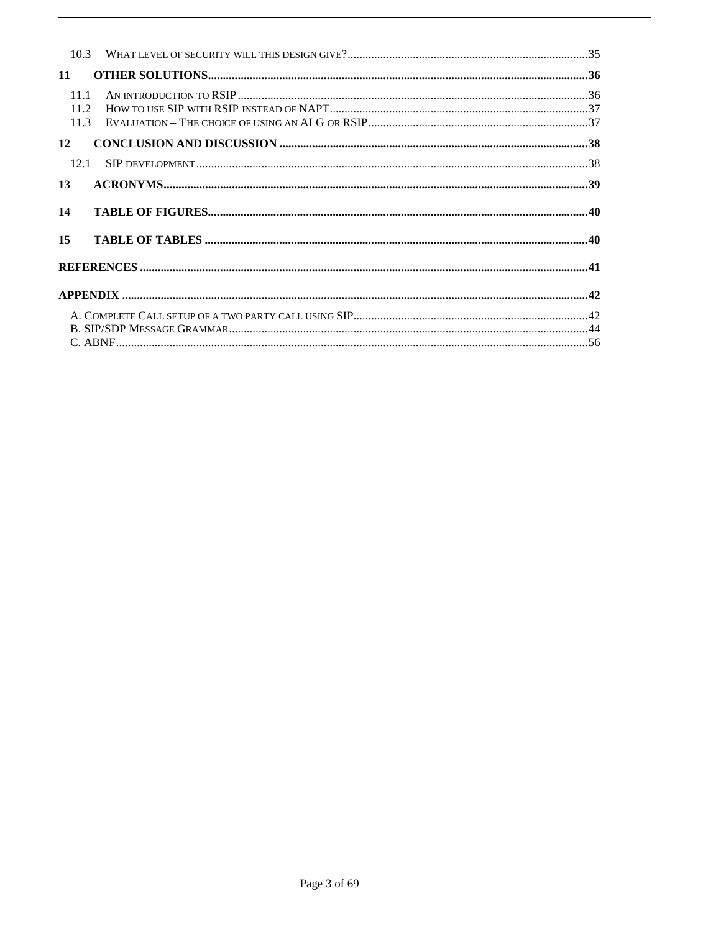| 11                   |  |
|----------------------|--|
| 11.1<br>11.2<br>11.3 |  |
| 12                   |  |
| 12.1                 |  |
| 13                   |  |
| 14                   |  |
| 15                   |  |
|                      |  |
|                      |  |
|                      |  |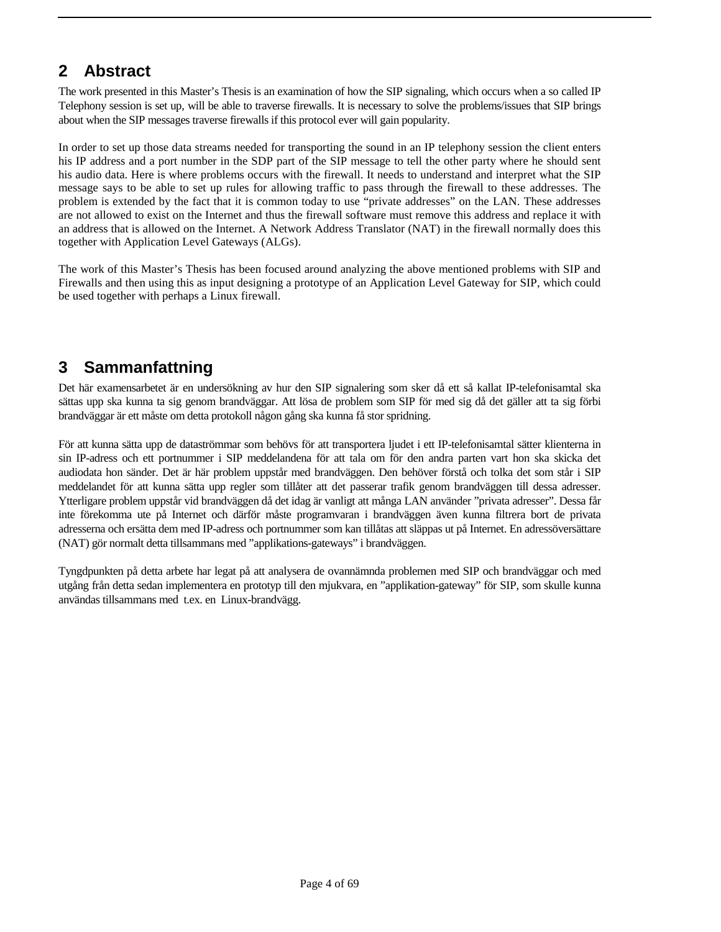# **2 Abstract**

The work presented in this Master's Thesis is an examination of how the SIP signaling, which occurs when a so called IP Telephony session is set up, will be able to traverse firewalls. It is necessary to solve the problems/issues that SIP brings about when the SIP messages traverse firewalls if this protocol ever will gain popularity.

In order to set up those data streams needed for transporting the sound in an IP telephony session the client enters his IP address and a port number in the SDP part of the SIP message to tell the other party where he should sent his audio data. Here is where problems occurs with the firewall. It needs to understand and interpret what the SIP message says to be able to set up rules for allowing traffic to pass through the firewall to these addresses. The problem is extended by the fact that it is common today to use "private addresses" on the LAN. These addresses are not allowed to exist on the Internet and thus the firewall software must remove this address and replace it with an address that is allowed on the Internet. A Network Address Translator (NAT) in the firewall normally does this together with Application Level Gateways (ALGs).

The work of this Master's Thesis has been focused around analyzing the above mentioned problems with SIP and Firewalls and then using this as input designing a prototype of an Application Level Gateway for SIP, which could be used together with perhaps a Linux firewall.

# **3 Sammanfattning**

Det här examensarbetet är en undersökning av hur den SIP signalering som sker då ett så kallat IP-telefonisamtal ska sättas upp ska kunna ta sig genom brandväggar. Att lösa de problem som SIP för med sig då det gäller att ta sig förbi brandväggar är ett måste om detta protokoll någon gång ska kunna få stor spridning.

För att kunna sätta upp de dataströmmar som behövs för att transportera ljudet i ett IP-telefonisamtal sätter klienterna in sin IP-adress och ett portnummer i SIP meddelandena för att tala om för den andra parten vart hon ska skicka det audiodata hon sänder. Det är här problem uppstår med brandväggen. Den behöver förstå och tolka det som står i SIP meddelandet för att kunna sätta upp regler som tillåter att det passerar trafik genom brandväggen till dessa adresser. Ytterligare problem uppstår vid brandväggen då det idag är vanligt att många LAN använder "privata adresser". Dessa får inte förekomma ute på Internet och därför måste programvaran i brandväggen även kunna filtrera bort de privata adresserna och ersätta dem med IP-adress och portnummer som kan tillåtas att släppas ut på Internet. En adressöversättare (NAT) gör normalt detta tillsammans med "applikations-gateways" i brandväggen.

Tyngdpunkten på detta arbete har legat på att analysera de ovannämnda problemen med SIP och brandväggar och med utgång från detta sedan implementera en prototyp till den mjukvara, en "applikation-gateway" för SIP, som skulle kunna användas tillsammans med t.ex. en Linux-brandvägg.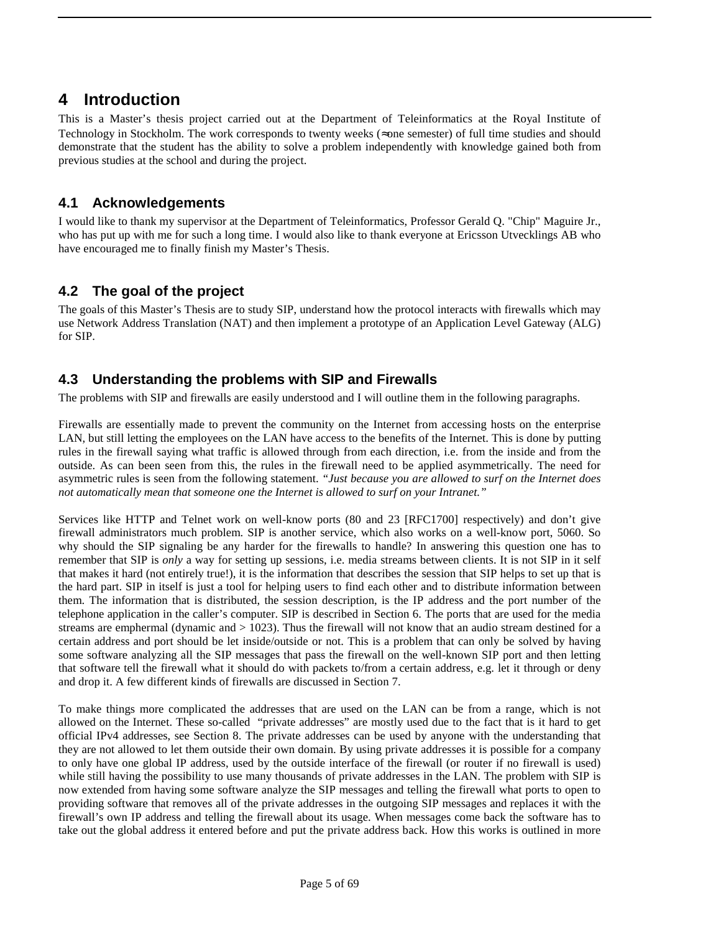### **4 Introduction**

This is a Master's thesis project carried out at the Department of Teleinformatics at the Royal Institute of Technology in Stockholm. The work corresponds to twenty weeks (≈one semester) of full time studies and should demonstrate that the student has the ability to solve a problem independently with knowledge gained both from previous studies at the school and during the project.

### **4.1 Acknowledgements**

I would like to thank my supervisor at the Department of Teleinformatics, Professor Gerald Q. "Chip" Maguire Jr., who has put up with me for such a long time. I would also like to thank everyone at Ericsson Utvecklings AB who have encouraged me to finally finish my Master's Thesis.

### **4.2 The goal of the project**

The goals of this Master's Thesis are to study SIP, understand how the protocol interacts with firewalls which may use Network Address Translation (NAT) and then implement a prototype of an Application Level Gateway (ALG) for SIP.

### **4.3 Understanding the problems with SIP and Firewalls**

The problems with SIP and firewalls are easily understood and I will outline them in the following paragraphs.

Firewalls are essentially made to prevent the community on the Internet from accessing hosts on the enterprise LAN, but still letting the employees on the LAN have access to the benefits of the Internet. This is done by putting rules in the firewall saying what traffic is allowed through from each direction, i.e. from the inside and from the outside. As can been seen from this, the rules in the firewall need to be applied asymmetrically. The need for asymmetric rules is seen from the following statement. *"Just because you are allowed to surf on the Internet does not automatically mean that someone one the Internet is allowed to surf on your Intranet."*

Services like HTTP and Telnet work on well-know ports (80 and 23 [RFC1700] respectively) and don't give firewall administrators much problem. SIP is another service, which also works on a well-know port, 5060. So why should the SIP signaling be any harder for the firewalls to handle? In answering this question one has to remember that SIP is *only* a way for setting up sessions, i.e. media streams between clients. It is not SIP in it self that makes it hard (not entirely true!), it is the information that describes the session that SIP helps to set up that is the hard part. SIP in itself is just a tool for helping users to find each other and to distribute information between them. The information that is distributed, the session description, is the IP address and the port number of the telephone application in the caller's computer. SIP is described in Section 6. The ports that are used for the media streams are emphermal (dynamic and > 1023). Thus the firewall will not know that an audio stream destined for a certain address and port should be let inside/outside or not. This is a problem that can only be solved by having some software analyzing all the SIP messages that pass the firewall on the well-known SIP port and then letting that software tell the firewall what it should do with packets to/from a certain address, e.g. let it through or deny and drop it. A few different kinds of firewalls are discussed in Section 7.

To make things more complicated the addresses that are used on the LAN can be from a range, which is not allowed on the Internet. These so-called "private addresses" are mostly used due to the fact that is it hard to get official IPv4 addresses, see Section 8. The private addresses can be used by anyone with the understanding that they are not allowed to let them outside their own domain. By using private addresses it is possible for a company to only have one global IP address, used by the outside interface of the firewall (or router if no firewall is used) while still having the possibility to use many thousands of private addresses in the LAN. The problem with SIP is now extended from having some software analyze the SIP messages and telling the firewall what ports to open to providing software that removes all of the private addresses in the outgoing SIP messages and replaces it with the firewall's own IP address and telling the firewall about its usage. When messages come back the software has to take out the global address it entered before and put the private address back. How this works is outlined in more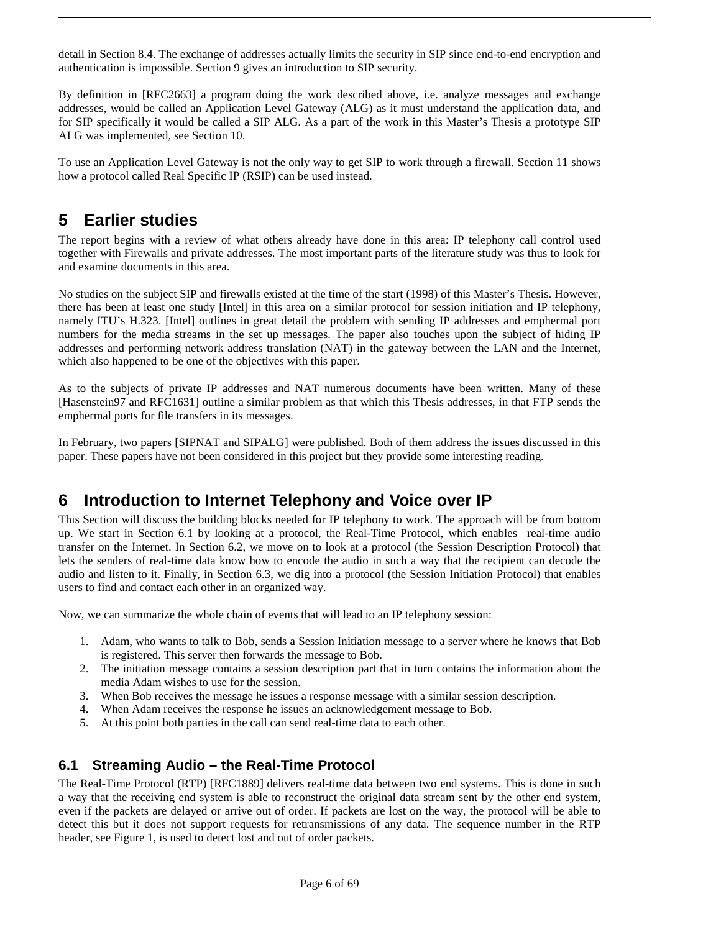detail in Section 8.4. The exchange of addresses actually limits the security in SIP since end-to-end encryption and authentication is impossible. Section 9 gives an introduction to SIP security.

By definition in [RFC2663] a program doing the work described above, i.e. analyze messages and exchange addresses, would be called an Application Level Gateway (ALG) as it must understand the application data, and for SIP specifically it would be called a SIP ALG. As a part of the work in this Master's Thesis a prototype SIP ALG was implemented, see Section 10.

To use an Application Level Gateway is not the only way to get SIP to work through a firewall. Section 11 shows how a protocol called Real Specific IP (RSIP) can be used instead.

## **5 Earlier studies**

The report begins with a review of what others already have done in this area: IP telephony call control used together with Firewalls and private addresses. The most important parts of the literature study was thus to look for and examine documents in this area.

No studies on the subject SIP and firewalls existed at the time of the start (1998) of this Master's Thesis. However, there has been at least one study [Intel] in this area on a similar protocol for session initiation and IP telephony, namely ITU's H.323. [Intel] outlines in great detail the problem with sending IP addresses and emphermal port numbers for the media streams in the set up messages. The paper also touches upon the subject of hiding IP addresses and performing network address translation (NAT) in the gateway between the LAN and the Internet, which also happened to be one of the objectives with this paper.

As to the subjects of private IP addresses and NAT numerous documents have been written. Many of these [Hasenstein97 and RFC1631] outline a similar problem as that which this Thesis addresses, in that FTP sends the emphermal ports for file transfers in its messages.

In February, two papers [SIPNAT and SIPALG] were published. Both of them address the issues discussed in this paper. These papers have not been considered in this project but they provide some interesting reading.

# **6 Introduction to Internet Telephony and Voice over IP**

This Section will discuss the building blocks needed for IP telephony to work. The approach will be from bottom up. We start in Section 6.1 by looking at a protocol, the Real-Time Protocol, which enables real-time audio transfer on the Internet. In Section 6.2, we move on to look at a protocol (the Session Description Protocol) that lets the senders of real-time data know how to encode the audio in such a way that the recipient can decode the audio and listen to it. Finally, in Section 6.3, we dig into a protocol (the Session Initiation Protocol) that enables users to find and contact each other in an organized way.

Now, we can summarize the whole chain of events that will lead to an IP telephony session:

- 1. Adam, who wants to talk to Bob, sends a Session Initiation message to a server where he knows that Bob is registered. This server then forwards the message to Bob.
- 2. The initiation message contains a session description part that in turn contains the information about the media Adam wishes to use for the session.
- 3. When Bob receives the message he issues a response message with a similar session description.
- 4. When Adam receives the response he issues an acknowledgement message to Bob.
- 5. At this point both parties in the call can send real-time data to each other.

### **6.1 Streaming Audio – the Real-Time Protocol**

The Real-Time Protocol (RTP) [RFC1889] delivers real-time data between two end systems. This is done in such a way that the receiving end system is able to reconstruct the original data stream sent by the other end system, even if the packets are delayed or arrive out of order. If packets are lost on the way, the protocol will be able to detect this but it does not support requests for retransmissions of any data. The sequence number in the RTP header, see Figure 1, is used to detect lost and out of order packets.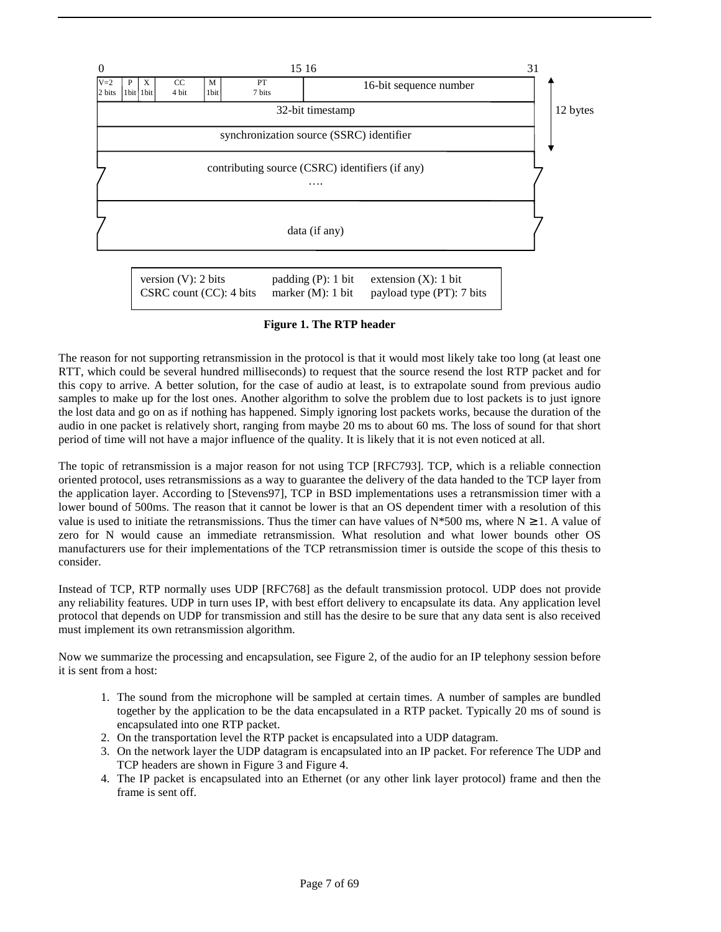

**Figure 1. The RTP header**

The reason for not supporting retransmission in the protocol is that it would most likely take too long (at least one RTT, which could be several hundred milliseconds) to request that the source resend the lost RTP packet and for this copy to arrive. A better solution, for the case of audio at least, is to extrapolate sound from previous audio samples to make up for the lost ones. Another algorithm to solve the problem due to lost packets is to just ignore the lost data and go on as if nothing has happened. Simply ignoring lost packets works, because the duration of the audio in one packet is relatively short, ranging from maybe 20 ms to about 60 ms. The loss of sound for that short period of time will not have a major influence of the quality. It is likely that it is not even noticed at all.

The topic of retransmission is a major reason for not using TCP [RFC793]. TCP, which is a reliable connection oriented protocol, uses retransmissions as a way to guarantee the delivery of the data handed to the TCP layer from the application layer. According to [Stevens97], TCP in BSD implementations uses a retransmission timer with a lower bound of 500ms. The reason that it cannot be lower is that an OS dependent timer with a resolution of this value is used to initiate the retransmissions. Thus the timer can have values of N\*500 ms, where N  $\geq 1$ . A value of zero for N would cause an immediate retransmission. What resolution and what lower bounds other OS manufacturers use for their implementations of the TCP retransmission timer is outside the scope of this thesis to consider.

Instead of TCP, RTP normally uses UDP [RFC768] as the default transmission protocol. UDP does not provide any reliability features. UDP in turn uses IP, with best effort delivery to encapsulate its data. Any application level protocol that depends on UDP for transmission and still has the desire to be sure that any data sent is also received must implement its own retransmission algorithm.

Now we summarize the processing and encapsulation, see Figure 2, of the audio for an IP telephony session before it is sent from a host:

- 1. The sound from the microphone will be sampled at certain times. A number of samples are bundled together by the application to be the data encapsulated in a RTP packet. Typically 20 ms of sound is encapsulated into one RTP packet.
- 2. On the transportation level the RTP packet is encapsulated into a UDP datagram.
- 3. On the network layer the UDP datagram is encapsulated into an IP packet. For reference The UDP and TCP headers are shown in Figure 3 and Figure 4.
- 4. The IP packet is encapsulated into an Ethernet (or any other link layer protocol) frame and then the frame is sent off.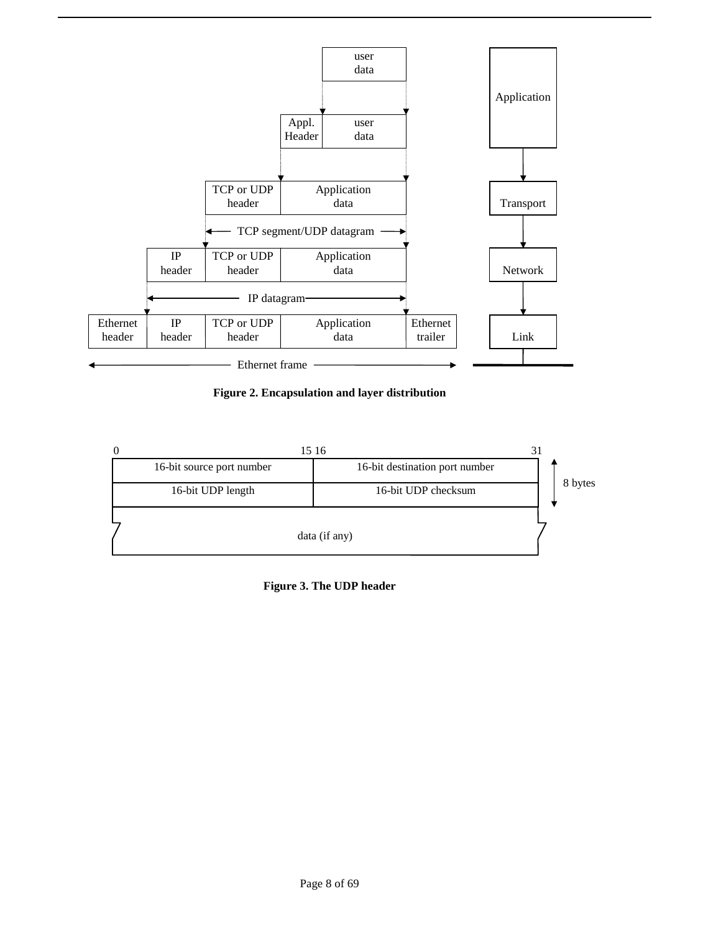

**Figure 2. Encapsulation and layer distribution**



**Figure 3. The UDP header**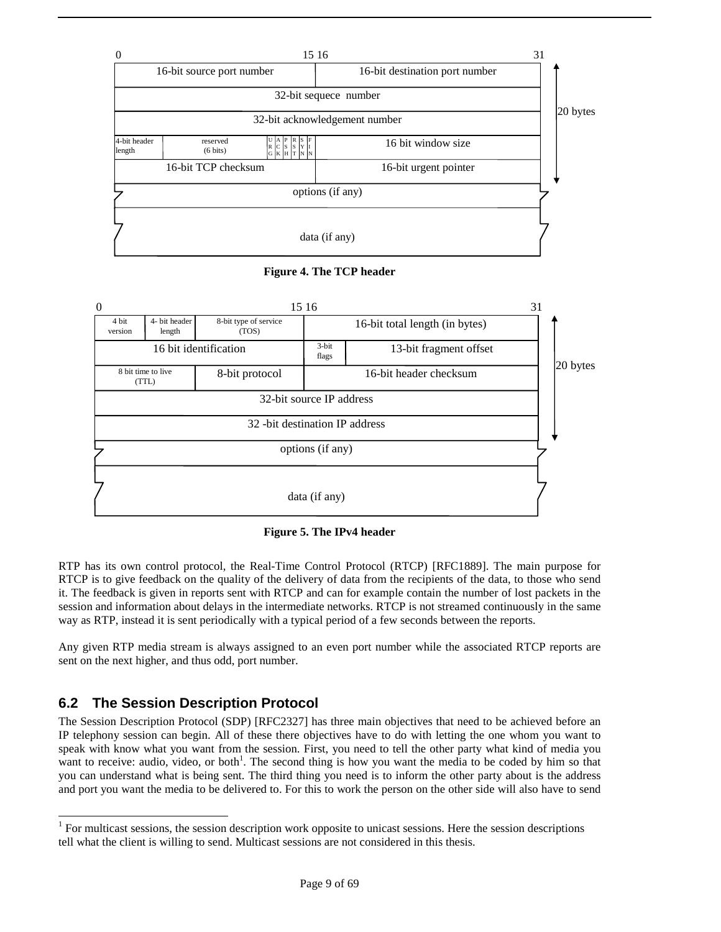





**Figure 5. The IPv4 header**

RTP has its own control protocol, the Real-Time Control Protocol (RTCP) [RFC1889]. The main purpose for RTCP is to give feedback on the quality of the delivery of data from the recipients of the data, to those who send it. The feedback is given in reports sent with RTCP and can for example contain the number of lost packets in the session and information about delays in the intermediate networks. RTCP is not streamed continuously in the same way as RTP, instead it is sent periodically with a typical period of a few seconds between the reports.

Any given RTP media stream is always assigned to an even port number while the associated RTCP reports are sent on the next higher, and thus odd, port number.

### **6.2 The Session Description Protocol**

1

The Session Description Protocol (SDP) [RFC2327] has three main objectives that need to be achieved before an IP telephony session can begin. All of these there objectives have to do with letting the one whom you want to speak with know what you want from the session. First, you need to tell the other party what kind of media you want to receive: audio, video, or both<sup>1</sup>. The second thing is how you want the media to be coded by him so that you can understand what is being sent. The third thing you need is to inform the other party about is the address and port you want the media to be delivered to. For this to work the person on the other side will also have to send

 $1$  For multicast sessions, the session description work opposite to unicast sessions. Here the session descriptions tell what the client is willing to send. Multicast sessions are not considered in this thesis.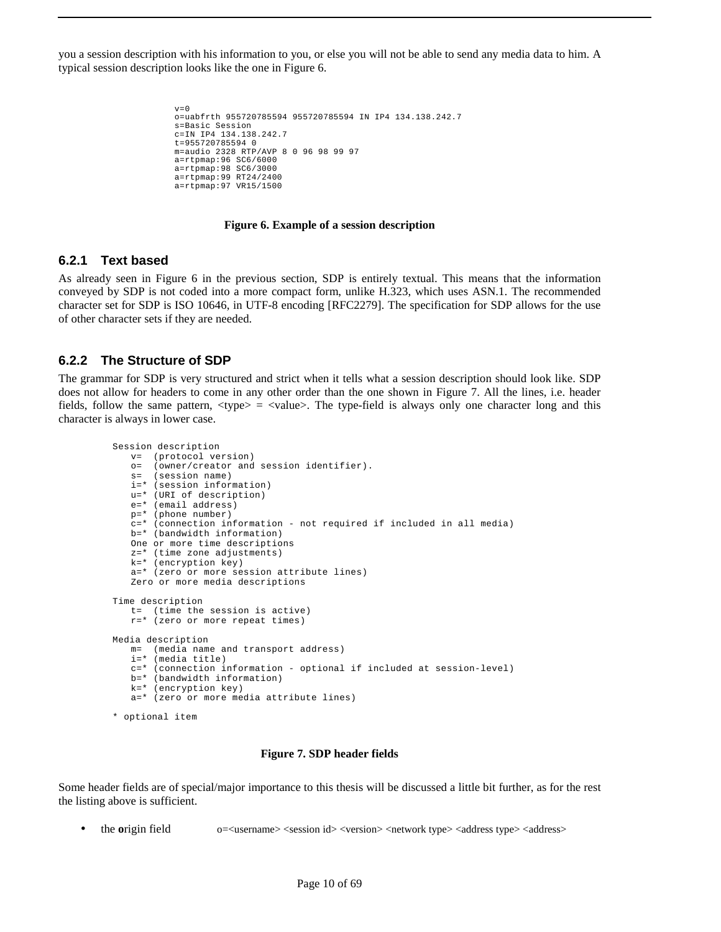you a session description with his information to you, or else you will not be able to send any media data to him. A typical session description looks like the one in Figure 6.

```
v=0o=uabfrth 955720785594 955720785594 IN IP4 134.138.242.7 
s=Basic Session 
c=IN IP4 134.138.242.7 
t=955720785594 0 
m=audio 2328 RTP/AVP 8 0 96 98 99 97 
a=rtpmap:96 SC6/6000 
a=rtpmap:98 SC6/3000 
a=rtpmap:99 RT24/2400 
a=rtpmap:97 VR15/1500
```
#### **Figure 6. Example of a session description**

### **6.2.1 Text based**

As already seen in Figure 6 in the previous section, SDP is entirely textual. This means that the information conveyed by SDP is not coded into a more compact form, unlike H.323, which uses ASN.1. The recommended character set for SDP is ISO 10646, in UTF-8 encoding [RFC2279]. The specification for SDP allows for the use of other character sets if they are needed.

#### **6.2.2 The Structure of SDP**

The grammar for SDP is very structured and strict when it tells what a session description should look like. SDP does not allow for headers to come in any other order than the one shown in Figure 7. All the lines, i.e. header fields, follow the same pattern,  $\langle type \rangle$  =  $\langle value \rangle$ . The type-field is always only one character long and this character is always in lower case.

```
Session description 
   v= (protocol version)<br>
o= (owner/creator and
       (owner/creator and session identifier).
    s= (session name) 
    i=* (session information) 
    u=* (URI of description) 
    e=* (email address) 
    p=* (phone number) 
    c=* (connection information - not required if included in all media) 
    b=* (bandwidth information) 
    One or more time descriptions 
    z=* (time zone adjustments) 
    k=* (encryption key) 
    a=* (zero or more session attribute lines) 
    Zero or more media descriptions 
Time description 
 t= (time the session is active) 
 r=* (zero or more repeat times) 
Media description 
    m= (media name and transport address) 
    i=* (media title) 
    c=* (connection information - optional if included at session-level) 
    b=* (bandwidth information) 
    k=* (encryption key) 
    a=* (zero or more media attribute lines) 
* optional item
```
#### **Figure 7. SDP header fields**

Some header fields are of special/major importance to this thesis will be discussed a little bit further, as for the rest the listing above is sufficient.

• the origin field  $o$ =<username> <session id> <version> <network type> <address type> <address>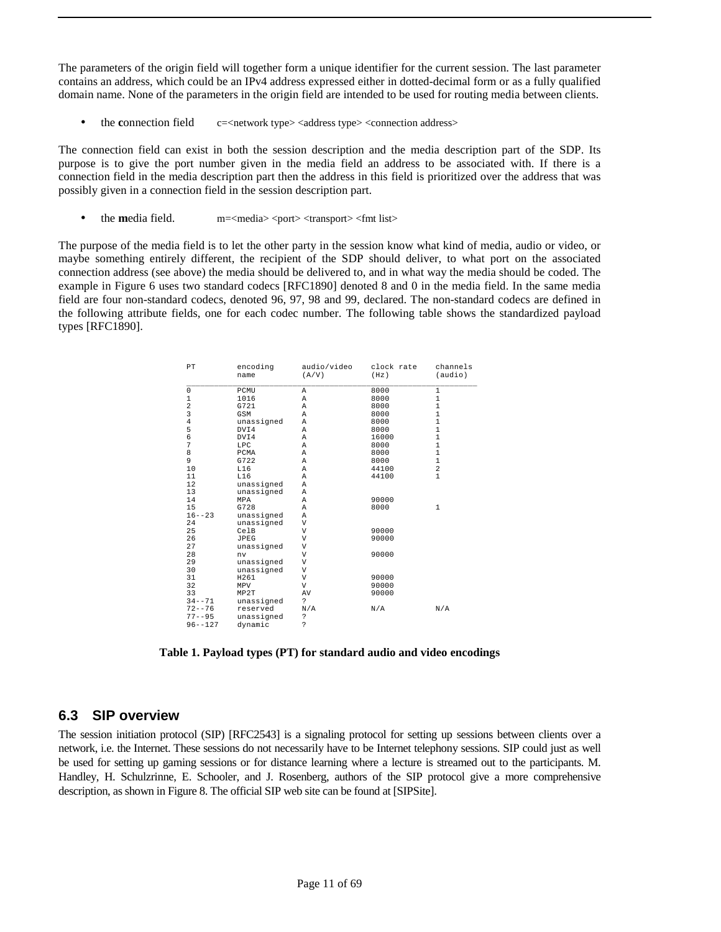The parameters of the origin field will together form a unique identifier for the current session. The last parameter contains an address, which could be an IPv4 address expressed either in dotted-decimal form or as a fully qualified domain name. None of the parameters in the origin field are intended to be used for routing media between clients.

the **c**onnection field c=<network type><address type><connection address>

The connection field can exist in both the session description and the media description part of the SDP. Its purpose is to give the port number given in the media field an address to be associated with. If there is a connection field in the media description part then the address in this field is prioritized over the address that was possibly given in a connection field in the session description part.

the **m**edia field. m=<media> <port> <transport> <fmt list>

The purpose of the media field is to let the other party in the session know what kind of media, audio or video, or maybe something entirely different, the recipient of the SDP should deliver, to what port on the associated connection address (see above) the media should be delivered to, and in what way the media should be coded. The example in Figure 6 uses two standard codecs [RFC1890] denoted 8 and 0 in the media field. In the same media field are four non-standard codecs, denoted 96, 97, 98 and 99, declared. The non-standard codecs are defined in the following attribute fields, one for each codec number. The following table shows the standardized payload types [RFC1890].

| $\rm PT$                                   | encoding<br>name | audio/video<br>(A/V) | clock rate<br>(Hz) | channels<br>(audio) |
|--------------------------------------------|------------------|----------------------|--------------------|---------------------|
| $\mathsf 0$                                | PCMU             | Α                    | 8000               | $\mathbf 1$         |
| 1                                          | 1016             | A                    | 8000               | $\mathbf 1$         |
|                                            | G721             | A                    | 8000               | $\mathbf 1$         |
| $\begin{array}{c} 2 \\ 3 \\ 4 \end{array}$ | GSM              | A                    | 8000               | $\mathbf 1$         |
|                                            | unassigned       | A                    | 8000               | $\mathbf{1}$        |
| 5                                          | DVI4             | A                    | 8000               | $\mathbf 1$         |
| 6                                          | DVI4             | Α                    | 16000              | $\mathbf 1$         |
| 7                                          | LPC              | Α                    | 8000               | $\mathbf 1$         |
| 8                                          | PCMA             | Α                    | 8000               | $\mathbf 1$         |
| 9                                          | G722             | Α                    | 8000               | 1                   |
| 10                                         | L16              | A                    | 44100              | $\overline{a}$      |
| 11                                         | L16              | A                    | 44100              | $\mathbf{1}$        |
| 12                                         | unassigned       | A                    |                    |                     |
| 13                                         | unassigned       | A                    |                    |                     |
| 14                                         | MPA              | Α                    | 90000              |                     |
| 15                                         | G728             | A                    | 8000               | $\mathbf{1}$        |
| $16 - - 23$                                | unassigned       | A                    |                    |                     |
| 24                                         | unassigned       | V                    |                    |                     |
| 25                                         | CelB             | V                    | 90000              |                     |
| 26                                         | JPEG             | V                    | 90000              |                     |
| 27                                         | unassigned       | V                    |                    |                     |
| 28                                         | nv               | V                    | 90000              |                     |
| 29                                         | unassigned       | V                    |                    |                     |
| 30                                         | unassigned       | V                    |                    |                     |
| 31                                         | H261             | V                    | 90000              |                     |
| 32                                         | MPV              | V                    | 90000              |                     |
| 33                                         | MP2T             | AV                   | 90000              |                     |
| $34 - -71$                                 | unassigned       | <sup>2</sup>         |                    |                     |
| $72 - - 76$                                | reserved         | N/A                  | N/A                | N/A                 |
| $77 - - 95$                                | unassigned       | S.                   |                    |                     |
| $96 - 127$                                 | dynamic          | þ                    |                    |                     |

**Table 1. Payload types (PT) for standard audio and video encodings**

### **6.3 SIP overview**

The session initiation protocol (SIP) [RFC2543] is a signaling protocol for setting up sessions between clients over a network, i.e. the Internet. These sessions do not necessarily have to be Internet telephony sessions. SIP could just as well be used for setting up gaming sessions or for distance learning where a lecture is streamed out to the participants. M. Handley, H. Schulzrinne, E. Schooler, and J. Rosenberg, authors of the SIP protocol give a more comprehensive description, as shown in Figure 8. The official SIP web site can be found at [SIPSite].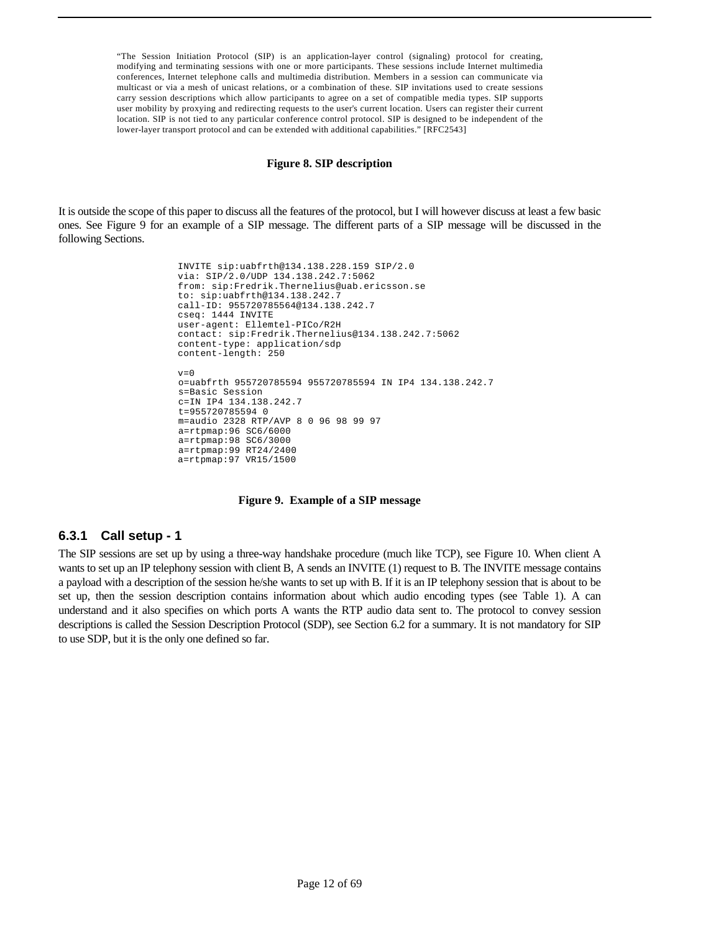"The Session Initiation Protocol (SIP) is an application-layer control (signaling) protocol for creating, modifying and terminating sessions with one or more participants. These sessions include Internet multimedia conferences, Internet telephone calls and multimedia distribution. Members in a session can communicate via multicast or via a mesh of unicast relations, or a combination of these. SIP invitations used to create sessions carry session descriptions which allow participants to agree on a set of compatible media types. SIP supports user mobility by proxying and redirecting requests to the user's current location. Users can register their current location. SIP is not tied to any particular conference control protocol. SIP is designed to be independent of the lower-layer transport protocol and can be extended with additional capabilities." [RFC2543]

#### **Figure 8. SIP description**

It is outside the scope of this paper to discuss all the features of the protocol, but I will however discuss at least a few basic ones. See Figure 9 for an example of a SIP message. The different parts of a SIP message will be discussed in the following Sections.

```
 INVITE sip:uabfrth@134.138.228.159 SIP/2.0 
 via: SIP/2.0/UDP 134.138.242.7:5062 
 from: sip:Fredrik.Thernelius@uab.ericsson.se 
 to: sip:uabfrth@134.138.242.7 
 call-ID: 955720785564@134.138.242.7 
 cseq: 1444 INVITE 
 user-agent: Ellemtel-PICo/R2H 
 contact: sip:Fredrik.Thernelius@134.138.242.7:5062 
 content-type: application/sdp 
 content-length: 250 
v=0o=uabfrth 955720785594 955720785594 IN IP4 134.138.242.7 
s=Basic Session 
c=IN IP4 134.138.242.7 
t=955720785594 0 
m=audio 2328 RTP/AVP 8 0 96 98 99 97 
a=rtpmap:96 SC6/6000 
a=rtpmap:98 SC6/3000 
a=rtpmap:99 RT24/2400 
 a=rtpmap:97 VR15/1500
```
#### **Figure 9. Example of a SIP message**

#### **6.3.1 Call setup - 1**

The SIP sessions are set up by using a three-way handshake procedure (much like TCP), see Figure 10. When client A wants to set up an IP telephony session with client B, A sends an INVITE (1) request to B. The INVITE message contains a payload with a description of the session he/she wants to set up with B. If it is an IP telephony session that is about to be set up, then the session description contains information about which audio encoding types (see Table 1). A can understand and it also specifies on which ports A wants the RTP audio data sent to. The protocol to convey session descriptions is called the Session Description Protocol (SDP), see Section 6.2 for a summary. It is not mandatory for SIP to use SDP, but it is the only one defined so far.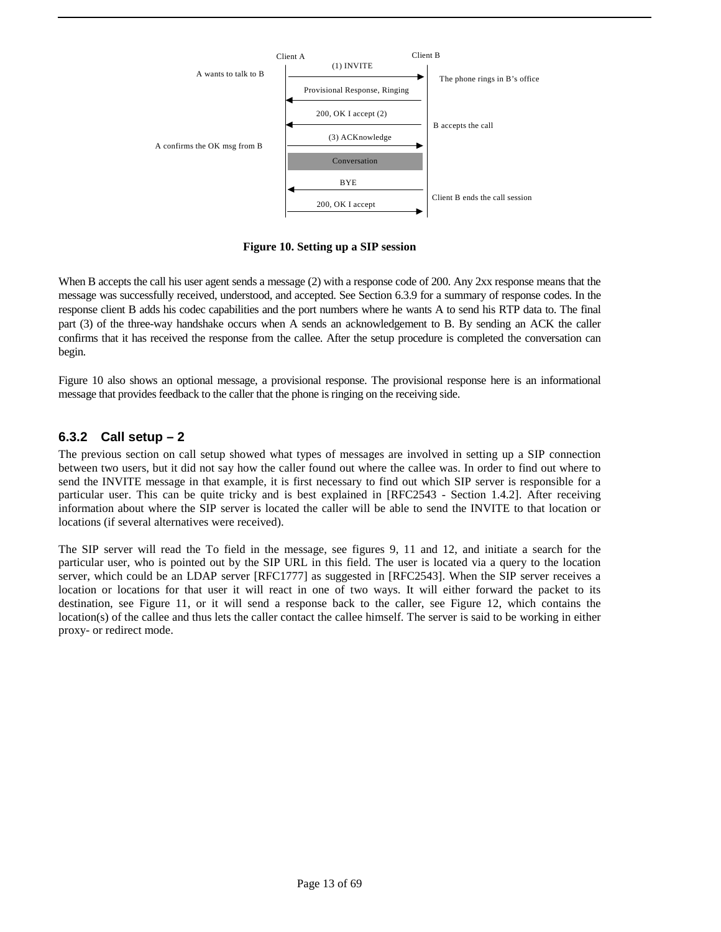

**Figure 10. Setting up a SIP session**

When B accepts the call his user agent sends a message (2) with a response code of 200. Any 2xx response means that the message was successfully received, understood, and accepted. See Section 6.3.9 for a summary of response codes. In the response client B adds his codec capabilities and the port numbers where he wants A to send his RTP data to. The final part (3) of the three-way handshake occurs when A sends an acknowledgement to B. By sending an ACK the caller confirms that it has received the response from the callee. After the setup procedure is completed the conversation can begin.

Figure 10 also shows an optional message, a provisional response. The provisional response here is an informational message that provides feedback to the caller that the phone is ringing on the receiving side.

### **6.3.2 Call setup – 2**

The previous section on call setup showed what types of messages are involved in setting up a SIP connection between two users, but it did not say how the caller found out where the callee was. In order to find out where to send the INVITE message in that example, it is first necessary to find out which SIP server is responsible for a particular user. This can be quite tricky and is best explained in [RFC2543 - Section 1.4.2]. After receiving information about where the SIP server is located the caller will be able to send the INVITE to that location or locations (if several alternatives were received).

The SIP server will read the To field in the message, see figures 9, 11 and 12, and initiate a search for the particular user, who is pointed out by the SIP URL in this field. The user is located via a query to the location server, which could be an LDAP server [RFC1777] as suggested in [RFC2543]. When the SIP server receives a location or locations for that user it will react in one of two ways. It will either forward the packet to its destination, see Figure 11, or it will send a response back to the caller, see Figure 12, which contains the location(s) of the callee and thus lets the caller contact the callee himself. The server is said to be working in either proxy- or redirect mode.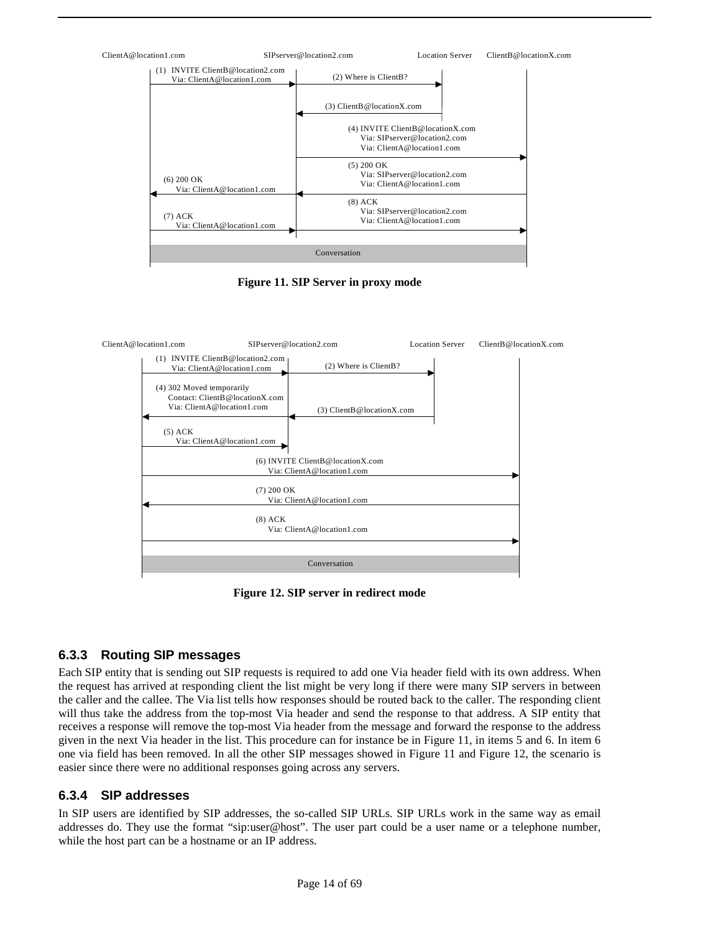

**Figure 11. SIP Server in proxy mode**



**Figure 12. SIP server in redirect mode**

### **6.3.3 Routing SIP messages**

Each SIP entity that is sending out SIP requests is required to add one Via header field with its own address. When the request has arrived at responding client the list might be very long if there were many SIP servers in between the caller and the callee. The Via list tells how responses should be routed back to the caller. The responding client will thus take the address from the top-most Via header and send the response to that address. A SIP entity that receives a response will remove the top-most Via header from the message and forward the response to the address given in the next Via header in the list. This procedure can for instance be in Figure 11, in items 5 and 6. In item 6 one via field has been removed. In all the other SIP messages showed in Figure 11 and Figure 12, the scenario is easier since there were no additional responses going across any servers.

### **6.3.4 SIP addresses**

In SIP users are identified by SIP addresses, the so-called SIP URLs. SIP URLs work in the same way as email addresses do. They use the format "sip:user@host". The user part could be a user name or a telephone number, while the host part can be a hostname or an IP address.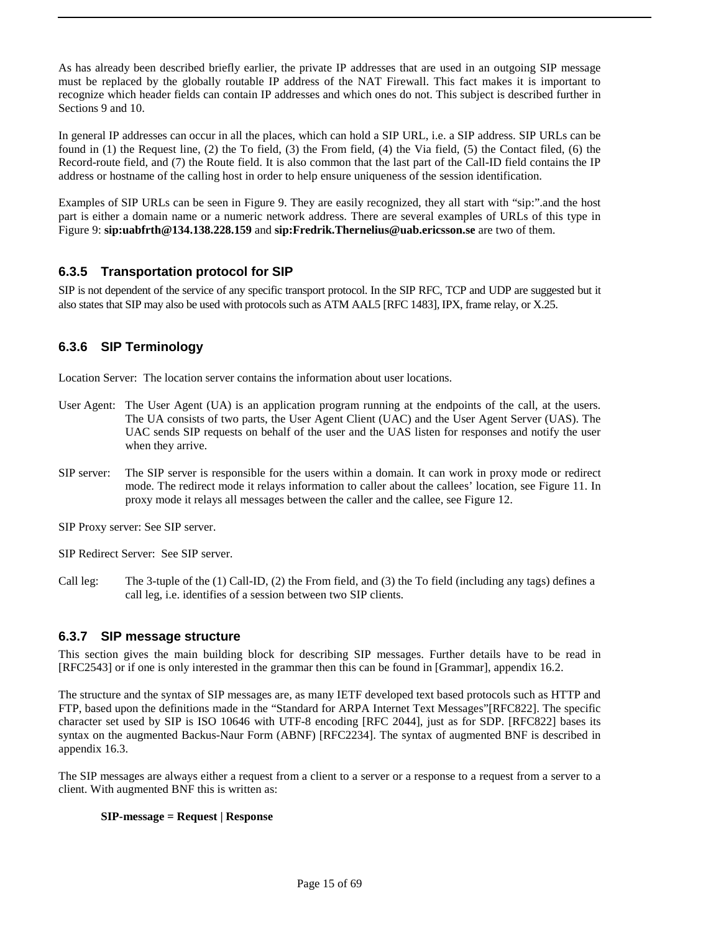As has already been described briefly earlier, the private IP addresses that are used in an outgoing SIP message must be replaced by the globally routable IP address of the NAT Firewall. This fact makes it is important to recognize which header fields can contain IP addresses and which ones do not. This subject is described further in Sections 9 and 10.

In general IP addresses can occur in all the places, which can hold a SIP URL, i.e. a SIP address. SIP URLs can be found in (1) the Request line, (2) the To field, (3) the From field, (4) the Via field, (5) the Contact filed, (6) the Record-route field, and (7) the Route field. It is also common that the last part of the Call-ID field contains the IP address or hostname of the calling host in order to help ensure uniqueness of the session identification.

Examples of SIP URLs can be seen in Figure 9. They are easily recognized, they all start with "sip:".and the host part is either a domain name or a numeric network address. There are several examples of URLs of this type in Figure 9: **sip:uabfrth@134.138.228.159** and **sip:Fredrik.Thernelius@uab.ericsson.se** are two of them.

### **6.3.5 Transportation protocol for SIP**

SIP is not dependent of the service of any specific transport protocol. In the SIP RFC, TCP and UDP are suggested but it also states that SIP may also be used with protocols such as ATM AAL5 [RFC 1483], IPX, frame relay, or X.25.

### **6.3.6 SIP Terminology**

Location Server: The location server contains the information about user locations.

- User Agent: The User Agent (UA) is an application program running at the endpoints of the call, at the users. The UA consists of two parts, the User Agent Client (UAC) and the User Agent Server (UAS). The UAC sends SIP requests on behalf of the user and the UAS listen for responses and notify the user when they arrive.
- SIP server: The SIP server is responsible for the users within a domain. It can work in proxy mode or redirect mode. The redirect mode it relays information to caller about the callees' location, see Figure 11. In proxy mode it relays all messages between the caller and the callee, see Figure 12.

SIP Proxy server: See SIP server.

SIP Redirect Server: See SIP server.

Call leg: The 3-tuple of the (1) Call-ID, (2) the From field, and (3) the To field (including any tags) defines a call leg, i.e. identifies of a session between two SIP clients.

### **6.3.7 SIP message structure**

This section gives the main building block for describing SIP messages. Further details have to be read in [RFC2543] or if one is only interested in the grammar then this can be found in [Grammar], appendix 16.2.

The structure and the syntax of SIP messages are, as many IETF developed text based protocols such as HTTP and FTP, based upon the definitions made in the "Standard for ARPA Internet Text Messages"[RFC822]. The specific character set used by SIP is ISO 10646 with UTF-8 encoding [RFC 2044], just as for SDP. [RFC822] bases its syntax on the augmented Backus-Naur Form (ABNF) [RFC2234]. The syntax of augmented BNF is described in appendix 16.3.

The SIP messages are always either a request from a client to a server or a response to a request from a server to a client. With augmented BNF this is written as:

#### **SIP-message = Request | Response**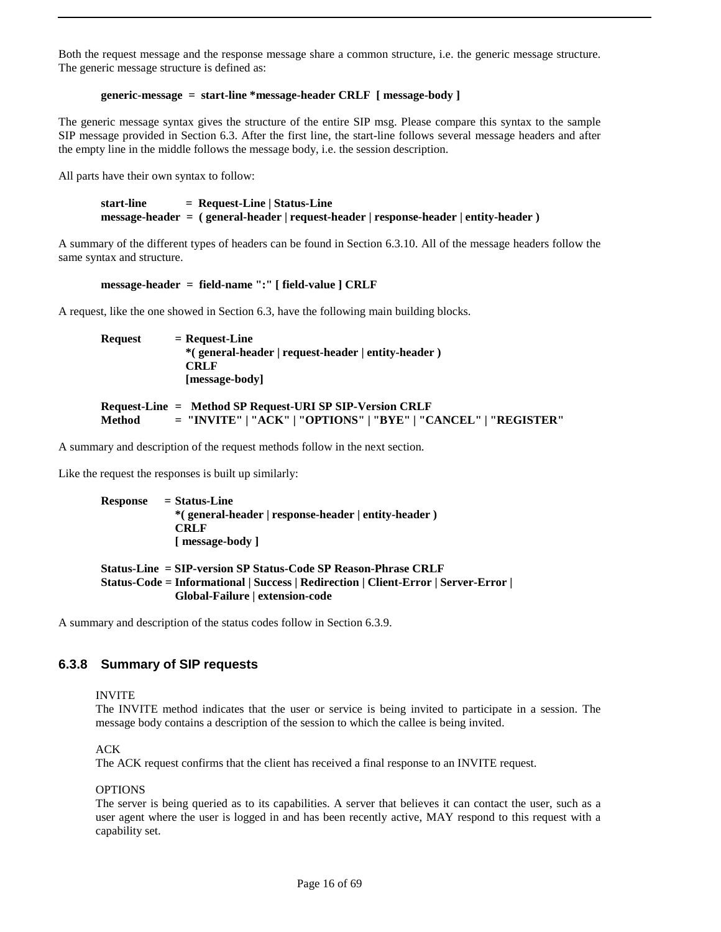Both the request message and the response message share a common structure, i.e. the generic message structure. The generic message structure is defined as:

#### **generic-message = start-line \*message-header CRLF [ message-body ]**

The generic message syntax gives the structure of the entire SIP msg. Please compare this syntax to the sample SIP message provided in Section 6.3. After the first line, the start-line follows several message headers and after the empty line in the middle follows the message body, i.e. the session description.

All parts have their own syntax to follow:

**start-line = Request-Line | Status-Line message-header = ( general-header | request-header | response-header | entity-header )**

A summary of the different types of headers can be found in Section 6.3.10. All of the message headers follow the same syntax and structure.

#### **message-header = field-name ":" [ field-value ] CRLF**

A request, like the one showed in Section 6.3, have the following main building blocks.

Request = Request-Line **\*( general-header | request-header | entity-header ) CRLF [message-body]**

**Request-Line = Method SP Request-URI SP SIP-Version CRLF Method = "INVITE" | "ACK" | "OPTIONS" | "BYE" | "CANCEL" | "REGISTER"**

A summary and description of the request methods follow in the next section.

Like the request the responses is built up similarly:

**Response = Status-Line \*( general-header | response-header | entity-header ) CRLF [ message-body ]**

#### **Status-Line = SIP-version SP Status-Code SP Reason-Phrase CRLF Status-Code = Informational | Success | Redirection | Client-Error | Server-Error | Global-Failure | extension-code**

A summary and description of the status codes follow in Section 6.3.9.

### **6.3.8 Summary of SIP requests**

INVITE

The INVITE method indicates that the user or service is being invited to participate in a session. The message body contains a description of the session to which the callee is being invited.

ACK

The ACK request confirms that the client has received a final response to an INVITE request.

#### OPTIONS

The server is being queried as to its capabilities. A server that believes it can contact the user, such as a user agent where the user is logged in and has been recently active, MAY respond to this request with a capability set.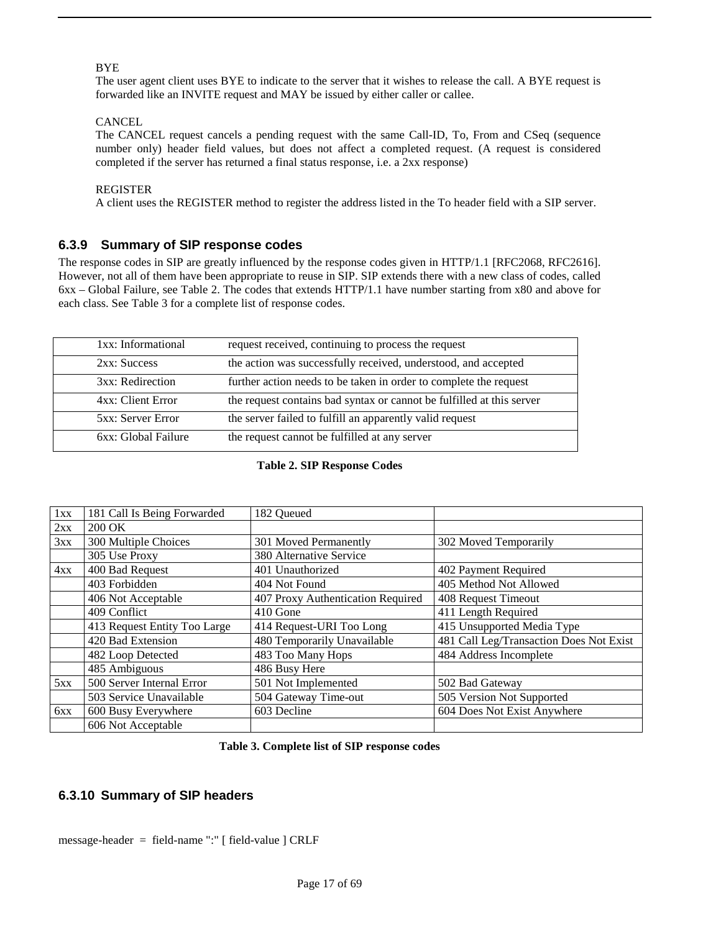#### **BYE**

The user agent client uses BYE to indicate to the server that it wishes to release the call. A BYE request is forwarded like an INVITE request and MAY be issued by either caller or callee.

#### **CANCEL**

The CANCEL request cancels a pending request with the same Call-ID, To, From and CSeq (sequence number only) header field values, but does not affect a completed request. (A request is considered completed if the server has returned a final status response, i.e. a 2xx response)

#### REGISTER

A client uses the REGISTER method to register the address listed in the To header field with a SIP server.

### **6.3.9 Summary of SIP response codes**

The response codes in SIP are greatly influenced by the response codes given in HTTP/1.1 [RFC2068, RFC2616]. However, not all of them have been appropriate to reuse in SIP. SIP extends there with a new class of codes, called 6xx – Global Failure, see Table 2. The codes that extends HTTP/1.1 have number starting from x80 and above for each class. See Table 3 for a complete list of response codes.

| 1xx: Informational  | request received, continuing to process the request                   |
|---------------------|-----------------------------------------------------------------------|
| 2xx: Success        | the action was successfully received, understood, and accepted        |
| 3xx: Redirection    | further action needs to be taken in order to complete the request     |
| 4xx: Client Error   | the request contains bad syntax or cannot be fulfilled at this server |
| 5xx: Server Error   | the server failed to fulfill an apparently valid request              |
| 6xx: Global Failure | the request cannot be fulfilled at any server                         |

#### **Table 2. SIP Response Codes**

| 1xx | 181 Call Is Being Forwarded  | 182 Queued                        |                                         |
|-----|------------------------------|-----------------------------------|-----------------------------------------|
| 2xx | 200 OK                       |                                   |                                         |
| 3xx | 300 Multiple Choices         | 301 Moved Permanently             | 302 Moved Temporarily                   |
|     | 305 Use Proxy                | 380 Alternative Service           |                                         |
| 4xx | 400 Bad Request              | 401 Unauthorized                  | 402 Payment Required                    |
|     | 403 Forbidden                | 404 Not Found                     | 405 Method Not Allowed                  |
|     | 406 Not Acceptable           | 407 Proxy Authentication Required | 408 Request Timeout                     |
|     | 409 Conflict                 | 410 Gone                          | 411 Length Required                     |
|     | 413 Request Entity Too Large | 414 Request-URI Too Long          | 415 Unsupported Media Type              |
|     | 420 Bad Extension            | 480 Temporarily Unavailable       | 481 Call Leg/Transaction Does Not Exist |
|     | 482 Loop Detected            | 483 Too Many Hops                 | 484 Address Incomplete                  |
|     | 485 Ambiguous                | 486 Busy Here                     |                                         |
| 5xx | 500 Server Internal Error    | 501 Not Implemented               | 502 Bad Gateway                         |
|     | 503 Service Unavailable      | 504 Gateway Time-out              | 505 Version Not Supported               |
| 6xx | 600 Busy Everywhere          | 603 Decline                       | 604 Does Not Exist Anywhere             |
|     | 606 Not Acceptable           |                                   |                                         |

### **6.3.10 Summary of SIP headers**

message-header = field-name ":" [ field-value ] CRLF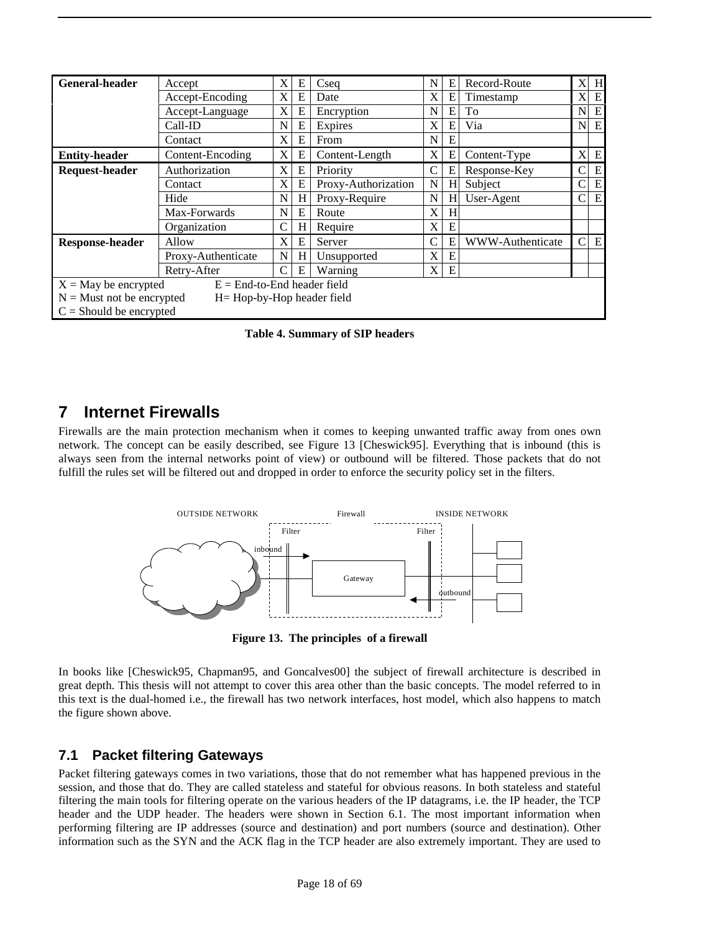| <b>General-header</b>                                        | Accept           |               | E | Csea                | N | E | Record-Route     | X                         | H         |
|--------------------------------------------------------------|------------------|---------------|---|---------------------|---|---|------------------|---------------------------|-----------|
|                                                              | Accept-Encoding  |               | E | Date                | X | E | Timestamp        | X                         | E         |
|                                                              | Accept-Language  | X             | E | Encryption          | N | E | To               | N                         | E         |
|                                                              | Call-ID          |               | E | Expires             | X | Е | Via              | N                         | E         |
|                                                              | Contact          | X             | E | From                | N | E |                  |                           |           |
| <b>Entity-header</b>                                         | Content-Encoding | X             | E | Content-Length      | X | E | Content-Type     | $\boldsymbol{\mathrm{X}}$ | E         |
| <b>Request-header</b>                                        | Authorization    | X             | E | Priority            | C | Е | Response-Key     | C                         | E         |
|                                                              | Contact          |               | E | Proxy-Authorization | N | H | Subject          | C                         | E         |
|                                                              | Hide             |               | H | Proxy-Require       | N | H | User-Agent       | C                         | E         |
|                                                              | Max-Forwards     |               | E | Route               | X | H |                  |                           |           |
|                                                              | Organization     | C             | H | Require             | X | E |                  |                           |           |
| <b>Response-header</b>                                       | Allow            | X             | E | Server              |   | E | WWW-Authenticate | C                         | ${\bf E}$ |
| Proxy-Authenticate                                           |                  | N             | H | Unsupported         | X | E |                  |                           |           |
| Retry-After                                                  |                  | $\mathcal{C}$ | E | Warning             | X | E |                  |                           |           |
| $E =$ End-to-End header field<br>$X = May$ be encrypted      |                  |               |   |                     |   |   |                  |                           |           |
| $N =$ Must not be encrypted<br>$H = Hop-by-Hop$ header field |                  |               |   |                     |   |   |                  |                           |           |
| $C =$ Should be encrypted                                    |                  |               |   |                     |   |   |                  |                           |           |

**Table 4. Summary of SIP headers**

# **7 Internet Firewalls**

Firewalls are the main protection mechanism when it comes to keeping unwanted traffic away from ones own network. The concept can be easily described, see Figure 13 [Cheswick95]. Everything that is inbound (this is always seen from the internal networks point of view) or outbound will be filtered. Those packets that do not fulfill the rules set will be filtered out and dropped in order to enforce the security policy set in the filters.



**Figure 13. The principles of a firewall**

In books like [Cheswick95, Chapman95, and Goncalves00] the subject of firewall architecture is described in great depth. This thesis will not attempt to cover this area other than the basic concepts. The model referred to in this text is the dual-homed i.e., the firewall has two network interfaces, host model, which also happens to match the figure shown above.

### **7.1 Packet filtering Gateways**

Packet filtering gateways comes in two variations, those that do not remember what has happened previous in the session, and those that do. They are called stateless and stateful for obvious reasons. In both stateless and stateful filtering the main tools for filtering operate on the various headers of the IP datagrams, i.e. the IP header, the TCP header and the UDP header. The headers were shown in Section 6.1. The most important information when performing filtering are IP addresses (source and destination) and port numbers (source and destination). Other information such as the SYN and the ACK flag in the TCP header are also extremely important. They are used to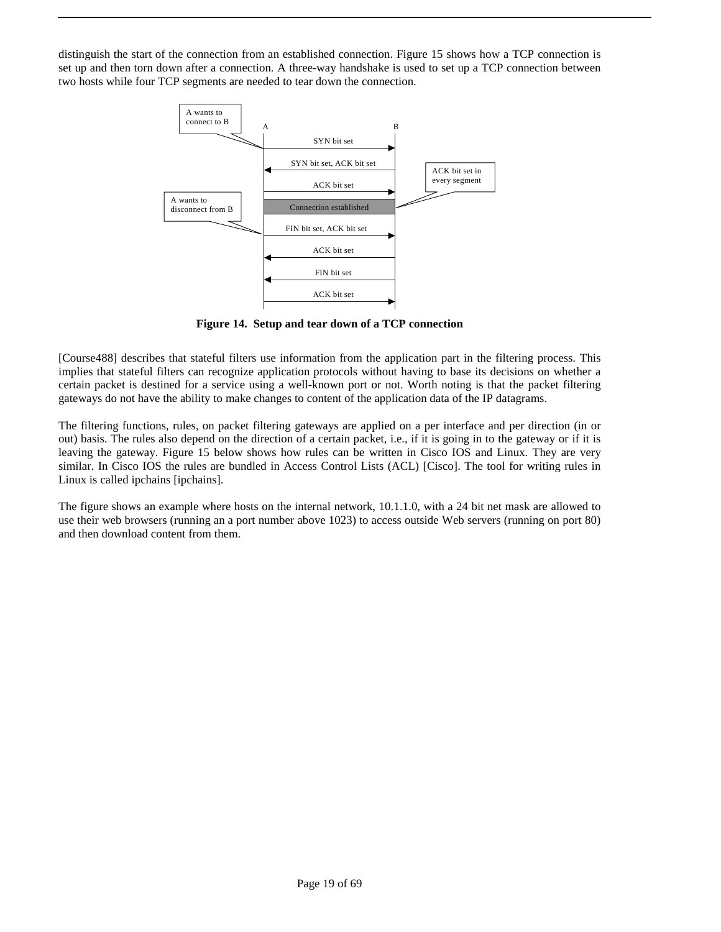distinguish the start of the connection from an established connection. Figure 15 shows how a TCP connection is set up and then torn down after a connection. A three-way handshake is used to set up a TCP connection between two hosts while four TCP segments are needed to tear down the connection.



**Figure 14. Setup and tear down of a TCP connection**

[Course488] describes that stateful filters use information from the application part in the filtering process. This implies that stateful filters can recognize application protocols without having to base its decisions on whether a certain packet is destined for a service using a well-known port or not. Worth noting is that the packet filtering gateways do not have the ability to make changes to content of the application data of the IP datagrams.

The filtering functions, rules, on packet filtering gateways are applied on a per interface and per direction (in or out) basis. The rules also depend on the direction of a certain packet, i.e., if it is going in to the gateway or if it is leaving the gateway. Figure 15 below shows how rules can be written in Cisco IOS and Linux. They are very similar. In Cisco IOS the rules are bundled in Access Control Lists (ACL) [Cisco]. The tool for writing rules in Linux is called ipchains [ipchains].

The figure shows an example where hosts on the internal network, 10.1.1.0, with a 24 bit net mask are allowed to use their web browsers (running an a port number above 1023) to access outside Web servers (running on port 80) and then download content from them.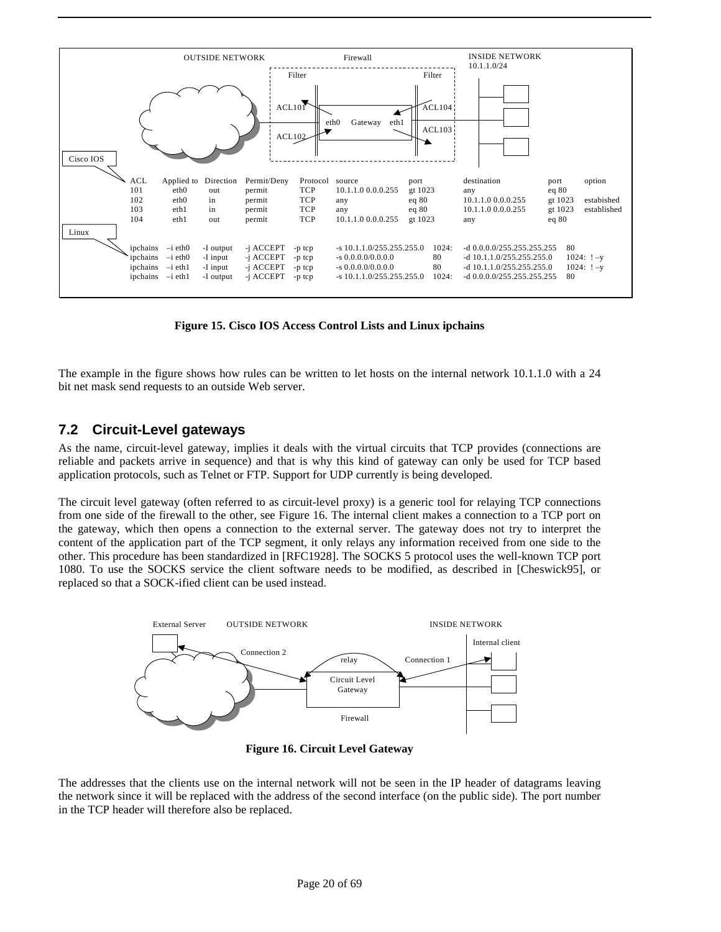

**Figure 15. Cisco IOS Access Control Lists and Linux ipchains**

The example in the figure shows how rules can be written to let hosts on the internal network 10.1.1.0 with a 24 bit net mask send requests to an outside Web server.

### **7.2 Circuit-Level gateways**

As the name, circuit-level gateway, implies it deals with the virtual circuits that TCP provides (connections are reliable and packets arrive in sequence) and that is why this kind of gateway can only be used for TCP based application protocols, such as Telnet or FTP. Support for UDP currently is being developed.

The circuit level gateway (often referred to as circuit-level proxy) is a generic tool for relaying TCP connections from one side of the firewall to the other, see Figure 16. The internal client makes a connection to a TCP port on the gateway, which then opens a connection to the external server. The gateway does not try to interpret the content of the application part of the TCP segment, it only relays any information received from one side to the other. This procedure has been standardized in [RFC1928]. The SOCKS 5 protocol uses the well-known TCP port 1080. To use the SOCKS service the client software needs to be modified, as described in [Cheswick95], or replaced so that a SOCK-ified client can be used instead.



**Figure 16. Circuit Level Gateway**

The addresses that the clients use on the internal network will not be seen in the IP header of datagrams leaving the network since it will be replaced with the address of the second interface (on the public side). The port number in the TCP header will therefore also be replaced.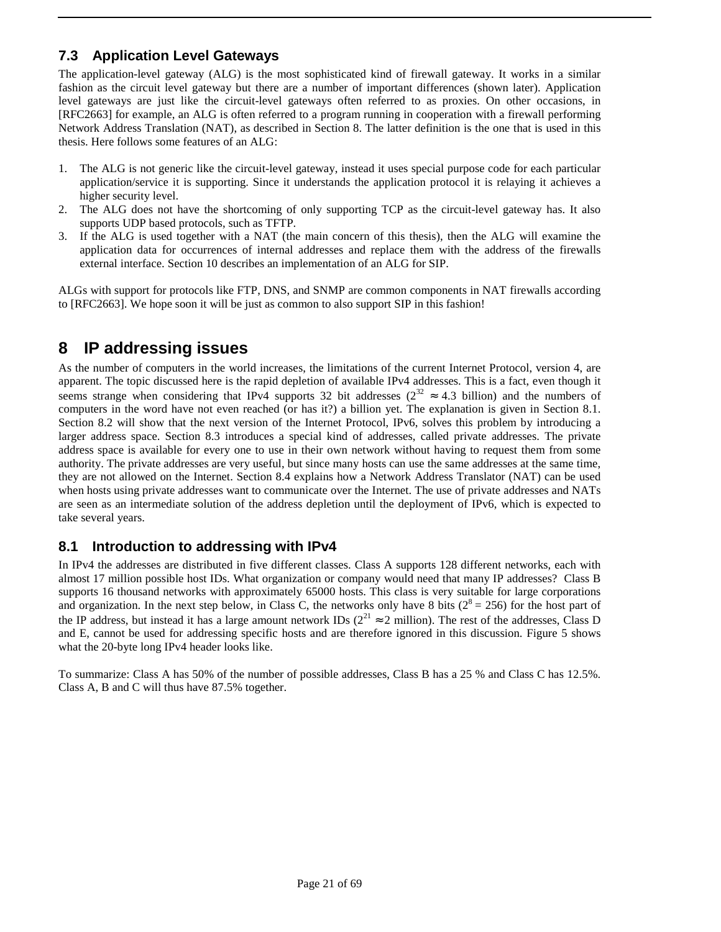### **7.3 Application Level Gateways**

The application-level gateway (ALG) is the most sophisticated kind of firewall gateway. It works in a similar fashion as the circuit level gateway but there are a number of important differences (shown later). Application level gateways are just like the circuit-level gateways often referred to as proxies. On other occasions, in [RFC2663] for example, an ALG is often referred to a program running in cooperation with a firewall performing Network Address Translation (NAT), as described in Section 8. The latter definition is the one that is used in this thesis. Here follows some features of an ALG:

- 1. The ALG is not generic like the circuit-level gateway, instead it uses special purpose code for each particular application/service it is supporting. Since it understands the application protocol it is relaying it achieves a higher security level.
- 2. The ALG does not have the shortcoming of only supporting TCP as the circuit-level gateway has. It also supports UDP based protocols, such as TFTP.
- 3. If the ALG is used together with a NAT (the main concern of this thesis), then the ALG will examine the application data for occurrences of internal addresses and replace them with the address of the firewalls external interface. Section 10 describes an implementation of an ALG for SIP.

ALGs with support for protocols like FTP, DNS, and SNMP are common components in NAT firewalls according to [RFC2663]. We hope soon it will be just as common to also support SIP in this fashion!

# **8 IP addressing issues**

As the number of computers in the world increases, the limitations of the current Internet Protocol, version 4, are apparent. The topic discussed here is the rapid depletion of available IPv4 addresses. This is a fact, even though it seems strange when considering that IPv4 supports 32 bit addresses ( $2^{32} \approx 4.3$  billion) and the numbers of computers in the word have not even reached (or has it?) a billion yet. The explanation is given in Section 8.1. Section 8.2 will show that the next version of the Internet Protocol, IPv6, solves this problem by introducing a larger address space. Section 8.3 introduces a special kind of addresses, called private addresses. The private address space is available for every one to use in their own network without having to request them from some authority. The private addresses are very useful, but since many hosts can use the same addresses at the same time, they are not allowed on the Internet. Section 8.4 explains how a Network Address Translator (NAT) can be used when hosts using private addresses want to communicate over the Internet. The use of private addresses and NATs are seen as an intermediate solution of the address depletion until the deployment of IPv6, which is expected to take several years.

### **8.1 Introduction to addressing with IPv4**

In IPv4 the addresses are distributed in five different classes. Class A supports 128 different networks, each with almost 17 million possible host IDs. What organization or company would need that many IP addresses? Class B supports 16 thousand networks with approximately 65000 hosts. This class is very suitable for large corporations and organization. In the next step below, in Class C, the networks only have 8 bits ( $2^8 = 256$ ) for the host part of the IP address, but instead it has a large amount network IDs ( $2^{21} \approx 2$  million). The rest of the addresses, Class D and E, cannot be used for addressing specific hosts and are therefore ignored in this discussion. Figure 5 shows what the 20-byte long IPv4 header looks like.

To summarize: Class A has 50% of the number of possible addresses, Class B has a 25 % and Class C has 12.5%. Class A, B and C will thus have 87.5% together.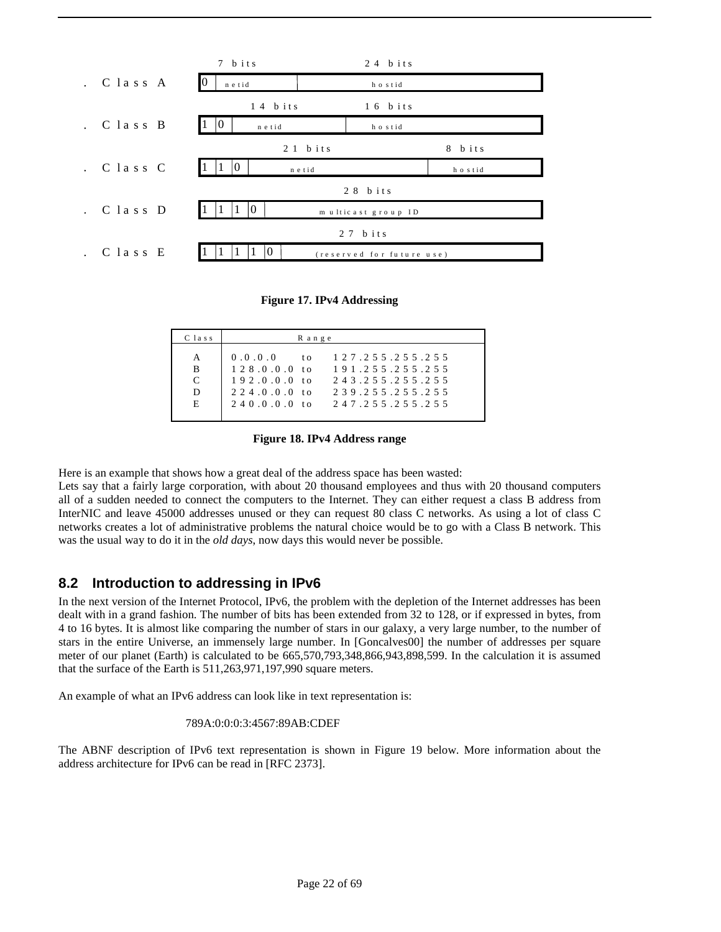

#### **Figure 17. IPv4 Addressing**

| C lass                | R ange                                                                                     |                                                                                                                |
|-----------------------|--------------------------------------------------------------------------------------------|----------------------------------------------------------------------------------------------------------------|
| A<br>B<br>C<br>D<br>E | 0.0.0.0<br>$t_{0}$<br>$128.0.0.0$ to<br>$192.0.0.0$ to<br>$224.0.0.0$ to<br>$240.0.0.0$ to | 1 2 7 . 2 5 5 . 2 5 5 . 2 5 5<br>191.255.255.255<br>243.255.255.255<br>2 3 9 2 5 5 2 5 5 2 5 5<br>247255255255 |

**Figure 18. IPv4 Address range**

Here is an example that shows how a great deal of the address space has been wasted:

Lets say that a fairly large corporation, with about 20 thousand employees and thus with 20 thousand computers all of a sudden needed to connect the computers to the Internet. They can either request a class B address from InterNIC and leave 45000 addresses unused or they can request 80 class C networks. As using a lot of class C networks creates a lot of administrative problems the natural choice would be to go with a Class B network. This was the usual way to do it in the *old days*, now days this would never be possible.

### **8.2 Introduction to addressing in IPv6**

In the next version of the Internet Protocol, IPv6, the problem with the depletion of the Internet addresses has been dealt with in a grand fashion. The number of bits has been extended from 32 to 128, or if expressed in bytes, from 4 to 16 bytes. It is almost like comparing the number of stars in our galaxy, a very large number, to the number of stars in the entire Universe, an immensely large number. In [Goncalves00] the number of addresses per square meter of our planet (Earth) is calculated to be 665,570,793,348,866,943,898,599. In the calculation it is assumed that the surface of the Earth is 511,263,971,197,990 square meters.

An example of what an IPv6 address can look like in text representation is:

#### 789A:0:0:0:3:4567:89AB:CDEF

The ABNF description of IPv6 text representation is shown in Figure 19 below. More information about the address architecture for IPv6 can be read in [RFC 2373].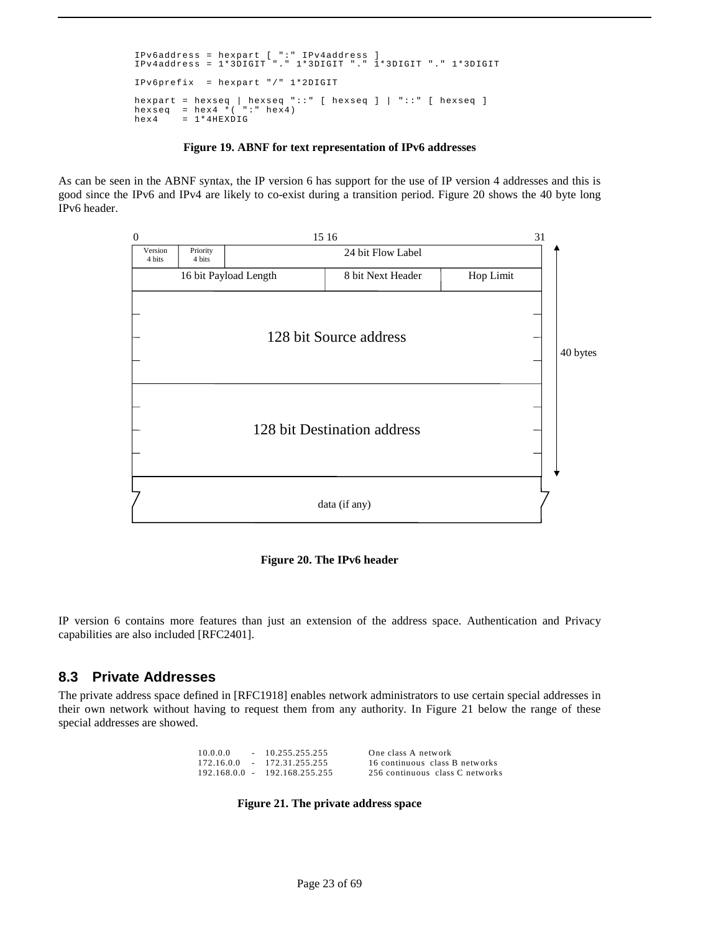```
IPv6address = hexpart [ ":" IPv4address ] 
IPv4address = 1*3DIGIT "." 1*3DIGIT "." 1*3DIGIT "." 1*3DIGIT 
IPv6prefix = hexpart "/" 1*2DIGIT 
hexpart = hexseq | hexseq "::" [ hexseq ] | "::" [ hexseq ] 
hexseq = hex4 *( ":" hex4) 
hex4 = 1*4HEXDIG
```
#### **Figure 19. ABNF for text representation of IPv6 addresses**

As can be seen in the ABNF syntax, the IP version 6 has support for the use of IP version 4 addresses and this is good since the IPv6 and IPv4 are likely to co-exist during a transition period. Figure 20 shows the 40 byte long IPv6 header.



**Figure 20. The IPv6 header**

IP version 6 contains more features than just an extension of the address space. Authentication and Privacy capabilities are also included [RFC2401].

### **8.3 Private Addresses**

The private address space defined in [RFC1918] enables network administrators to use certain special addresses in their own network without having to request them from any authority. In Figure 21 below the range of these special addresses are showed.

| 10.0.0.0        | $-10.255.255.255$ | One class A network             |
|-----------------|-------------------|---------------------------------|
| 172.16.0.0      | $-172.31.255.255$ | 16 continuous class B networks  |
| $192.168.0.0 -$ | 192.168.255.255   | 256 continuous class C networks |

**Figure 21. The private address space**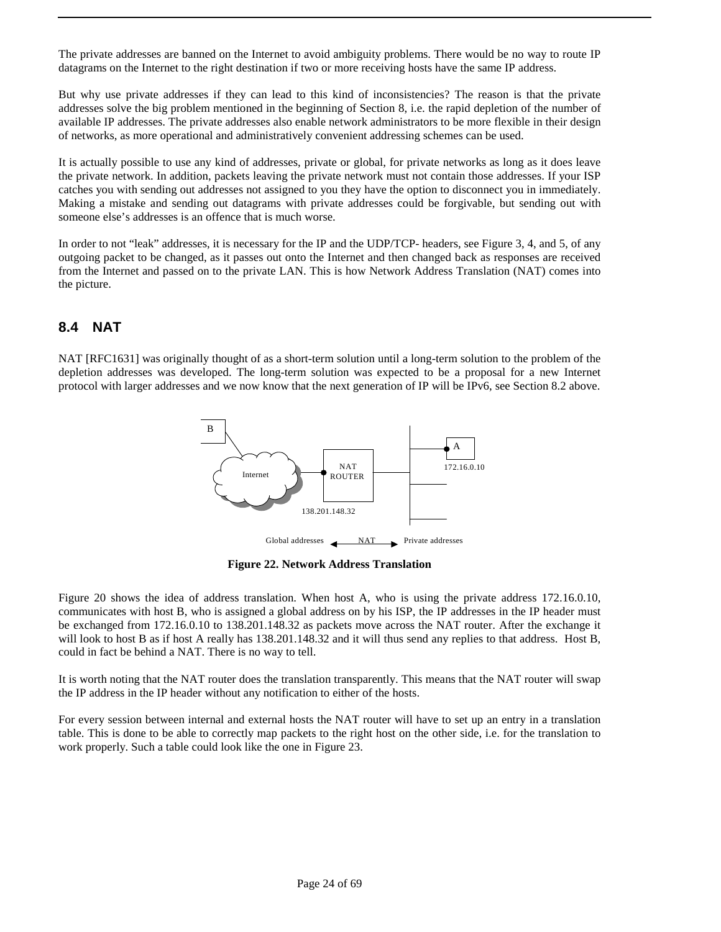The private addresses are banned on the Internet to avoid ambiguity problems. There would be no way to route IP datagrams on the Internet to the right destination if two or more receiving hosts have the same IP address.

But why use private addresses if they can lead to this kind of inconsistencies? The reason is that the private addresses solve the big problem mentioned in the beginning of Section 8, i.e. the rapid depletion of the number of available IP addresses. The private addresses also enable network administrators to be more flexible in their design of networks, as more operational and administratively convenient addressing schemes can be used.

It is actually possible to use any kind of addresses, private or global, for private networks as long as it does leave the private network. In addition, packets leaving the private network must not contain those addresses. If your ISP catches you with sending out addresses not assigned to you they have the option to disconnect you in immediately. Making a mistake and sending out datagrams with private addresses could be forgivable, but sending out with someone else's addresses is an offence that is much worse.

In order to not "leak" addresses, it is necessary for the IP and the UDP/TCP- headers, see Figure 3, 4, and 5, of any outgoing packet to be changed, as it passes out onto the Internet and then changed back as responses are received from the Internet and passed on to the private LAN. This is how Network Address Translation (NAT) comes into the picture.

### **8.4 NAT**

NAT [RFC1631] was originally thought of as a short-term solution until a long-term solution to the problem of the depletion addresses was developed. The long-term solution was expected to be a proposal for a new Internet protocol with larger addresses and we now know that the next generation of IP will be IPv6, see Section 8.2 above.



**Figure 22. Network Address Translation**

Figure 20 shows the idea of address translation. When host A, who is using the private address 172.16.0.10, communicates with host B, who is assigned a global address on by his ISP, the IP addresses in the IP header must be exchanged from 172.16.0.10 to 138.201.148.32 as packets move across the NAT router. After the exchange it will look to host B as if host A really has  $138.201.148.32$  and it will thus send any replies to that address. Host B, could in fact be behind a NAT. There is no way to tell.

It is worth noting that the NAT router does the translation transparently. This means that the NAT router will swap the IP address in the IP header without any notification to either of the hosts.

For every session between internal and external hosts the NAT router will have to set up an entry in a translation table. This is done to be able to correctly map packets to the right host on the other side, i.e. for the translation to work properly. Such a table could look like the one in Figure 23.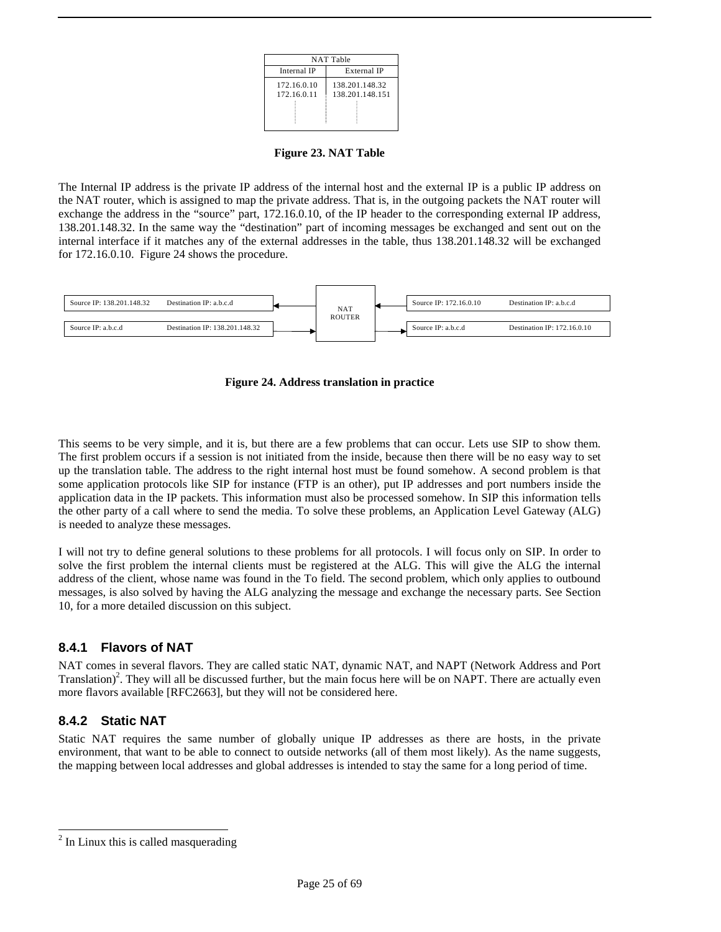| <b>NAT Table</b> |  |  |  |  |
|------------------|--|--|--|--|
| External IP      |  |  |  |  |
| 138.201.148.32   |  |  |  |  |
| 138.201.148.151  |  |  |  |  |
|                  |  |  |  |  |
|                  |  |  |  |  |
|                  |  |  |  |  |

**Figure 23. NAT Table**

The Internal IP address is the private IP address of the internal host and the external IP is a public IP address on the NAT router, which is assigned to map the private address. That is, in the outgoing packets the NAT router will exchange the address in the "source" part, 172.16.0.10, of the IP header to the corresponding external IP address, 138.201.148.32. In the same way the "destination" part of incoming messages be exchanged and sent out on the internal interface if it matches any of the external addresses in the table, thus 138.201.148.32 will be exchanged for 172.16.0.10. Figure 24 shows the procedure.





This seems to be very simple, and it is, but there are a few problems that can occur. Lets use SIP to show them. The first problem occurs if a session is not initiated from the inside, because then there will be no easy way to set up the translation table. The address to the right internal host must be found somehow. A second problem is that some application protocols like SIP for instance (FTP is an other), put IP addresses and port numbers inside the application data in the IP packets. This information must also be processed somehow. In SIP this information tells the other party of a call where to send the media. To solve these problems, an Application Level Gateway (ALG) is needed to analyze these messages.

I will not try to define general solutions to these problems for all protocols. I will focus only on SIP. In order to solve the first problem the internal clients must be registered at the ALG. This will give the ALG the internal address of the client, whose name was found in the To field. The second problem, which only applies to outbound messages, is also solved by having the ALG analyzing the message and exchange the necessary parts. See Section 10, for a more detailed discussion on this subject.

### **8.4.1 Flavors of NAT**

NAT comes in several flavors. They are called static NAT, dynamic NAT, and NAPT (Network Address and Port Translation)<sup>2</sup>. They will all be discussed further, but the main focus here will be on NAPT. There are actually even more flavors available [RFC2663], but they will not be considered here.

### **8.4.2 Static NAT**

Static NAT requires the same number of globally unique IP addresses as there are hosts, in the private environment, that want to be able to connect to outside networks (all of them most likely). As the name suggests, the mapping between local addresses and global addresses is intended to stay the same for a long period of time.

<sup>&</sup>lt;sup>2</sup> In Linux this is called masquerading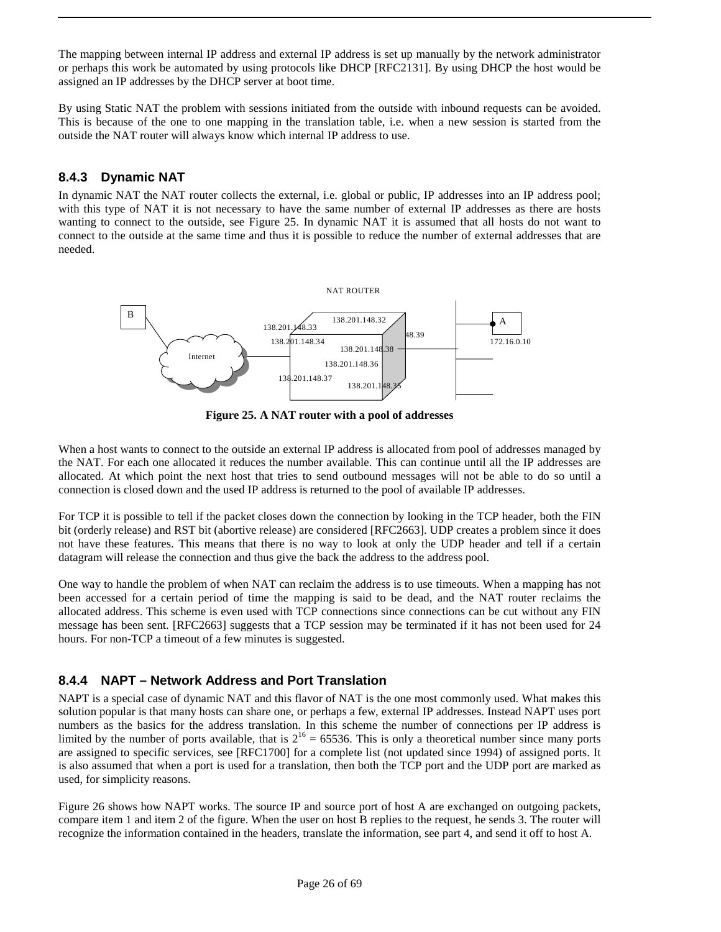The mapping between internal IP address and external IP address is set up manually by the network administrator or perhaps this work be automated by using protocols like DHCP [RFC2131]. By using DHCP the host would be assigned an IP addresses by the DHCP server at boot time.

By using Static NAT the problem with sessions initiated from the outside with inbound requests can be avoided. This is because of the one to one mapping in the translation table, i.e. when a new session is started from the outside the NAT router will always know which internal IP address to use.

### **8.4.3 Dynamic NAT**

In dynamic NAT the NAT router collects the external, i.e. global or public, IP addresses into an IP address pool; with this type of NAT it is not necessary to have the same number of external IP addresses as there are hosts wanting to connect to the outside, see Figure 25. In dynamic NAT it is assumed that all hosts do not want to connect to the outside at the same time and thus it is possible to reduce the number of external addresses that are needed.



**Figure 25. A NAT router with a pool of addresses**

When a host wants to connect to the outside an external IP address is allocated from pool of addresses managed by the NAT. For each one allocated it reduces the number available. This can continue until all the IP addresses are allocated. At which point the next host that tries to send outbound messages will not be able to do so until a connection is closed down and the used IP address is returned to the pool of available IP addresses.

For TCP it is possible to tell if the packet closes down the connection by looking in the TCP header, both the FIN bit (orderly release) and RST bit (abortive release) are considered [RFC2663]. UDP creates a problem since it does not have these features. This means that there is no way to look at only the UDP header and tell if a certain datagram will release the connection and thus give the back the address to the address pool.

One way to handle the problem of when NAT can reclaim the address is to use timeouts. When a mapping has not been accessed for a certain period of time the mapping is said to be dead, and the NAT router reclaims the allocated address. This scheme is even used with TCP connections since connections can be cut without any FIN message has been sent. [RFC2663] suggests that a TCP session may be terminated if it has not been used for 24 hours. For non-TCP a timeout of a few minutes is suggested.

### **8.4.4 NAPT – Network Address and Port Translation**

NAPT is a special case of dynamic NAT and this flavor of NAT is the one most commonly used. What makes this solution popular is that many hosts can share one, or perhaps a few, external IP addresses. Instead NAPT uses port numbers as the basics for the address translation. In this scheme the number of connections per IP address is limited by the number of ports available, that is  $2^{16} = 65536$ . This is only a theoretical number since many ports are assigned to specific services, see [RFC1700] for a complete list (not updated since 1994) of assigned ports. It is also assumed that when a port is used for a translation, then both the TCP port and the UDP port are marked as used, for simplicity reasons.

Figure 26 shows how NAPT works. The source IP and source port of host A are exchanged on outgoing packets, compare item 1 and item 2 of the figure. When the user on host B replies to the request, he sends 3. The router will recognize the information contained in the headers, translate the information, see part 4, and send it off to host A.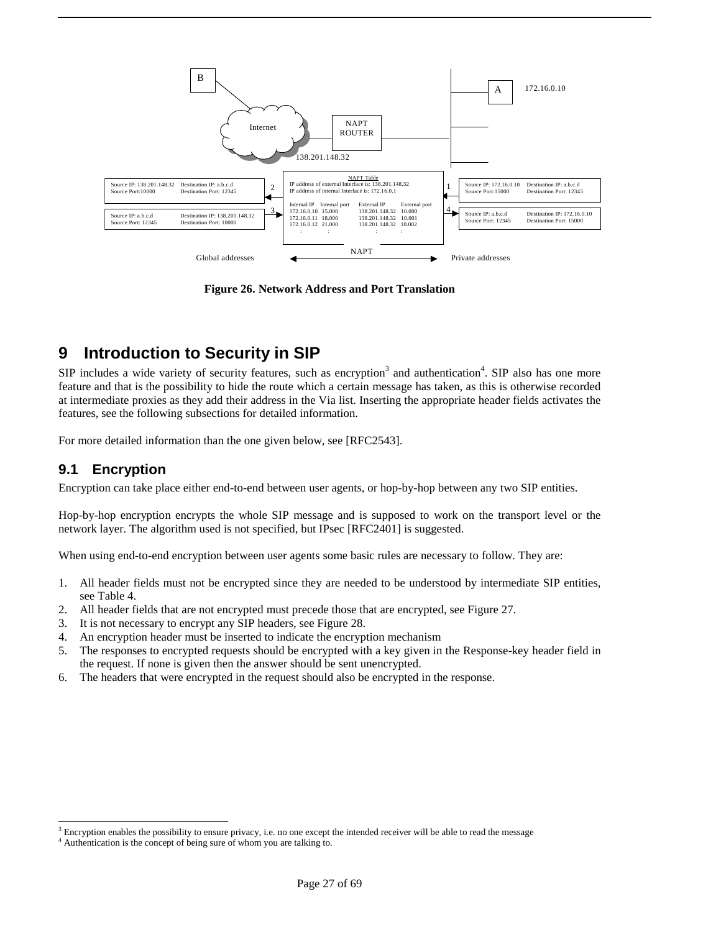

**Figure 26. Network Address and Port Translation**

# **9 Introduction to Security in SIP**

SIP includes a wide variety of security features, such as encryption<sup>3</sup> and authentication<sup>4</sup>. SIP also has one more feature and that is the possibility to hide the route which a certain message has taken, as this is otherwise recorded at intermediate proxies as they add their address in the Via list. Inserting the appropriate header fields activates the features, see the following subsections for detailed information.

For more detailed information than the one given below, see [RFC2543].

### **9.1 Encryption**

-

Encryption can take place either end-to-end between user agents, or hop-by-hop between any two SIP entities.

Hop-by-hop encryption encrypts the whole SIP message and is supposed to work on the transport level or the network layer. The algorithm used is not specified, but IPsec [RFC2401] is suggested.

When using end-to-end encryption between user agents some basic rules are necessary to follow. They are:

- 1. All header fields must not be encrypted since they are needed to be understood by intermediate SIP entities, see Table 4.
- 2. All header fields that are not encrypted must precede those that are encrypted, see Figure 27.
- 3. It is not necessary to encrypt any SIP headers, see Figure 28.
- 4. An encryption header must be inserted to indicate the encryption mechanism
- 5. The responses to encrypted requests should be encrypted with a key given in the Response-key header field in the request. If none is given then the answer should be sent unencrypted.
- 6. The headers that were encrypted in the request should also be encrypted in the response.

 $3$  Encryption enables the possibility to ensure privacy, i.e. no one except the intended receiver will be able to read the message

<sup>4</sup> Authentication is the concept of being sure of whom you are talking to.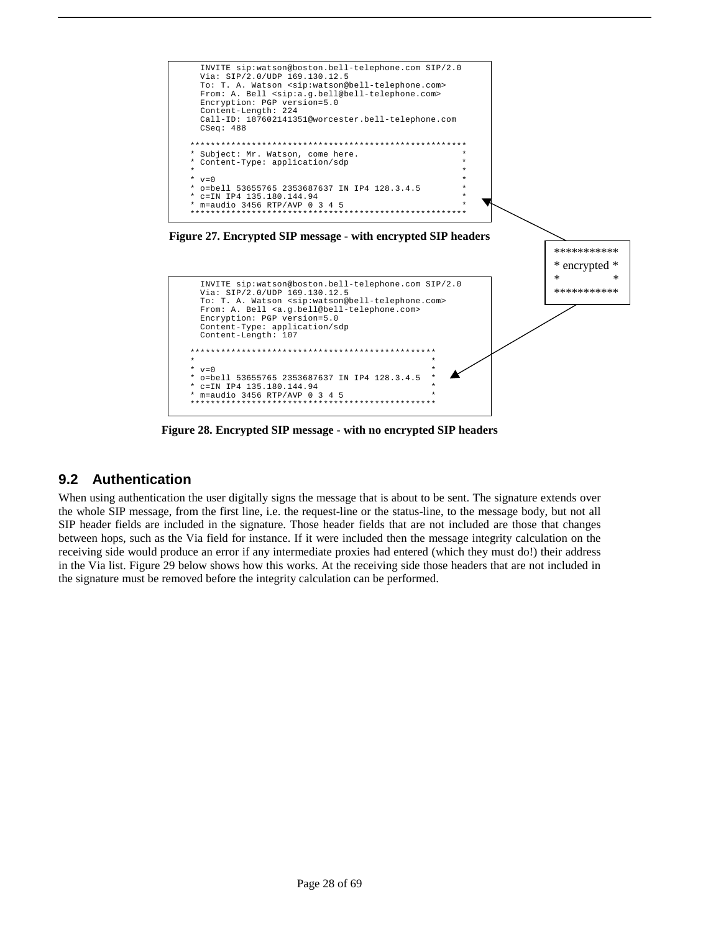

**Figure 28. Encrypted SIP message - with no encrypted SIP headers**

### **9.2 Authentication**

When using authentication the user digitally signs the message that is about to be sent. The signature extends over the whole SIP message, from the first line, i.e. the request-line or the status-line, to the message body, but not all SIP header fields are included in the signature. Those header fields that are not included are those that changes between hops, such as the Via field for instance. If it were included then the message integrity calculation on the receiving side would produce an error if any intermediate proxies had entered (which they must do!) their address in the Via list. Figure 29 below shows how this works. At the receiving side those headers that are not included in the signature must be removed before the integrity calculation can be performed.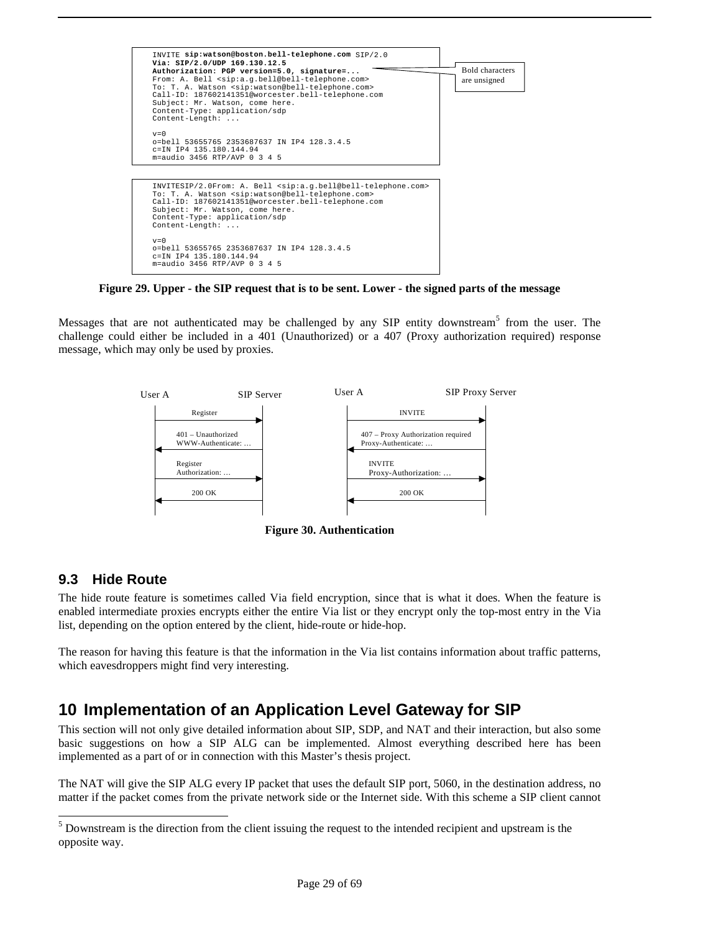

**Figure 29. Upper - the SIP request that is to be sent. Lower - the signed parts of the message**

Messages that are not authenticated may be challenged by any SIP entity downstream<sup>5</sup> from the user. The challenge could either be included in a 401 (Unauthorized) or a 407 (Proxy authorization required) response message, which may only be used by proxies.



**Figure 30. Authentication**

### **9.3 Hide Route**

1

The hide route feature is sometimes called Via field encryption, since that is what it does. When the feature is enabled intermediate proxies encrypts either the entire Via list or they encrypt only the top-most entry in the Via list, depending on the option entered by the client, hide-route or hide-hop.

The reason for having this feature is that the information in the Via list contains information about traffic patterns, which eavesdroppers might find very interesting.

# **10 Implementation of an Application Level Gateway for SIP**

This section will not only give detailed information about SIP, SDP, and NAT and their interaction, but also some basic suggestions on how a SIP ALG can be implemented. Almost everything described here has been implemented as a part of or in connection with this Master's thesis project.

The NAT will give the SIP ALG every IP packet that uses the default SIP port, 5060, in the destination address, no matter if the packet comes from the private network side or the Internet side. With this scheme a SIP client cannot

 $<sup>5</sup>$  Downstream is the direction from the client issuing the request to the intended recipient and upstream is the</sup> opposite way.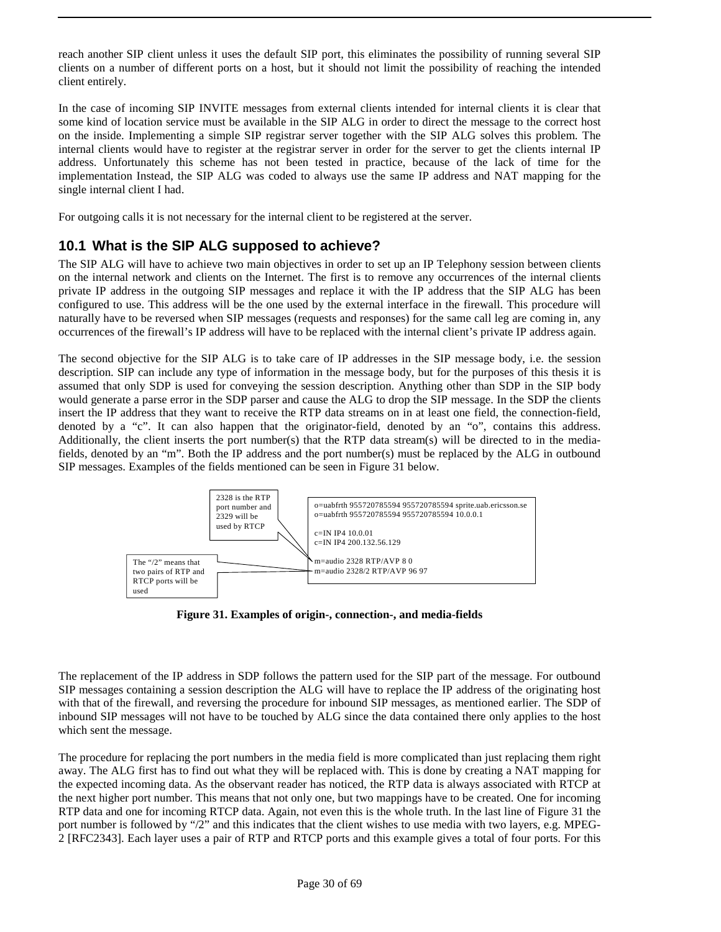reach another SIP client unless it uses the default SIP port, this eliminates the possibility of running several SIP clients on a number of different ports on a host, but it should not limit the possibility of reaching the intended client entirely.

In the case of incoming SIP INVITE messages from external clients intended for internal clients it is clear that some kind of location service must be available in the SIP ALG in order to direct the message to the correct host on the inside. Implementing a simple SIP registrar server together with the SIP ALG solves this problem. The internal clients would have to register at the registrar server in order for the server to get the clients internal IP address. Unfortunately this scheme has not been tested in practice, because of the lack of time for the implementation Instead, the SIP ALG was coded to always use the same IP address and NAT mapping for the single internal client I had.

For outgoing calls it is not necessary for the internal client to be registered at the server.

### **10.1 What is the SIP ALG supposed to achieve?**

The SIP ALG will have to achieve two main objectives in order to set up an IP Telephony session between clients on the internal network and clients on the Internet. The first is to remove any occurrences of the internal clients private IP address in the outgoing SIP messages and replace it with the IP address that the SIP ALG has been configured to use. This address will be the one used by the external interface in the firewall. This procedure will naturally have to be reversed when SIP messages (requests and responses) for the same call leg are coming in, any occurrences of the firewall's IP address will have to be replaced with the internal client's private IP address again.

The second objective for the SIP ALG is to take care of IP addresses in the SIP message body, i.e. the session description. SIP can include any type of information in the message body, but for the purposes of this thesis it is assumed that only SDP is used for conveying the session description. Anything other than SDP in the SIP body would generate a parse error in the SDP parser and cause the ALG to drop the SIP message. In the SDP the clients insert the IP address that they want to receive the RTP data streams on in at least one field, the connection-field, denoted by a "c". It can also happen that the originator-field, denoted by an "o", contains this address. Additionally, the client inserts the port number(s) that the RTP data stream(s) will be directed to in the mediafields, denoted by an "m". Both the IP address and the port number(s) must be replaced by the ALG in outbound SIP messages. Examples of the fields mentioned can be seen in Figure 31 below.



**Figure 31. Examples of origin-, connection-, and media-fields**

The replacement of the IP address in SDP follows the pattern used for the SIP part of the message. For outbound SIP messages containing a session description the ALG will have to replace the IP address of the originating host with that of the firewall, and reversing the procedure for inbound SIP messages, as mentioned earlier. The SDP of inbound SIP messages will not have to be touched by ALG since the data contained there only applies to the host which sent the message.

The procedure for replacing the port numbers in the media field is more complicated than just replacing them right away. The ALG first has to find out what they will be replaced with. This is done by creating a NAT mapping for the expected incoming data. As the observant reader has noticed, the RTP data is always associated with RTCP at the next higher port number. This means that not only one, but two mappings have to be created. One for incoming RTP data and one for incoming RTCP data. Again, not even this is the whole truth. In the last line of Figure 31 the port number is followed by "/2" and this indicates that the client wishes to use media with two layers, e.g. MPEG-2 [RFC2343]. Each layer uses a pair of RTP and RTCP ports and this example gives a total of four ports. For this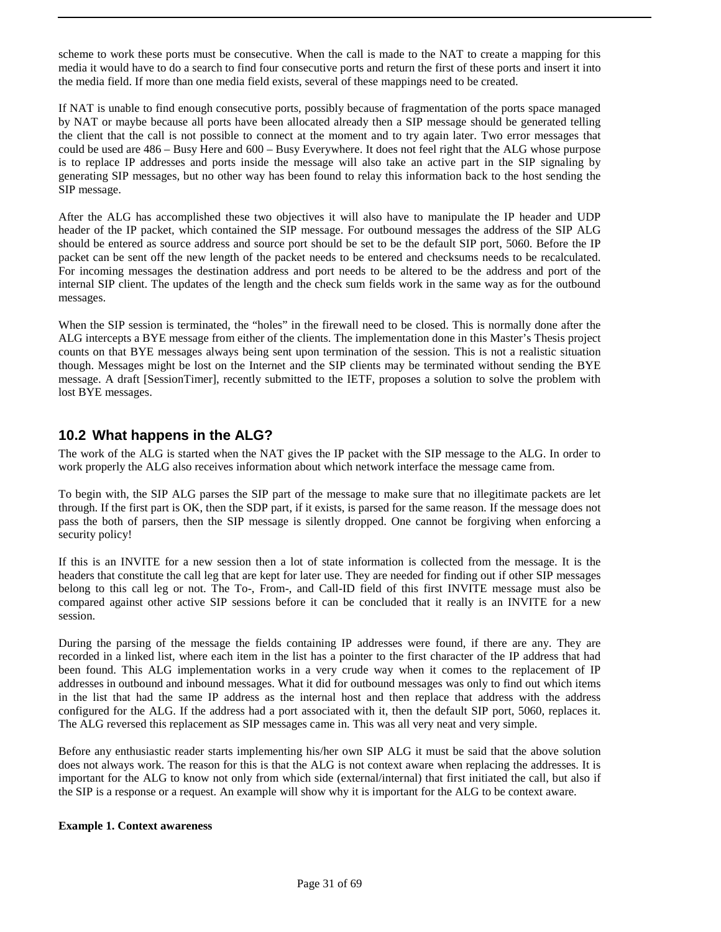scheme to work these ports must be consecutive. When the call is made to the NAT to create a mapping for this media it would have to do a search to find four consecutive ports and return the first of these ports and insert it into the media field. If more than one media field exists, several of these mappings need to be created.

If NAT is unable to find enough consecutive ports, possibly because of fragmentation of the ports space managed by NAT or maybe because all ports have been allocated already then a SIP message should be generated telling the client that the call is not possible to connect at the moment and to try again later. Two error messages that could be used are 486 – Busy Here and 600 – Busy Everywhere. It does not feel right that the ALG whose purpose is to replace IP addresses and ports inside the message will also take an active part in the SIP signaling by generating SIP messages, but no other way has been found to relay this information back to the host sending the SIP message.

After the ALG has accomplished these two objectives it will also have to manipulate the IP header and UDP header of the IP packet, which contained the SIP message. For outbound messages the address of the SIP ALG should be entered as source address and source port should be set to be the default SIP port, 5060. Before the IP packet can be sent off the new length of the packet needs to be entered and checksums needs to be recalculated. For incoming messages the destination address and port needs to be altered to be the address and port of the internal SIP client. The updates of the length and the check sum fields work in the same way as for the outbound messages.

When the SIP session is terminated, the "holes" in the firewall need to be closed. This is normally done after the ALG intercepts a BYE message from either of the clients. The implementation done in this Master's Thesis project counts on that BYE messages always being sent upon termination of the session. This is not a realistic situation though. Messages might be lost on the Internet and the SIP clients may be terminated without sending the BYE message. A draft [SessionTimer], recently submitted to the IETF, proposes a solution to solve the problem with lost BYE messages.

### **10.2 What happens in the ALG?**

The work of the ALG is started when the NAT gives the IP packet with the SIP message to the ALG. In order to work properly the ALG also receives information about which network interface the message came from.

To begin with, the SIP ALG parses the SIP part of the message to make sure that no illegitimate packets are let through. If the first part is OK, then the SDP part, if it exists, is parsed for the same reason. If the message does not pass the both of parsers, then the SIP message is silently dropped. One cannot be forgiving when enforcing a security policy!

If this is an INVITE for a new session then a lot of state information is collected from the message. It is the headers that constitute the call leg that are kept for later use. They are needed for finding out if other SIP messages belong to this call leg or not. The To-, From-, and Call-ID field of this first INVITE message must also be compared against other active SIP sessions before it can be concluded that it really is an INVITE for a new session.

During the parsing of the message the fields containing IP addresses were found, if there are any. They are recorded in a linked list, where each item in the list has a pointer to the first character of the IP address that had been found. This ALG implementation works in a very crude way when it comes to the replacement of IP addresses in outbound and inbound messages. What it did for outbound messages was only to find out which items in the list that had the same IP address as the internal host and then replace that address with the address configured for the ALG. If the address had a port associated with it, then the default SIP port, 5060, replaces it. The ALG reversed this replacement as SIP messages came in. This was all very neat and very simple.

Before any enthusiastic reader starts implementing his/her own SIP ALG it must be said that the above solution does not always work. The reason for this is that the ALG is not context aware when replacing the addresses. It is important for the ALG to know not only from which side (external/internal) that first initiated the call, but also if the SIP is a response or a request. An example will show why it is important for the ALG to be context aware.

#### **Example 1. Context awareness**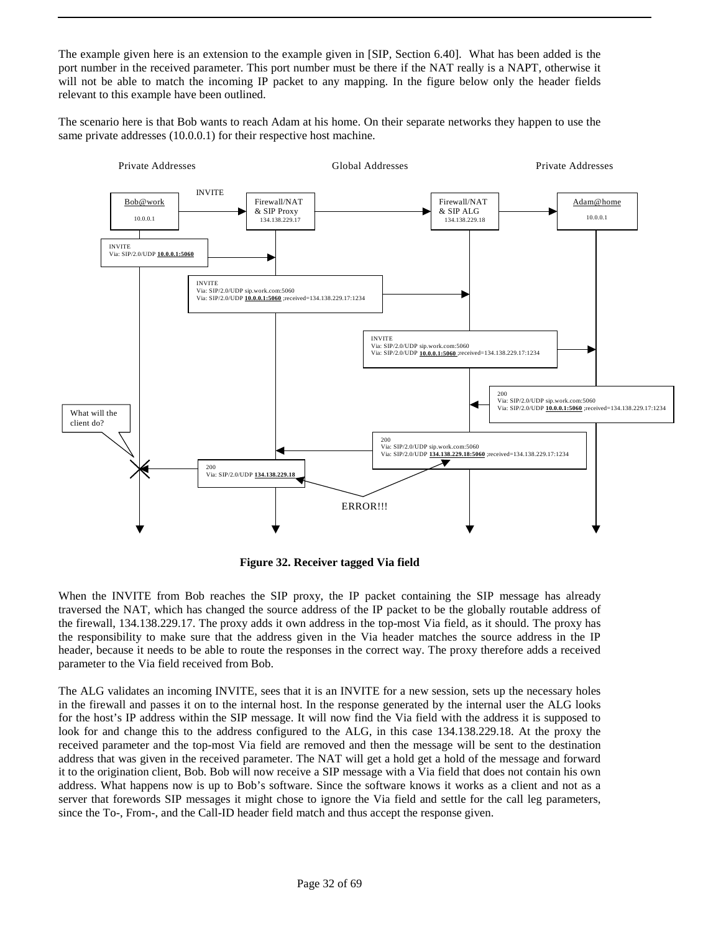The example given here is an extension to the example given in [SIP, Section 6.40]. What has been added is the port number in the received parameter. This port number must be there if the NAT really is a NAPT, otherwise it will not be able to match the incoming IP packet to any mapping. In the figure below only the header fields relevant to this example have been outlined.

The scenario here is that Bob wants to reach Adam at his home. On their separate networks they happen to use the same private addresses (10.0.0.1) for their respective host machine.



**Figure 32. Receiver tagged Via field**

When the INVITE from Bob reaches the SIP proxy, the IP packet containing the SIP message has already traversed the NAT, which has changed the source address of the IP packet to be the globally routable address of the firewall, 134.138.229.17. The proxy adds it own address in the top-most Via field, as it should. The proxy has the responsibility to make sure that the address given in the Via header matches the source address in the IP header, because it needs to be able to route the responses in the correct way. The proxy therefore adds a received parameter to the Via field received from Bob.

The ALG validates an incoming INVITE, sees that it is an INVITE for a new session, sets up the necessary holes in the firewall and passes it on to the internal host. In the response generated by the internal user the ALG looks for the host's IP address within the SIP message. It will now find the Via field with the address it is supposed to look for and change this to the address configured to the ALG, in this case 134.138.229.18. At the proxy the received parameter and the top-most Via field are removed and then the message will be sent to the destination address that was given in the received parameter. The NAT will get a hold get a hold of the message and forward it to the origination client, Bob. Bob will now receive a SIP message with a Via field that does not contain his own address. What happens now is up to Bob's software. Since the software knows it works as a client and not as a server that forewords SIP messages it might chose to ignore the Via field and settle for the call leg parameters, since the To-, From-, and the Call-ID header field match and thus accept the response given.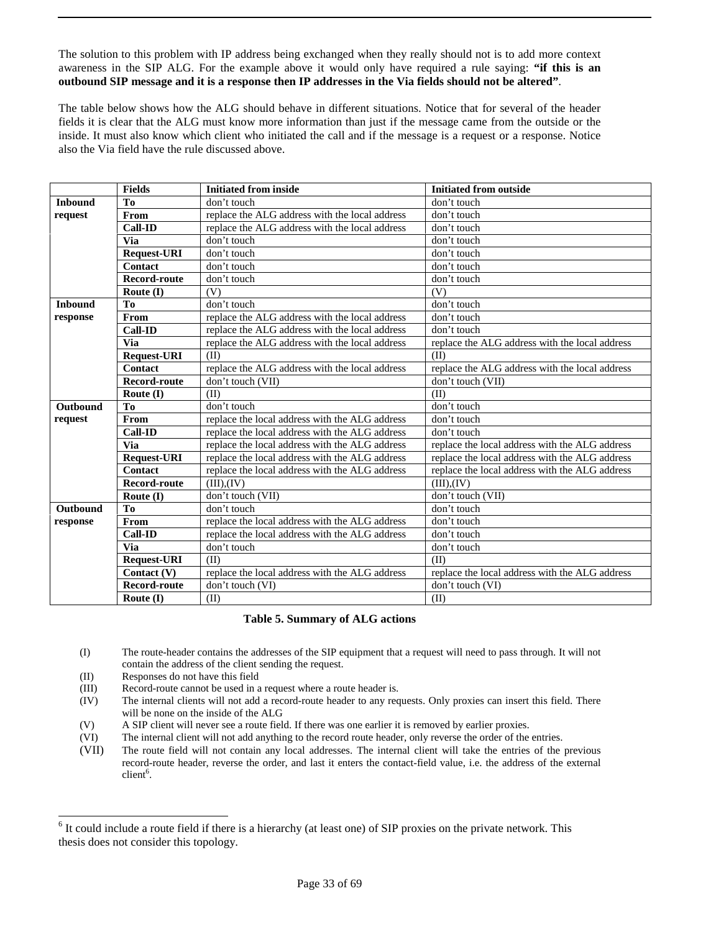#### The solution to this problem with IP address being exchanged when they really should not is to add more context awareness in the SIP ALG. For the example above it would only have required a rule saying: **"if this is an outbound SIP message and it is a response then IP addresses in the Via fields should not be altered"**.

The table below shows how the ALG should behave in different situations. Notice that for several of the header fields it is clear that the ALG must know more information than just if the message came from the outside or the inside. It must also know which client who initiated the call and if the message is a request or a response. Notice also the Via field have the rule discussed above.

|                 | <b>Fields</b>       | <b>Initiated from inside</b>                   | <b>Initiated from outside</b>                  |
|-----------------|---------------------|------------------------------------------------|------------------------------------------------|
| <b>Inbound</b>  | T <sub>0</sub>      | don't touch                                    | don't touch                                    |
| request         | From                | replace the ALG address with the local address | don't touch                                    |
|                 | <b>Call-ID</b>      | replace the ALG address with the local address | don't touch                                    |
|                 | <b>Via</b>          | don't touch                                    | don't touch                                    |
|                 | <b>Request-URI</b>  | don't touch                                    | don't touch                                    |
|                 | Contact             | don't touch                                    | don't touch                                    |
|                 | <b>Record-route</b> | don't touch                                    | don't touch                                    |
|                 | Route $(I)$         | (V)                                            | (V)                                            |
| <b>Inhound</b>  | To                  | don't touch                                    | don't touch                                    |
| response        | From                | replace the ALG address with the local address | don't touch                                    |
|                 | <b>Call-ID</b>      | replace the ALG address with the local address | don't touch                                    |
|                 | <b>Via</b>          | replace the ALG address with the local address | replace the ALG address with the local address |
|                 | <b>Request-URI</b>  | (II)                                           | (II)                                           |
|                 | Contact             | replace the ALG address with the local address | replace the ALG address with the local address |
|                 | <b>Record-route</b> | don't touch (VII)                              | don't touch (VII)                              |
|                 | Route (I)           | (II)                                           | (II)                                           |
| <b>Outbound</b> | To                  | don't touch                                    | don't touch                                    |
| request         | From                | replace the local address with the ALG address | don't touch                                    |
|                 | <b>Call-ID</b>      | replace the local address with the ALG address | don't touch                                    |
|                 | <b>Via</b>          | replace the local address with the ALG address | replace the local address with the ALG address |
|                 | <b>Request-URI</b>  | replace the local address with the ALG address | replace the local address with the ALG address |
|                 | <b>Contact</b>      | replace the local address with the ALG address | replace the local address with the ALG address |
|                 | <b>Record-route</b> | $(III)$ , $(IV)$                               | $(III)$ . $(IV)$                               |
|                 | Route (I)           | don't touch (VII)                              | don't touch (VII)                              |
| Outbound        | To                  | don't touch                                    | don't touch                                    |
| response        | <b>From</b>         | replace the local address with the ALG address | don't touch                                    |
|                 | <b>Call-ID</b>      | replace the local address with the ALG address | don't touch                                    |
|                 | <b>Via</b>          | don't touch                                    | don't touch                                    |
|                 | <b>Request-URI</b>  | (II)                                           | (II)                                           |
|                 | Contact (V)         | replace the local address with the ALG address | replace the local address with the ALG address |
|                 | <b>Record-route</b> | don't touch (VI)                               | don't touch (VI)                               |
|                 | Route $(I)$         | (II)                                           | (II)                                           |

#### **Table 5. Summary of ALG actions**

- (I) The route-header contains the addresses of the SIP equipment that a request will need to pass through. It will not contain the address of the client sending the request.
- (II) Responses do not have this field

1

- (III) Record-route cannot be used in a request where a route header is.
- (IV) The internal clients will not add a record-route header to any requests. Only proxies can insert this field. There will be none on the inside of the ALG
- (V) A SIP client will never see a route field. If there was one earlier it is removed by earlier proxies.<br>(VI) The internal client will not add anything to the record route header, only reverse the order of the
- The internal client will not add anything to the record route header, only reverse the order of the entries.
- (VII) The route field will not contain any local addresses. The internal client will take the entries of the previous record-route header, reverse the order, and last it enters the contact-field value, i.e. the address of the external client<sup>6</sup>.

 $<sup>6</sup>$  It could include a route field if there is a hierarchy (at least one) of SIP proxies on the private network. This</sup> thesis does not consider this topology.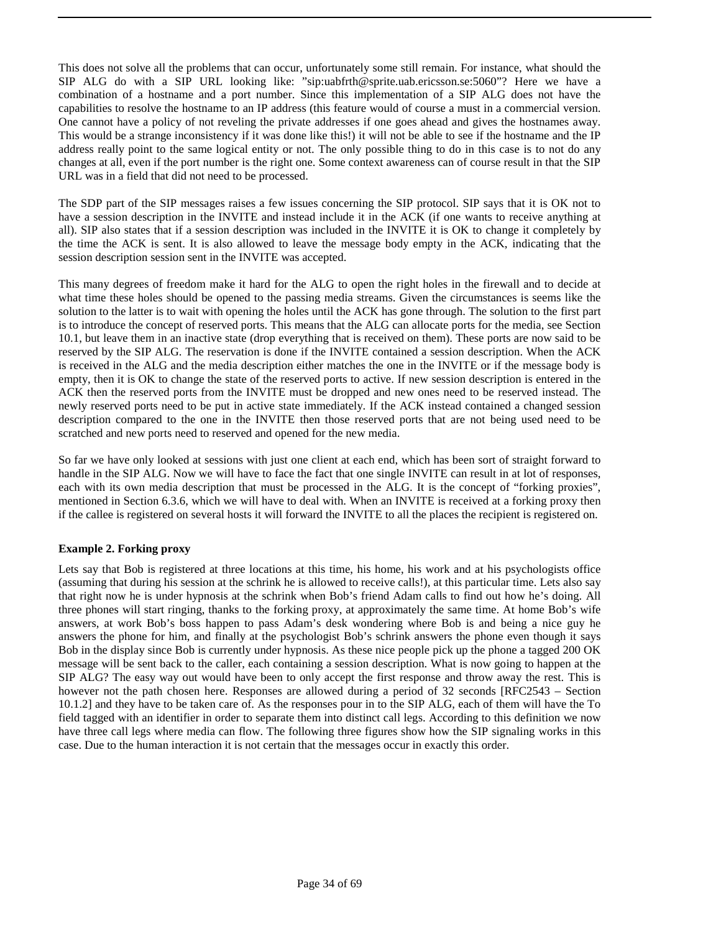This does not solve all the problems that can occur, unfortunately some still remain. For instance, what should the SIP ALG do with a SIP URL looking like: "sip:uabfrth@sprite.uab.ericsson.se:5060"? Here we have a combination of a hostname and a port number. Since this implementation of a SIP ALG does not have the capabilities to resolve the hostname to an IP address (this feature would of course a must in a commercial version. One cannot have a policy of not reveling the private addresses if one goes ahead and gives the hostnames away. This would be a strange inconsistency if it was done like this!) it will not be able to see if the hostname and the IP address really point to the same logical entity or not. The only possible thing to do in this case is to not do any changes at all, even if the port number is the right one. Some context awareness can of course result in that the SIP URL was in a field that did not need to be processed.

The SDP part of the SIP messages raises a few issues concerning the SIP protocol. SIP says that it is OK not to have a session description in the INVITE and instead include it in the ACK (if one wants to receive anything at all). SIP also states that if a session description was included in the INVITE it is OK to change it completely by the time the ACK is sent. It is also allowed to leave the message body empty in the ACK, indicating that the session description session sent in the INVITE was accepted.

This many degrees of freedom make it hard for the ALG to open the right holes in the firewall and to decide at what time these holes should be opened to the passing media streams. Given the circumstances is seems like the solution to the latter is to wait with opening the holes until the ACK has gone through. The solution to the first part is to introduce the concept of reserved ports. This means that the ALG can allocate ports for the media, see Section 10.1, but leave them in an inactive state (drop everything that is received on them). These ports are now said to be reserved by the SIP ALG. The reservation is done if the INVITE contained a session description. When the ACK is received in the ALG and the media description either matches the one in the INVITE or if the message body is empty, then it is OK to change the state of the reserved ports to active. If new session description is entered in the ACK then the reserved ports from the INVITE must be dropped and new ones need to be reserved instead. The newly reserved ports need to be put in active state immediately. If the ACK instead contained a changed session description compared to the one in the INVITE then those reserved ports that are not being used need to be scratched and new ports need to reserved and opened for the new media.

So far we have only looked at sessions with just one client at each end, which has been sort of straight forward to handle in the SIP ALG. Now we will have to face the fact that one single INVITE can result in at lot of responses, each with its own media description that must be processed in the ALG. It is the concept of "forking proxies", mentioned in Section 6.3.6, which we will have to deal with. When an INVITE is received at a forking proxy then if the callee is registered on several hosts it will forward the INVITE to all the places the recipient is registered on.

#### **Example 2. Forking proxy**

Lets say that Bob is registered at three locations at this time, his home, his work and at his psychologists office (assuming that during his session at the schrink he is allowed to receive calls!), at this particular time. Lets also say that right now he is under hypnosis at the schrink when Bob's friend Adam calls to find out how he's doing. All three phones will start ringing, thanks to the forking proxy, at approximately the same time. At home Bob's wife answers, at work Bob's boss happen to pass Adam's desk wondering where Bob is and being a nice guy he answers the phone for him, and finally at the psychologist Bob's schrink answers the phone even though it says Bob in the display since Bob is currently under hypnosis. As these nice people pick up the phone a tagged 200 OK message will be sent back to the caller, each containing a session description. What is now going to happen at the SIP ALG? The easy way out would have been to only accept the first response and throw away the rest. This is however not the path chosen here. Responses are allowed during a period of 32 seconds [RFC2543 – Section 10.1.2] and they have to be taken care of. As the responses pour in to the SIP ALG, each of them will have the To field tagged with an identifier in order to separate them into distinct call legs. According to this definition we now have three call legs where media can flow. The following three figures show how the SIP signaling works in this case. Due to the human interaction it is not certain that the messages occur in exactly this order.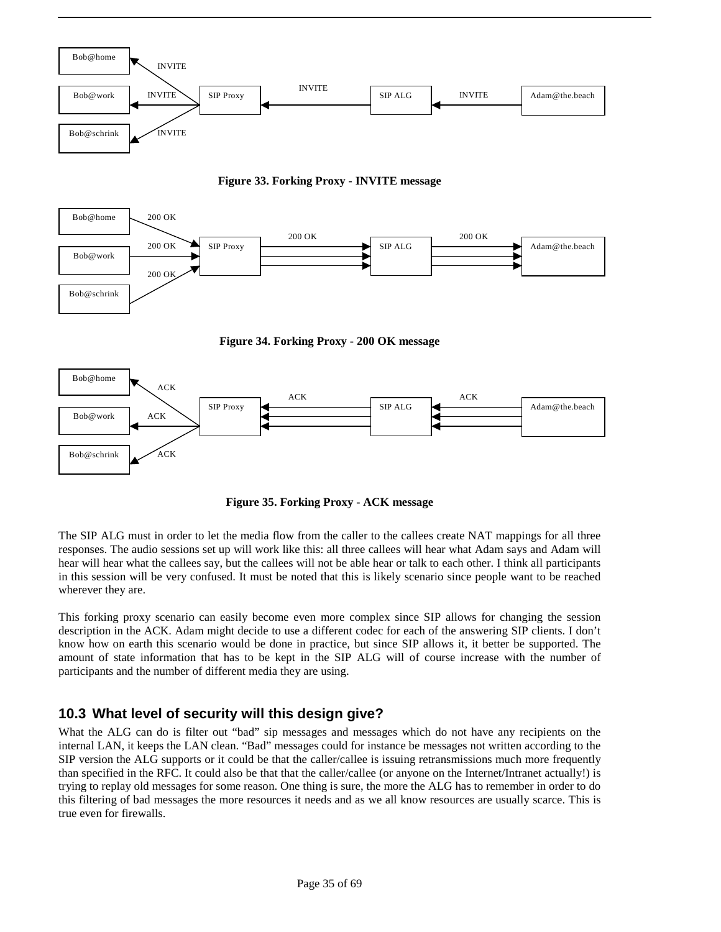

**Figure 33. Forking Proxy - INVITE message**



**Figure 34. Forking Proxy - 200 OK message**



**Figure 35. Forking Proxy - ACK message**

The SIP ALG must in order to let the media flow from the caller to the callees create NAT mappings for all three responses. The audio sessions set up will work like this: all three callees will hear what Adam says and Adam will hear will hear what the callees say, but the callees will not be able hear or talk to each other. I think all participants in this session will be very confused. It must be noted that this is likely scenario since people want to be reached wherever they are.

This forking proxy scenario can easily become even more complex since SIP allows for changing the session description in the ACK. Adam might decide to use a different codec for each of the answering SIP clients. I don't know how on earth this scenario would be done in practice, but since SIP allows it, it better be supported. The amount of state information that has to be kept in the SIP ALG will of course increase with the number of participants and the number of different media they are using.

### **10.3 What level of security will this design give?**

What the ALG can do is filter out "bad" sip messages and messages which do not have any recipients on the internal LAN, it keeps the LAN clean. "Bad" messages could for instance be messages not written according to the SIP version the ALG supports or it could be that the caller/callee is issuing retransmissions much more frequently than specified in the RFC. It could also be that that the caller/callee (or anyone on the Internet/Intranet actually!) is trying to replay old messages for some reason. One thing is sure, the more the ALG has to remember in order to do this filtering of bad messages the more resources it needs and as we all know resources are usually scarce. This is true even for firewalls.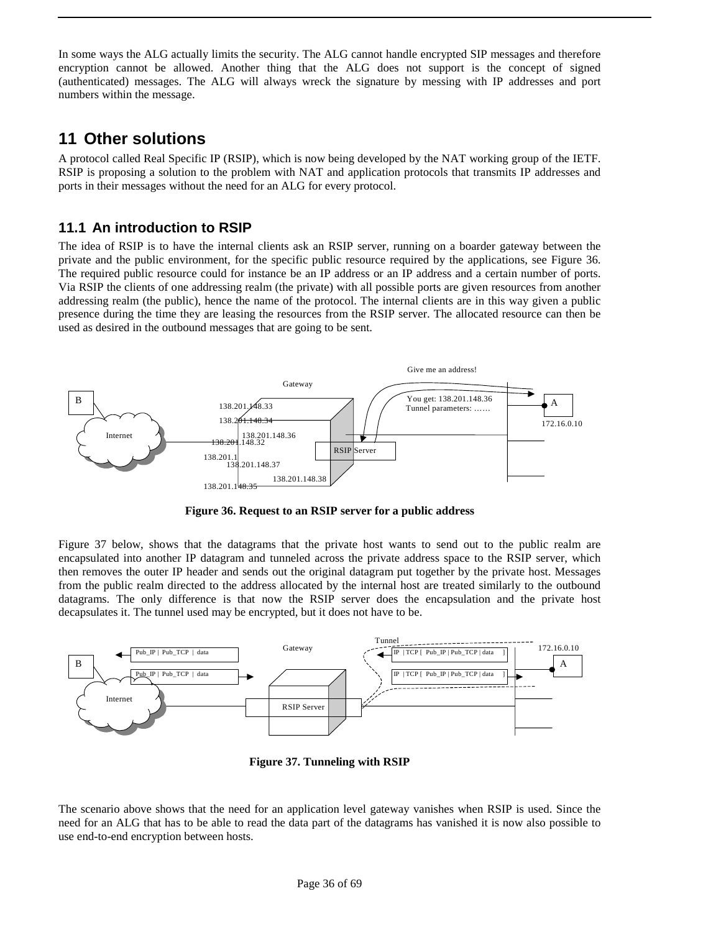In some ways the ALG actually limits the security. The ALG cannot handle encrypted SIP messages and therefore encryption cannot be allowed. Another thing that the ALG does not support is the concept of signed (authenticated) messages. The ALG will always wreck the signature by messing with IP addresses and port numbers within the message.

### **11 Other solutions**

A protocol called Real Specific IP (RSIP), which is now being developed by the NAT working group of the IETF. RSIP is proposing a solution to the problem with NAT and application protocols that transmits IP addresses and ports in their messages without the need for an ALG for every protocol.

### **11.1 An introduction to RSIP**

The idea of RSIP is to have the internal clients ask an RSIP server, running on a boarder gateway between the private and the public environment, for the specific public resource required by the applications, see Figure 36. The required public resource could for instance be an IP address or an IP address and a certain number of ports. Via RSIP the clients of one addressing realm (the private) with all possible ports are given resources from another addressing realm (the public), hence the name of the protocol. The internal clients are in this way given a public presence during the time they are leasing the resources from the RSIP server. The allocated resource can then be used as desired in the outbound messages that are going to be sent.



**Figure 36. Request to an RSIP server for a public address**

Figure 37 below, shows that the datagrams that the private host wants to send out to the public realm are encapsulated into another IP datagram and tunneled across the private address space to the RSIP server, which then removes the outer IP header and sends out the original datagram put together by the private host. Messages from the public realm directed to the address allocated by the internal host are treated similarly to the outbound datagrams. The only difference is that now the RSIP server does the encapsulation and the private host decapsulates it. The tunnel used may be encrypted, but it does not have to be.



**Figure 37. Tunneling with RSIP**

The scenario above shows that the need for an application level gateway vanishes when RSIP is used. Since the need for an ALG that has to be able to read the data part of the datagrams has vanished it is now also possible to use end-to-end encryption between hosts.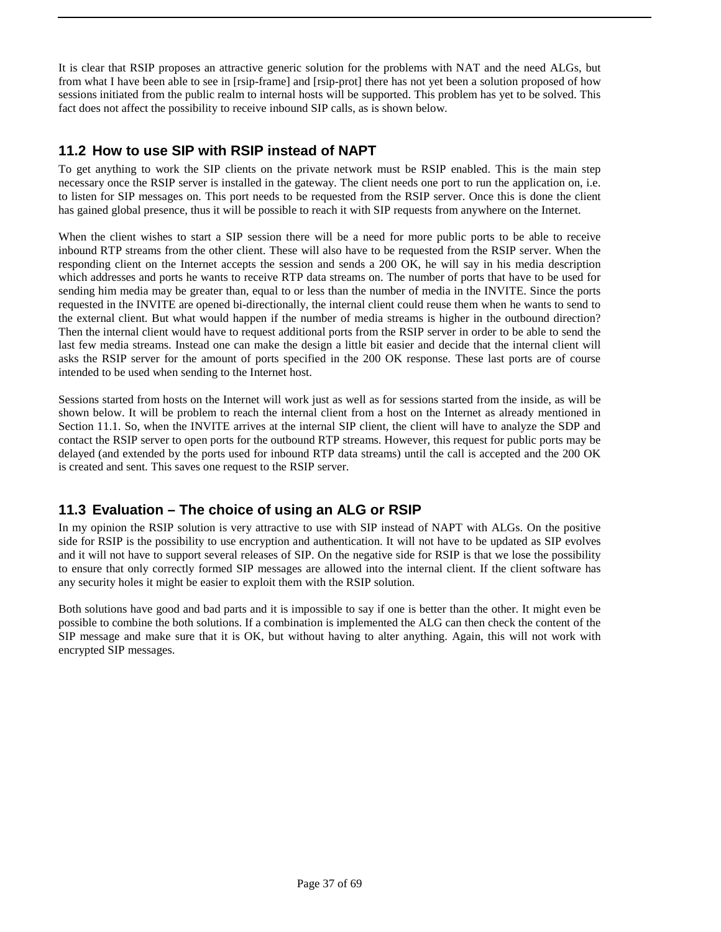It is clear that RSIP proposes an attractive generic solution for the problems with NAT and the need ALGs, but from what I have been able to see in [rsip-frame] and [rsip-prot] there has not yet been a solution proposed of how sessions initiated from the public realm to internal hosts will be supported. This problem has yet to be solved. This fact does not affect the possibility to receive inbound SIP calls, as is shown below.

### **11.2 How to use SIP with RSIP instead of NAPT**

To get anything to work the SIP clients on the private network must be RSIP enabled. This is the main step necessary once the RSIP server is installed in the gateway. The client needs one port to run the application on, i.e. to listen for SIP messages on. This port needs to be requested from the RSIP server. Once this is done the client has gained global presence, thus it will be possible to reach it with SIP requests from anywhere on the Internet.

When the client wishes to start a SIP session there will be a need for more public ports to be able to receive inbound RTP streams from the other client. These will also have to be requested from the RSIP server. When the responding client on the Internet accepts the session and sends a 200 OK, he will say in his media description which addresses and ports he wants to receive RTP data streams on. The number of ports that have to be used for sending him media may be greater than, equal to or less than the number of media in the INVITE. Since the ports requested in the INVITE are opened bi-directionally, the internal client could reuse them when he wants to send to the external client. But what would happen if the number of media streams is higher in the outbound direction? Then the internal client would have to request additional ports from the RSIP server in order to be able to send the last few media streams. Instead one can make the design a little bit easier and decide that the internal client will asks the RSIP server for the amount of ports specified in the 200 OK response. These last ports are of course intended to be used when sending to the Internet host.

Sessions started from hosts on the Internet will work just as well as for sessions started from the inside, as will be shown below. It will be problem to reach the internal client from a host on the Internet as already mentioned in Section 11.1. So, when the INVITE arrives at the internal SIP client, the client will have to analyze the SDP and contact the RSIP server to open ports for the outbound RTP streams. However, this request for public ports may be delayed (and extended by the ports used for inbound RTP data streams) until the call is accepted and the 200 OK is created and sent. This saves one request to the RSIP server.

### **11.3 Evaluation – The choice of using an ALG or RSIP**

In my opinion the RSIP solution is very attractive to use with SIP instead of NAPT with ALGs. On the positive side for RSIP is the possibility to use encryption and authentication. It will not have to be updated as SIP evolves and it will not have to support several releases of SIP. On the negative side for RSIP is that we lose the possibility to ensure that only correctly formed SIP messages are allowed into the internal client. If the client software has any security holes it might be easier to exploit them with the RSIP solution.

Both solutions have good and bad parts and it is impossible to say if one is better than the other. It might even be possible to combine the both solutions. If a combination is implemented the ALG can then check the content of the SIP message and make sure that it is OK, but without having to alter anything. Again, this will not work with encrypted SIP messages.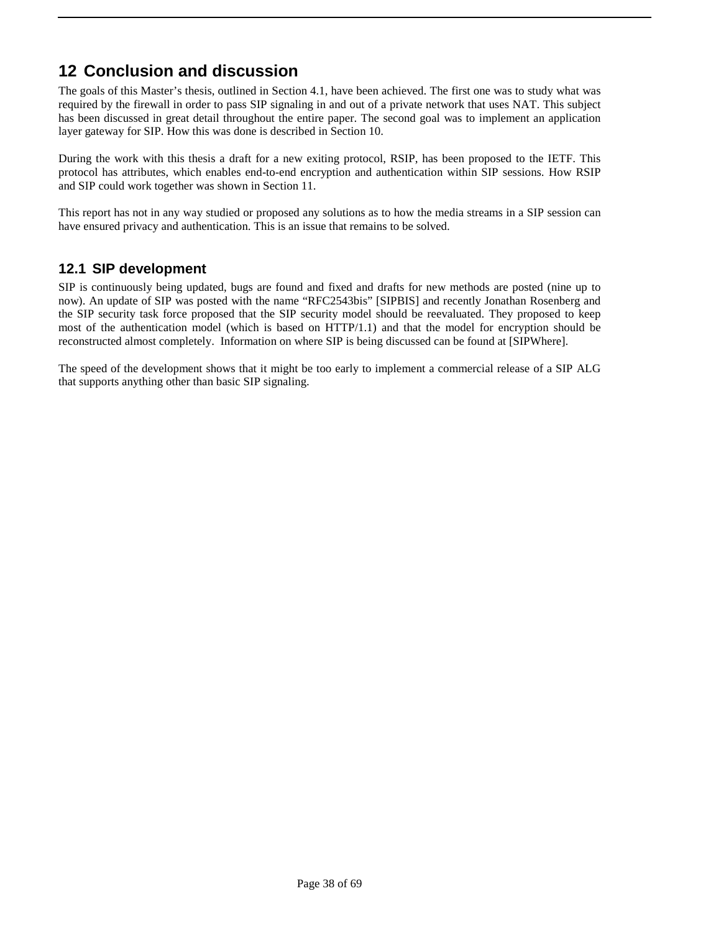# **12 Conclusion and discussion**

The goals of this Master's thesis, outlined in Section 4.1, have been achieved. The first one was to study what was required by the firewall in order to pass SIP signaling in and out of a private network that uses NAT. This subject has been discussed in great detail throughout the entire paper. The second goal was to implement an application layer gateway for SIP. How this was done is described in Section 10.

During the work with this thesis a draft for a new exiting protocol, RSIP, has been proposed to the IETF. This protocol has attributes, which enables end-to-end encryption and authentication within SIP sessions. How RSIP and SIP could work together was shown in Section 11.

This report has not in any way studied or proposed any solutions as to how the media streams in a SIP session can have ensured privacy and authentication. This is an issue that remains to be solved.

### **12.1 SIP development**

SIP is continuously being updated, bugs are found and fixed and drafts for new methods are posted (nine up to now). An update of SIP was posted with the name "RFC2543bis" [SIPBIS] and recently Jonathan Rosenberg and the SIP security task force proposed that the SIP security model should be reevaluated. They proposed to keep most of the authentication model (which is based on HTTP/1.1) and that the model for encryption should be reconstructed almost completely. Information on where SIP is being discussed can be found at [SIPWhere].

The speed of the development shows that it might be too early to implement a commercial release of a SIP ALG that supports anything other than basic SIP signaling.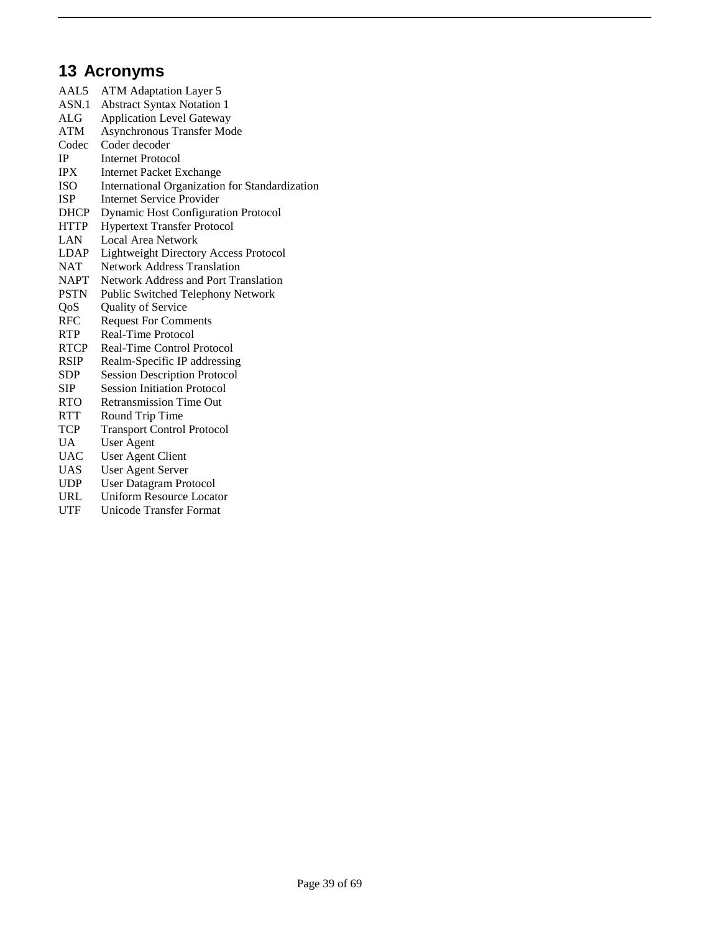# **13 Acronyms**

| <b>ATM Adaptation Layer 5</b>                  |
|------------------------------------------------|
| <b>Abstract Syntax Notation 1</b>              |
| <b>Application Level Gateway</b>               |
| <b>Asynchronous Transfer Mode</b>              |
| Coder decoder                                  |
| Internet Protocol                              |
| <b>Internet Packet Exchange</b>                |
| International Organization for Standardization |
| <b>Internet Service Provider</b>               |
| <b>Dynamic Host Configuration Protocol</b>     |
| <b>Hypertext Transfer Protocol</b>             |
| <b>Local Area Network</b>                      |
| <b>Lightweight Directory Access Protocol</b>   |
| Network Address Translation                    |
| Network Address and Port Translation           |
| Public Switched Telephony Network              |
| Quality of Service                             |
| <b>Request For Comments</b>                    |
| Real-Time Protocol                             |
| Real-Time Control Protocol                     |
| Realm-Specific IP addressing                   |
| <b>Session Description Protocol</b>            |
| <b>Session Initiation Protocol</b>             |
| <b>Retransmission Time Out</b>                 |
| Round Trip Time                                |
| <b>Transport Control Protocol</b>              |
| <b>User Agent</b>                              |
| <b>User Agent Client</b>                       |
| User Agent Server                              |
| <b>User Datagram Protocol</b>                  |
| <b>Uniform Resource Locator</b>                |
|                                                |

UTF Unicode Transfer Format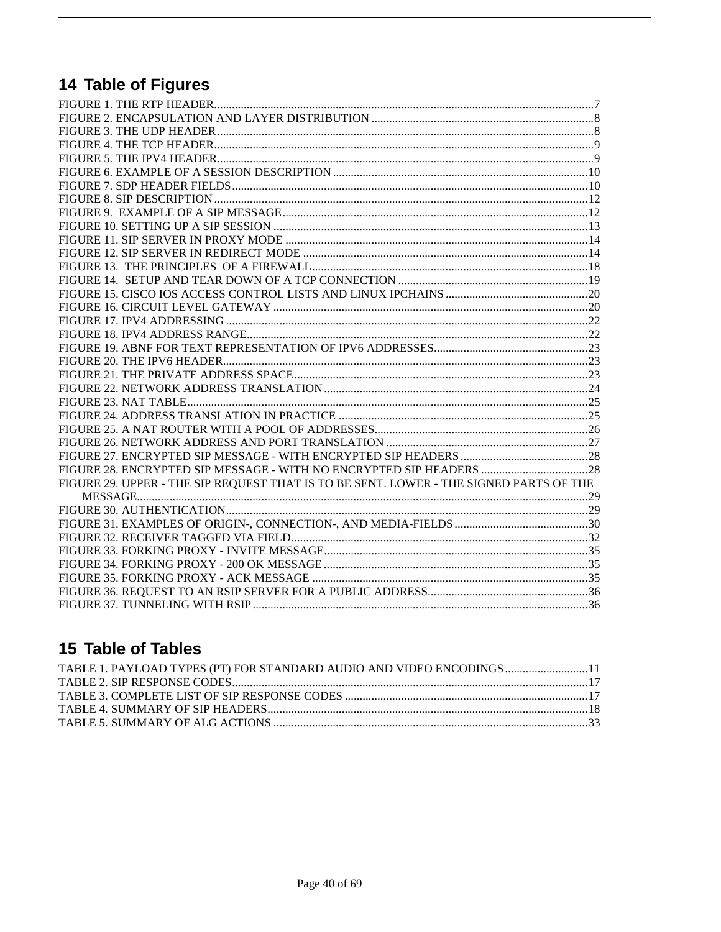# 14 Table of Figures

| FIGURE 28. ENCRYPTED SIP MESSAGE - WITH NO ENCRYPTED SIP HEADERS  28                   |  |
|----------------------------------------------------------------------------------------|--|
| FIGURE 29. UPPER - THE SIP REQUEST THAT IS TO BE SENT. LOWER - THE SIGNED PARTS OF THE |  |
|                                                                                        |  |
|                                                                                        |  |
|                                                                                        |  |
|                                                                                        |  |
|                                                                                        |  |
|                                                                                        |  |
|                                                                                        |  |
|                                                                                        |  |
|                                                                                        |  |

# 15 Table of Tables

| TABLE 1. PAYLOAD TYPES (PT) FOR STANDARD AUDIO AND VIDEO ENCODINGS11 |  |
|----------------------------------------------------------------------|--|
|                                                                      |  |
|                                                                      |  |
|                                                                      |  |
|                                                                      |  |
|                                                                      |  |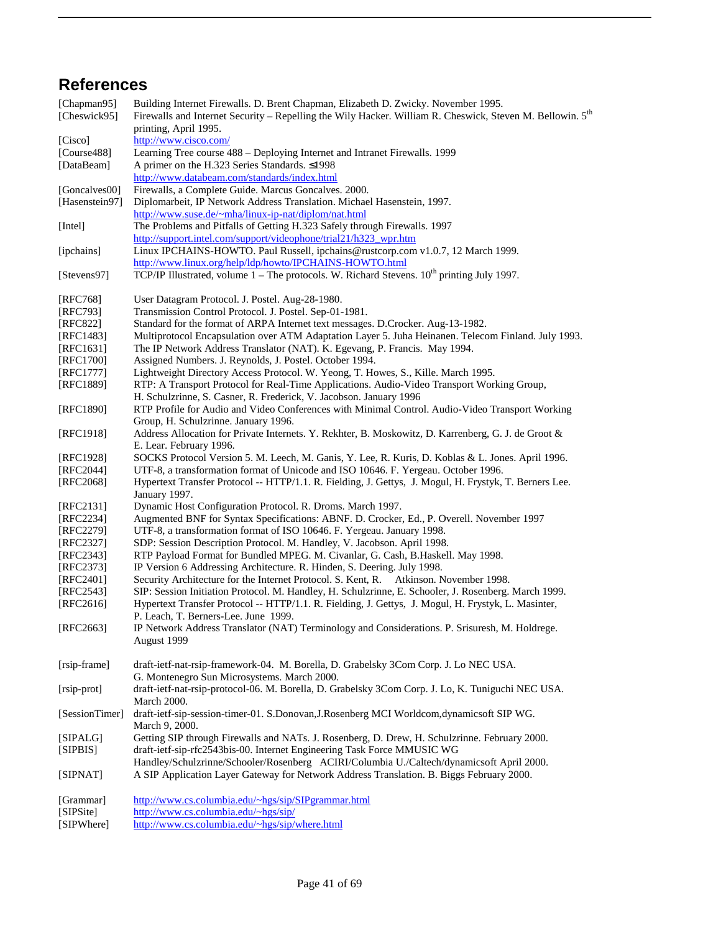# **References**

| [Chapman95]            | Building Internet Firewalls. D. Brent Chapman, Elizabeth D. Zwicky. November 1995.                                      |
|------------------------|-------------------------------------------------------------------------------------------------------------------------|
| [Cheswick95]           | Firewalls and Internet Security - Repelling the Wily Hacker. William R. Cheswick, Steven M. Bellowin. 5th               |
|                        | printing, April 1995.                                                                                                   |
| [Cisco]                | http://www.cisco.com/                                                                                                   |
| [Course488]            | Learning Tree course 488 - Deploying Internet and Intranet Firewalls. 1999                                              |
| [DataBeam]             | A primer on the H.323 Series Standards. ≤1998                                                                           |
|                        | http://www.databeam.com/standards/index.html                                                                            |
| [Goncalves00]          | Firewalls, a Complete Guide. Marcus Goncalves. 2000.                                                                    |
| [Hasenstein97]         | Diplomarbeit, IP Network Address Translation. Michael Hasenstein, 1997.                                                 |
|                        | http://www.suse.de/~mha/linux-ip-nat/diplom/nat.html                                                                    |
| [Intel]                | The Problems and Pitfalls of Getting H.323 Safely through Firewalls. 1997                                               |
|                        | http://support.intel.com/support/videophone/trial21/h323_wpr.htm                                                        |
| [ipchains]             | Linux IPCHAINS-HOWTO. Paul Russell, ipchains@rustcorp.com v1.0.7, 12 March 1999.                                        |
|                        | http://www.linux.org/help/ldp/howto/IPCHAINS-HOWTO.html                                                                 |
| [Stevens97]            | TCP/IP Illustrated, volume $1$ – The protocols. W. Richard Stevens. $10^{th}$ printing July 1997.                       |
|                        |                                                                                                                         |
| [RFC768]               | User Datagram Protocol. J. Postel. Aug-28-1980.                                                                         |
| [RFC793]               | Transmission Control Protocol. J. Postel. Sep-01-1981.                                                                  |
| [RFC822]               | Standard for the format of ARPA Internet text messages. D.Crocker. Aug-13-1982.                                         |
| [RFC1483]              | Multiprotocol Encapsulation over ATM Adaptation Layer 5. Juha Heinanen. Telecom Finland. July 1993.                     |
|                        |                                                                                                                         |
| [RFC1631]<br>[RFC1700] | The IP Network Address Translator (NAT). K. Egevang, P. Francis. May 1994.                                              |
|                        | Assigned Numbers. J. Reynolds, J. Postel. October 1994.                                                                 |
| [RFC1777]              | Lightweight Directory Access Protocol. W. Yeong, T. Howes, S., Kille. March 1995.                                       |
| [RFC1889]              | RTP: A Transport Protocol for Real-Time Applications. Audio-Video Transport Working Group,                              |
|                        | H. Schulzrinne, S. Casner, R. Frederick, V. Jacobson. January 1996                                                      |
| [RFC1890]              | RTP Profile for Audio and Video Conferences with Minimal Control. Audio-Video Transport Working                         |
|                        | Group, H. Schulzrinne. January 1996.                                                                                    |
| [RFC1918]              | Address Allocation for Private Internets. Y. Rekhter, B. Moskowitz, D. Karrenberg, G. J. de Groot &                     |
|                        | E. Lear. February 1996.                                                                                                 |
| [RFC1928]              | SOCKS Protocol Version 5. M. Leech, M. Ganis, Y. Lee, R. Kuris, D. Koblas & L. Jones. April 1996.                       |
| [RFC2044]              | UTF-8, a transformation format of Unicode and ISO 10646. F. Yergeau. October 1996.                                      |
| [RFC2068]              | Hypertext Transfer Protocol -- HTTP/1.1. R. Fielding, J. Gettys, J. Mogul, H. Frystyk, T. Berners Lee.<br>January 1997. |
| [ $RFC2131$ ]          | Dynamic Host Configuration Protocol. R. Droms. March 1997.                                                              |
| [ $RFC2234$ ]          | Augmented BNF for Syntax Specifications: ABNF. D. Crocker, Ed., P. Overell. November 1997                               |
| [RFC2279]              | UTF-8, a transformation format of ISO 10646. F. Yergeau. January 1998.                                                  |
| [RFC2327]              | SDP: Session Description Protocol. M. Handley, V. Jacobson. April 1998.                                                 |
| [RFC2343]              | RTP Payload Format for Bundled MPEG. M. Civanlar, G. Cash, B. Haskell. May 1998.                                        |
| [RFC2373]              | IP Version 6 Addressing Architecture. R. Hinden, S. Deering. July 1998.                                                 |
| [ $RFC2401$ ]          | Security Architecture for the Internet Protocol. S. Kent, R. Atkinson. November 1998.                                   |
| [ $RFC2543$ ]          | SIP: Session Initiation Protocol. M. Handley, H. Schulzrinne, E. Schooler, J. Rosenberg. March 1999.                    |
| [RFC2616]              | Hypertext Transfer Protocol -- HTTP/1.1. R. Fielding, J. Gettys, J. Mogul, H. Frystyk, L. Masinter,                     |
|                        | P. Leach, T. Berners-Lee. June 1999.                                                                                    |
| [RFC2663]              | IP Network Address Translator (NAT) Terminology and Considerations. P. Srisuresh, M. Holdrege.                          |
|                        | August 1999                                                                                                             |
| [rsip-frame]           | draft-ietf-nat-rsip-framework-04. M. Borella, D. Grabelsky 3Com Corp. J. Lo NEC USA.                                    |
|                        | G. Montenegro Sun Microsystems. March 2000.                                                                             |
| [rsip-prot]            | draft-ietf-nat-rsip-protocol-06. M. Borella, D. Grabelsky 3Com Corp. J. Lo, K. Tuniguchi NEC USA.                       |
|                        | <b>March 2000.</b>                                                                                                      |
| [SessionTimer]         | draft-ietf-sip-session-timer-01. S.Donovan, J.Rosenberg MCI Worldcom, dynamicsoft SIP WG.                               |
|                        | March 9, 2000.                                                                                                          |
| [SIPALG]               | Getting SIP through Firewalls and NATs. J. Rosenberg, D. Drew, H. Schulzrinne. February 2000.                           |
| [SIPBIS]               | draft-ietf-sip-rfc2543bis-00. Internet Engineering Task Force MMUSIC WG                                                 |
|                        | Handley/Schulzrinne/Schooler/Rosenberg ACIRI/Columbia U./Caltech/dynamicsoft April 2000.                                |
| [SIPNAT]               | A SIP Application Layer Gateway for Network Address Translation. B. Biggs February 2000.                                |
|                        |                                                                                                                         |
| [Grammar]              | http://www.cs.columbia.edu/~hgs/sip/SIPgrammar.html                                                                     |
| [SIPSite]              | http://www.cs.columbia.edu/~hgs/sip/                                                                                    |
| [QIDWhard]             | $http://www.c. collimhia.edu/~hoc/cin/whora.html$                                                                       |

<sup>[</sup>SIPWhere] http://www.cs.columbia.edu/~hgs/sip/where.html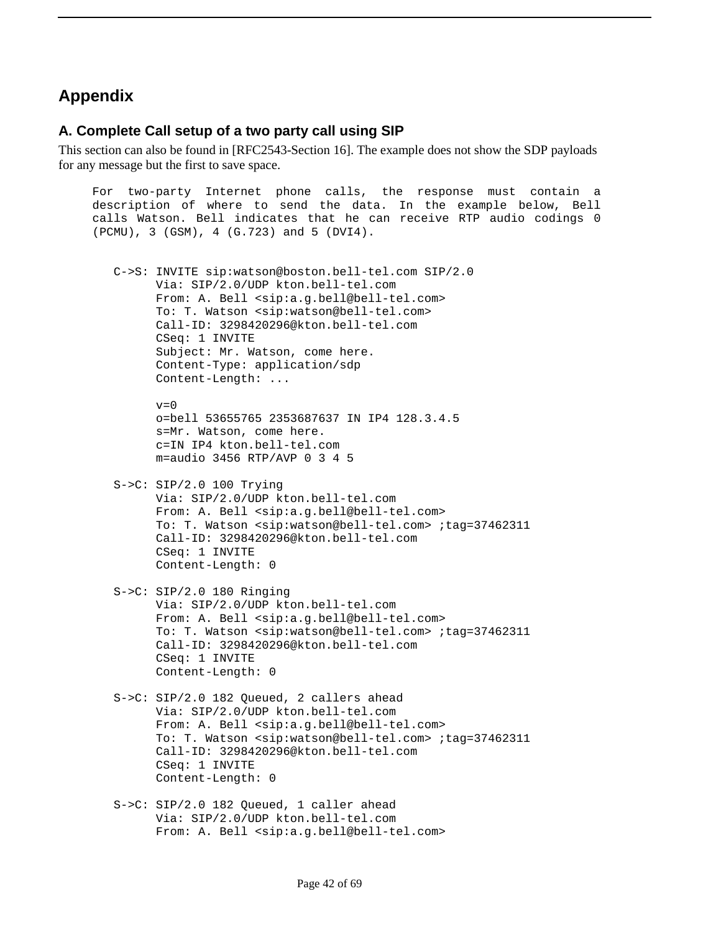# **Appendix**

### **A. Complete Call setup of a two party call using SIP**

This section can also be found in [RFC2543-Section 16]. The example does not show the SDP payloads for any message but the first to save space.

For two-party Internet phone calls, the response must contain a description of where to send the data. In the example below, Bell calls Watson. Bell indicates that he can receive RTP audio codings 0 (PCMU), 3 (GSM), 4 (G.723) and 5 (DVI4). C->S: INVITE sip:watson@boston.bell-tel.com SIP/2.0 Via: SIP/2.0/UDP kton.bell-tel.com From: A. Bell <sip:a.g.bell@bell-tel.com> To: T. Watson <sip:watson@bell-tel.com> Call-ID: 3298420296@kton.bell-tel.com CSeq: 1 INVITE Subject: Mr. Watson, come here. Content-Type: application/sdp Content-Length: ...  $v=0$  o=bell 53655765 2353687637 IN IP4 128.3.4.5 s=Mr. Watson, come here. c=IN IP4 kton.bell-tel.com m=audio 3456 RTP/AVP 0 3 4 5 S->C: SIP/2.0 100 Trying Via: SIP/2.0/UDP kton.bell-tel.com From: A. Bell <sip:a.g.bell@bell-tel.com> To: T. Watson <sip:watson@bell-tel.com> ;tag=37462311 Call-ID: 3298420296@kton.bell-tel.com CSeq: 1 INVITE Content-Length: 0

- S->C: SIP/2.0 180 Ringing Via: SIP/2.0/UDP kton.bell-tel.com From: A. Bell <sip:a.q.bell@bell-tel.com> To: T. Watson <sip:watson@bell-tel.com> ;tag=37462311 Call-ID: 3298420296@kton.bell-tel.com CSeq: 1 INVITE Content-Length: 0
- S->C: SIP/2.0 182 Queued, 2 callers ahead Via: SIP/2.0/UDP kton.bell-tel.com From: A. Bell <sip:a.g.bell@bell-tel.com> To: T. Watson <sip:watson@bell-tel.com> ;tag=37462311 Call-ID: 3298420296@kton.bell-tel.com CSeq: 1 INVITE Content-Length: 0
- S->C: SIP/2.0 182 Queued, 1 caller ahead Via: SIP/2.0/UDP kton.bell-tel.com From: A. Bell <sip:a.g.bell@bell-tel.com>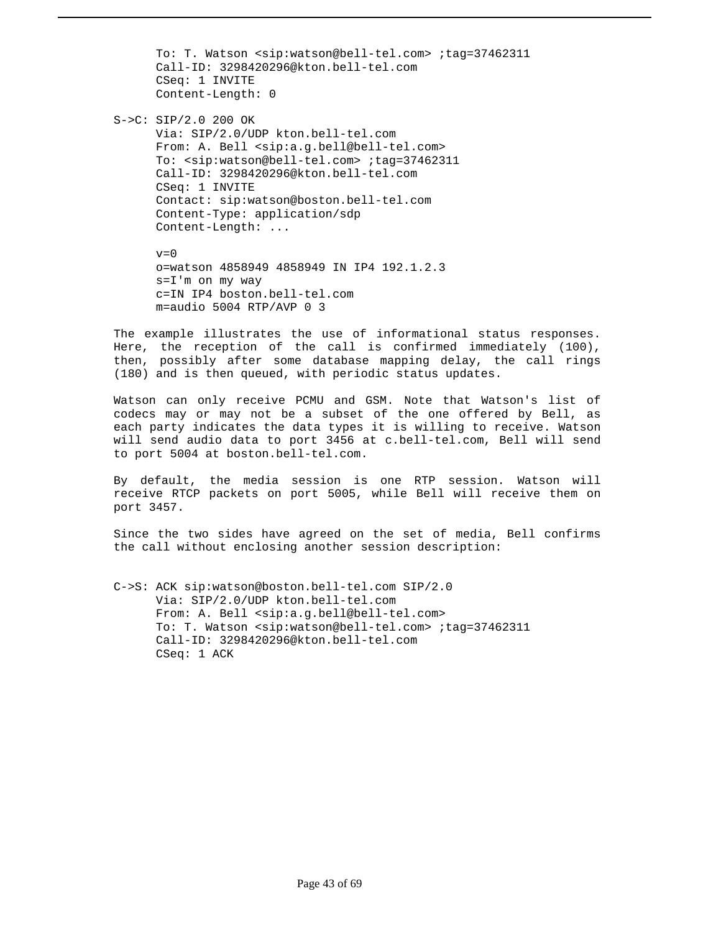To: T. Watson <sip:watson@bell-tel.com> ;tag=37462311 Call-ID: 3298420296@kton.bell-tel.com CSeq: 1 INVITE Content-Length: 0

 S->C: SIP/2.0 200 OK Via: SIP/2.0/UDP kton.bell-tel.com From: A. Bell <sip:a.g.bell@bell-tel.com> To: <sip:watson@bell-tel.com> ;tag=37462311 Call-ID: 3298420296@kton.bell-tel.com CSeq: 1 INVITE Contact: sip:watson@boston.bell-tel.com Content-Type: application/sdp Content-Length: ...

> $v=0$  o=watson 4858949 4858949 IN IP4 192.1.2.3 s=I'm on my way c=IN IP4 boston.bell-tel.com  $m=$ audio 5004 RTP/AVP 0 3

The example illustrates the use of informational status responses. Here, the reception of the call is confirmed immediately (100), then, possibly after some database mapping delay, the call rings (180) and is then queued, with periodic status updates.

Watson can only receive PCMU and GSM. Note that Watson's list of codecs may or may not be a subset of the one offered by Bell, as each party indicates the data types it is willing to receive. Watson will send audio data to port 3456 at c.bell-tel.com, Bell will send to port 5004 at boston.bell-tel.com.

By default, the media session is one RTP session. Watson will receive RTCP packets on port 5005, while Bell will receive them on port 3457.

Since the two sides have agreed on the set of media, Bell confirms the call without enclosing another session description:

 C->S: ACK sip:watson@boston.bell-tel.com SIP/2.0 Via: SIP/2.0/UDP kton.bell-tel.com From: A. Bell <sip:a.g.bell@bell-tel.com> To: T. Watson <sip:watson@bell-tel.com> ;tag=37462311 Call-ID: 3298420296@kton.bell-tel.com CSeq: 1 ACK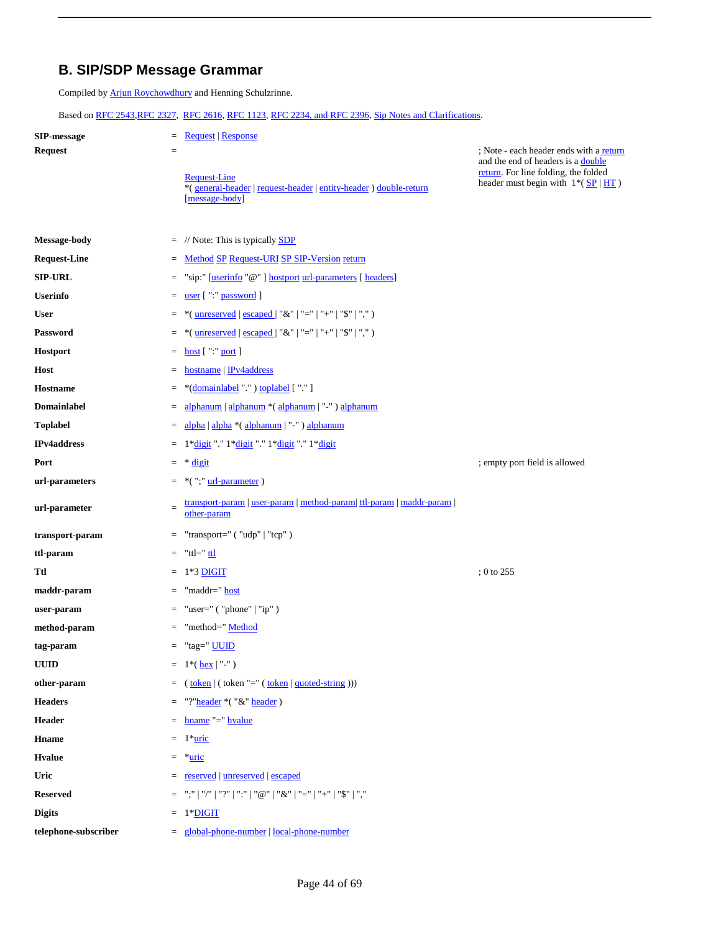### **B. SIP/SDP Message Grammar**

Compiled by Arjun Roychowdhury and Henning Schulzrinne.

Based on RFC 2543,RFC 2327, RFC 2616, RFC 1123, RFC 2234, and RFC 2396, Sip Notes and Clarifications.

| <b>SIP-message</b><br><b>Request</b> | <b>Request   Response</b><br>$=$<br>$=$                                                                    | ; Note - each header ends with a return                                                                                       |  |
|--------------------------------------|------------------------------------------------------------------------------------------------------------|-------------------------------------------------------------------------------------------------------------------------------|--|
|                                      | <b>Request-Line</b><br>*(general-header   request-header   entity-header ) double-return<br>[message-body] | and the end of headers is a double<br>return. For line folding, the folded<br>header must begin with $1*(S\overline{P}   HT)$ |  |
| Message-body                         | // Note: This is typically <b>SDP</b><br>$=$                                                               |                                                                                                                               |  |
| <b>Request-Line</b>                  | Method SP Request-URI SP SIP-Version return<br>$\equiv$                                                    |                                                                                                                               |  |
| <b>SIP-URL</b>                       | "sip:" [userinfo "@"] hostport url-parameters [ headers]<br>$=$                                            |                                                                                                                               |  |
| <b>Userinfo</b>                      | user [":" password ]<br>$\quad =$                                                                          |                                                                                                                               |  |
| <b>User</b>                          | *( <u>unreserved</u>   escaped   "&"   "="   "+"   "\$"   "," )<br>$=$                                     |                                                                                                                               |  |
| <b>Password</b>                      | *( <u>unreserved</u>   escaped   "&"   "="   "+"   "\$"   "," )<br>$\quad =$                               |                                                                                                                               |  |
| Hostport                             | host ["" port]<br>$\quad =$                                                                                |                                                                                                                               |  |
| Host                                 | hostname   IPv4address<br>$=$                                                                              |                                                                                                                               |  |
| Hostname                             | *(domainlabel "") toplabel [""]<br>$=$                                                                     |                                                                                                                               |  |
| <b>Domainlabel</b>                   | alphanum   alphanum * (alphanum   "-") alphanum<br>$\quad =$                                               |                                                                                                                               |  |
| <b>Toplabel</b>                      | alpha   alpha *(alphanum   "-") alphanum<br>$=$                                                            |                                                                                                                               |  |
| <b>IPv4address</b>                   | 1*digit "." 1*digit "." 1*digit "." 1*digit<br>$=$                                                         |                                                                                                                               |  |
| Port                                 | * digit<br>$\quad =$                                                                                       | ; empty port field is allowed                                                                                                 |  |
| url-parameters                       | $*($ ";" url-parameter)<br>$\quad \  \  =$                                                                 |                                                                                                                               |  |
| url-parameter                        | transport-param   user-param   method-param   ttl-param   maddr-param<br>$\qquad \qquad =$<br>other-param  |                                                                                                                               |  |
| transport-param                      | "transport=" $('udp'   "tcp")$<br>$=$                                                                      |                                                                                                                               |  |
| ttl-param                            | "ttl=" ttl<br>$=$                                                                                          |                                                                                                                               |  |
| Ttl                                  | 1*3 DIGIT<br>$=$                                                                                           | $; 0$ to 255                                                                                                                  |  |
| maddr-param                          | "maddr=" host<br>$\quad =$                                                                                 |                                                                                                                               |  |
| user-param                           | "user=" $('phone'   "ip")$<br>$=$                                                                          |                                                                                                                               |  |
| method-param                         | "method=" Method                                                                                           |                                                                                                                               |  |
| tag-param                            | "tag=" UUID<br>$=$                                                                                         |                                                                                                                               |  |
| <b>UUID</b>                          | $1*($ <u>hex</u> $ $ "-" $)$<br>$\equiv$                                                                   |                                                                                                                               |  |
| other-param                          | $(\text{token}   (\text{token} " = " (\text{token}   \text{quoted-string})))$<br>$=$                       |                                                                                                                               |  |
| <b>Headers</b>                       | "?"header *("&" header)<br>$=$                                                                             |                                                                                                                               |  |
| Header                               | $hname = hvalue$<br>$=$                                                                                    |                                                                                                                               |  |
| Hname                                | $1*$ <u>uric</u><br>$\quad =$                                                                              |                                                                                                                               |  |
| <b>H</b> value                       | *uric<br>$=$                                                                                               |                                                                                                                               |  |
| Uric                                 | reserved   unreserved   escaped<br>$=$                                                                     |                                                                                                                               |  |
| <b>Reserved</b>                      | ";"   "/"   "?"   ":"   "@"   "&"   "="   "+"   "\$"   ","<br>$=$                                          |                                                                                                                               |  |
| <b>Digits</b>                        | 1*DIGIT<br>$=$                                                                                             |                                                                                                                               |  |
| telephone-subscriber                 | = global-phone-number   local-phone-number                                                                 |                                                                                                                               |  |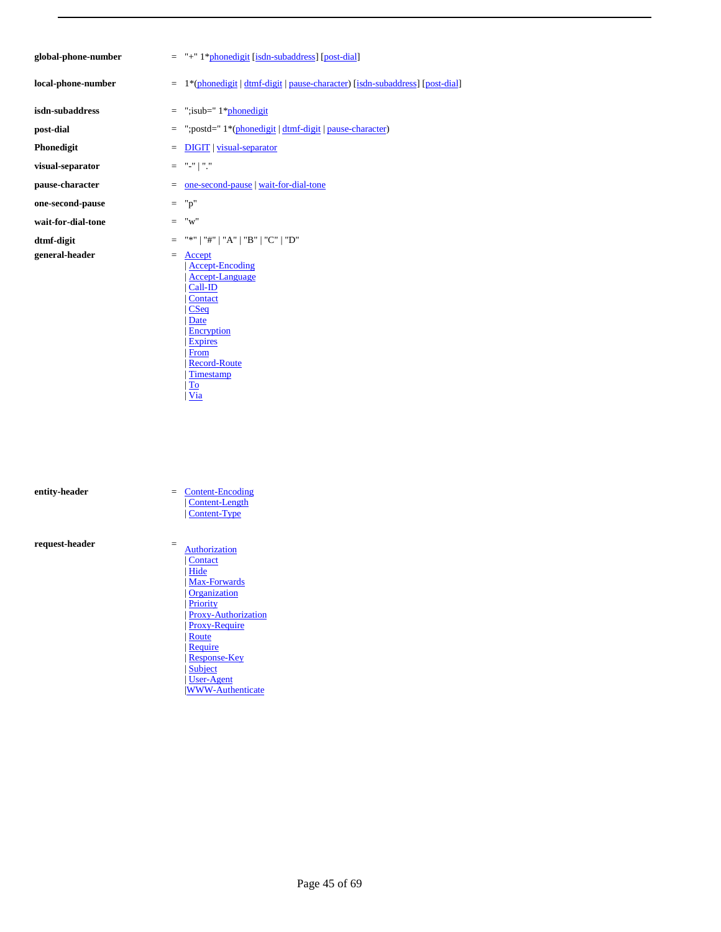| global-phone-number |
|---------------------|
|                     |

- 
- 
- 
- **visual-separator** = "-" | "."
- 
- **one-second-pause** = "p"
- **wait-for-dial-tone** = "w"
- 
- **general-header** =  $\frac{Accept}{?}$

**er** = "+" 1\*phonedigit [isdn-subaddress] [post-dial]

- **local-phone-number** = 1\*(phonedigit | dtmf-digit | pause-character) [isdn-subaddress] [post-dial]
- **isdn-subaddress** = ";isub=" 1\*phonedigit
- **post-dial** = ";postd=" 1\*(phonedigit | dtmf-digit | pause-character)
- **Phonedigit** = DIGIT | <u>visual-separator</u>
	-
- **pause-character** = <u>one-second-pause | wait-for-dial-tone</u>
	-
	-

#### **dtmf-digit** = "\*" | "#" | "A" | "B" | "C" | "D"

| Accept-Encoding Accept-Language | Call-ID | Contact | CSeq | Date | Encryption | Expires | From | Record-Route | Timestamp | To | Via

- **entity-header** = Content-Encoding | Content-Length | Content-Type **request-header** = Authorization | Contact | Hide | Max-Forwards | Organization | Priority Proxy-Authorization | Proxy-Require | Route | Require | Response-Key
	- | Subject
	- | User-Agent |WWW-Authenticate

Page 45 of 69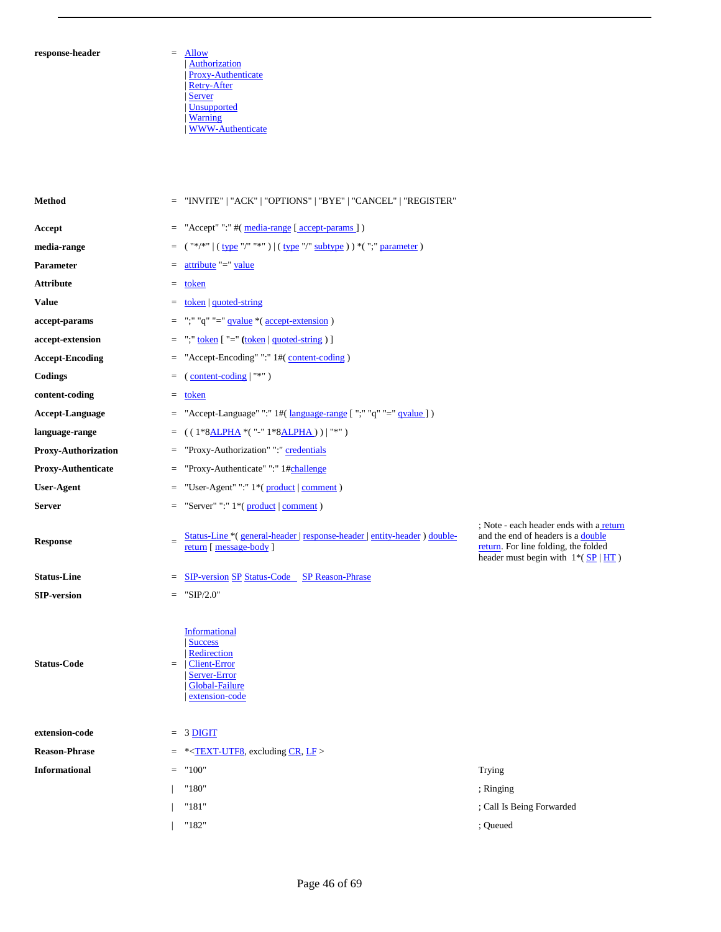#### $\bf{response}\text{-}header$

| Authorization | Proxy-Authenticate | Retry-After | Server | Unsupported | Warning | WWW-Authenticate

| Method                               |     | = "INVITE"   "ACK"   "OPTIONS"   "BYE"   "CANCEL"   "REGISTER"                                                                        |                                                                                                                                                                          |
|--------------------------------------|-----|---------------------------------------------------------------------------------------------------------------------------------------|--------------------------------------------------------------------------------------------------------------------------------------------------------------------------|
| Accept                               |     | $=$ "Accept" ":" #( $\frac{median-range}{meang}$ [ $\frac{accept-params}{sumg}$ ])                                                    |                                                                                                                                                                          |
| media-range                          |     | = $("*/*)$ $(\frac{type "/""*")$ $(\frac{type "/" subtype ')}{# " ( "; " parameter ')} )$                                             |                                                                                                                                                                          |
| Parameter                            | $=$ | attribute "=" value                                                                                                                   |                                                                                                                                                                          |
| Attribute                            |     | $=$ token                                                                                                                             |                                                                                                                                                                          |
| Value                                |     | $=$ token   quoted-string                                                                                                             |                                                                                                                                                                          |
| accept-params                        |     | $=$ ";" "q" "=" qvalue *( accept-extension )                                                                                          |                                                                                                                                                                          |
| accept-extension                     |     | $=$ ";" token ["=" (token   quoted-string ) ]                                                                                         |                                                                                                                                                                          |
| <b>Accept-Encoding</b>               |     | = "Accept-Encoding" ":" 1#(content-coding)                                                                                            |                                                                                                                                                                          |
| Codings                              |     | $=$ (content-coding $ $ "*")                                                                                                          |                                                                                                                                                                          |
| content-coding                       |     | $=$ token                                                                                                                             |                                                                                                                                                                          |
| Accept-Language                      |     | = "Accept-Language" ":" 1#( language-range [ ";" "q" "=" qvalue ])                                                                    |                                                                                                                                                                          |
| language-range                       |     | = $((1 * 8ALPHA * ("-" 1 * 8ALPHA))   "*")$                                                                                           |                                                                                                                                                                          |
| <b>Proxy-Authorization</b>           | $=$ | "Proxy-Authorization" ":" credentials                                                                                                 |                                                                                                                                                                          |
| <b>Proxy-Authenticate</b>            | $=$ | "Proxy-Authenticate" ":" 1#challenge                                                                                                  |                                                                                                                                                                          |
| <b>User-Agent</b>                    | $=$ | "User-Agent" ":" 1*(product   comment)                                                                                                |                                                                                                                                                                          |
| Server                               |     | $=$ "Server" ":" 1*( product   comment )                                                                                              |                                                                                                                                                                          |
| <b>Response</b>                      | $=$ | Status-Line *(general-header   response-header   entity-header ) double-<br>return [ message-body ]                                   | ; Note - each header ends with a return<br>and the end of headers is a double<br>return. For line folding, the folded<br>header must begin with $1*(S\overline{P}   HT)$ |
|                                      |     | <b>SIP-version SP Status-Code</b> SP Reason-Phrase                                                                                    |                                                                                                                                                                          |
| <b>Status-Line</b>                   | $=$ |                                                                                                                                       |                                                                                                                                                                          |
| <b>SIP-version</b>                   |     | $=$ "SIP/2.0"                                                                                                                         |                                                                                                                                                                          |
|                                      |     | <b>Informational</b><br><b>Success</b><br>Redirection<br>$=  Client-Error$<br><b>Server-Error</b><br>Global-Failure<br>extension-code |                                                                                                                                                                          |
| <b>Status-Code</b><br>extension-code |     | $= 3$ DIGIT                                                                                                                           |                                                                                                                                                                          |
| <b>Reason-Phrase</b>                 |     | $=$ * <text-utf8, cr,="" excluding="" lf=""></text-utf8,>                                                                             |                                                                                                                                                                          |
| Informational                        | $=$ | "100"                                                                                                                                 | Trying                                                                                                                                                                   |
|                                      |     | "180"                                                                                                                                 | ; Ringing                                                                                                                                                                |
|                                      |     | "181"                                                                                                                                 | ; Call Is Being Forwarded                                                                                                                                                |
|                                      |     | "182"                                                                                                                                 | ; Queued                                                                                                                                                                 |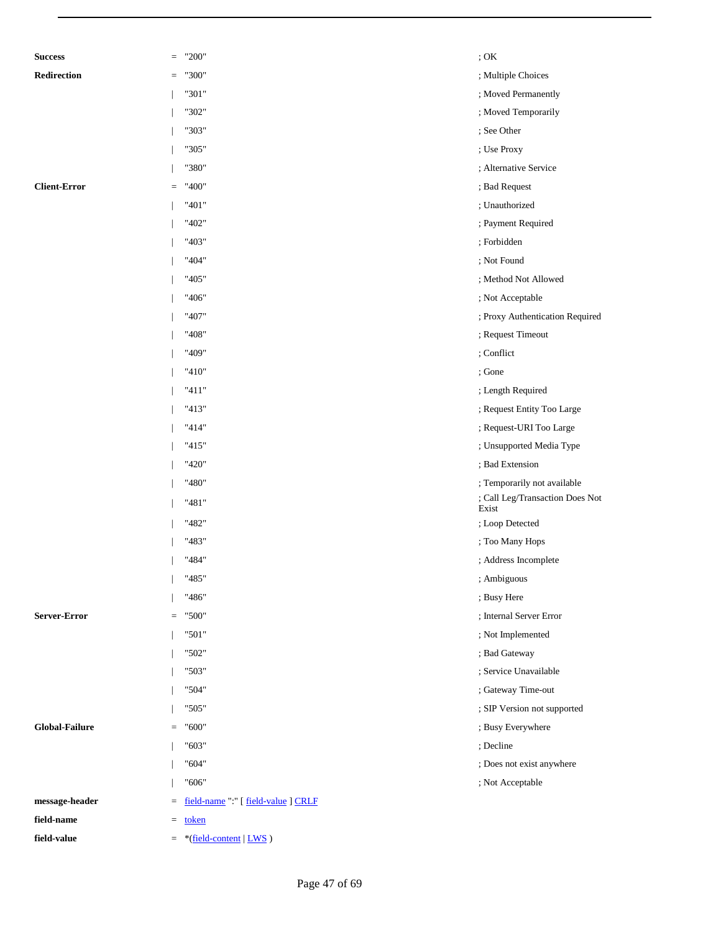| <b>Success</b>        | $\quad = \quad$ | "200"                               | ; OK                                     |
|-----------------------|-----------------|-------------------------------------|------------------------------------------|
| Redirection           | $\quad =$       | "300"                               | ; Multiple Choices                       |
|                       |                 | "301"                               | ; Moved Permanently                      |
|                       |                 | "302"                               | ; Moved Temporarily                      |
|                       |                 | "303"                               | ; See Other                              |
|                       |                 | "305"                               | ; Use Proxy                              |
|                       |                 | "380"                               | ; Alternative Service                    |
| <b>Client-Error</b>   | $\equiv$        | "400"                               | ; Bad Request                            |
|                       |                 | "401"                               | ; Unauthorized                           |
|                       |                 | "402"                               | ; Payment Required                       |
|                       |                 | "403"                               | ; Forbidden                              |
|                       |                 | "404"                               | ; Not Found                              |
|                       |                 | "405"                               | ; Method Not Allowed                     |
|                       |                 | "406"                               | ; Not Acceptable                         |
|                       |                 | "407"                               | ; Proxy Authentication Required          |
|                       |                 | "408"                               | ; Request Timeout                        |
|                       |                 | "409"                               | ; Conflict                               |
|                       |                 | "410"                               | ; Gone                                   |
|                       |                 | "411"                               | ; Length Required                        |
|                       |                 | "413"                               | ; Request Entity Too Large               |
|                       |                 | "414"                               | ; Request-URI Too Large                  |
|                       |                 | "415"                               | ; Unsupported Media Type                 |
|                       |                 | "420"                               | ; Bad Extension                          |
|                       |                 | "480"                               | ; Temporarily not available              |
|                       |                 | "481"                               | ; Call Leg/Transaction Does Not<br>Exist |
|                       |                 | "482"                               | ; Loop Detected                          |
|                       |                 | "483"                               | ; Too Many Hops                          |
|                       |                 | "484"                               | ; Address Incomplete                     |
|                       |                 | "485"                               | ; Ambiguous                              |
|                       |                 | "486"                               | ; Busy Here                              |
| Server-Error          | $\quad =$       | "500"                               | ; Internal Server Error                  |
|                       |                 | "501"                               | ; Not Implemented                        |
|                       |                 | "502"                               | ; Bad Gateway                            |
|                       |                 | "503"                               | ; Service Unavailable                    |
|                       |                 | "504"                               | ; Gateway Time-out                       |
|                       |                 | "505"                               | ; SIP Version not supported              |
| <b>Global-Failure</b> | $\quad = \quad$ | "600"                               | ; Busy Everywhere                        |
|                       |                 | "603"                               | ; Decline                                |
|                       |                 | "604"                               | ; Does not exist anywhere                |
|                       |                 | "606"                               | ; Not Acceptable                         |
| message-header        | $\quad =$       | field-name ":" [ field-value ] CRLF |                                          |
| field-name            | $\equiv$        | token                               |                                          |
| field-value           |                 | $=$ *(field-content   LWS)          |                                          |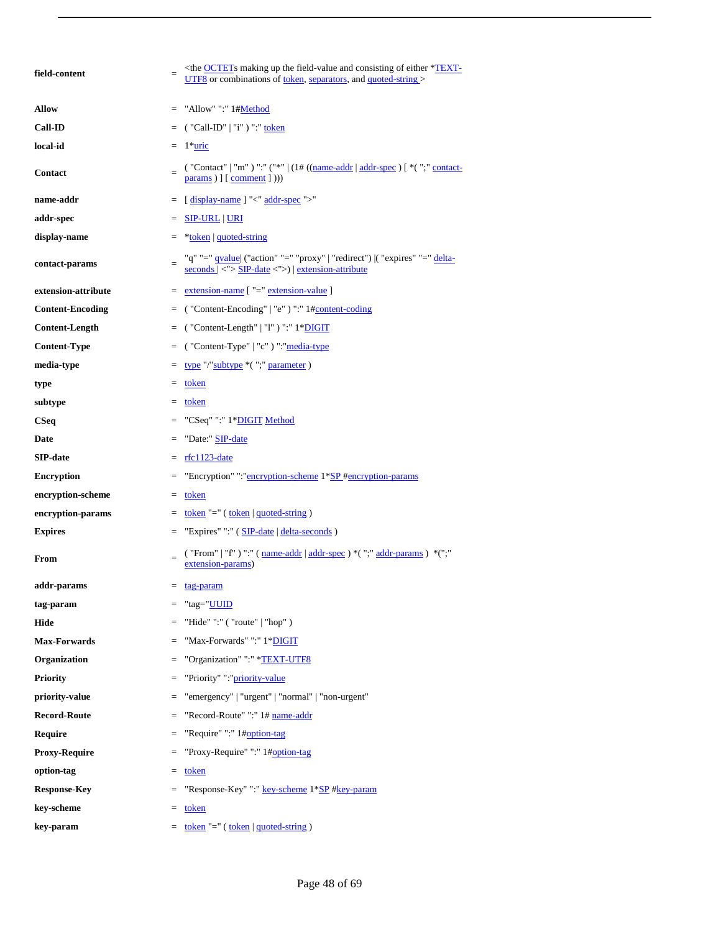| field-content           | $=$ | $\langle$ the <b>OCTET</b> s making up the field-value and consisting of either * <b>TEXT</b> -<br>UTF8 or combinations of token, separators, and quoted-string >                               |
|-------------------------|-----|-------------------------------------------------------------------------------------------------------------------------------------------------------------------------------------------------|
| <b>Allow</b>            | $=$ | "Allow" ":" 1#Method                                                                                                                                                                            |
| <b>Call-ID</b>          | $=$ | ( "Call-ID"   "i" ) ":" <u>token</u>                                                                                                                                                            |
| local-id                |     | $= 1$ *uric                                                                                                                                                                                     |
| Contact                 | $=$ | ("Contact"   "m") ":" ("*"   $(1# ((name-addr   addr-spec) [ * (";" contact-$<br>$params$ ) $]$ $[ comment ]$ $)))$                                                                             |
| name-addr               | $=$ | [display-name] "<" addr-spec ">"                                                                                                                                                                |
| addr-spec               | $=$ | <b>SIP-URL   URI</b>                                                                                                                                                                            |
| display-name            |     | $=$ *token   quoted-string                                                                                                                                                                      |
| contact-params          | $=$ | "q" "=" <u>qvalue</u>   ("action" "=" "proxy"   "redirect")  ( "expires" "=" delta-<br>$seconds$ $  \langle \cdot   \cdot \rangle$ SIP-date $\langle \cdot   \cdot \rangle$ extension-attribute |
| extension-attribute     |     | $=$ extension-name $[$ "=" extension-value ]                                                                                                                                                    |
| <b>Content-Encoding</b> | $=$ | ("Content-Encoding"   "e") ":" 1#content-coding                                                                                                                                                 |
| <b>Content-Length</b>   | $=$ | ("Content-Length"   "l") ":" 1*DIGIT                                                                                                                                                            |
| <b>Content-Type</b>     | $=$ | ("Content-Type"   "c") ": "media-type                                                                                                                                                           |
| media-type              |     | $=$ type "/"subtype $*($ ";" parameter)                                                                                                                                                         |
| type                    |     | $=$ token                                                                                                                                                                                       |
| subtype                 |     | $=$ token                                                                                                                                                                                       |
| <b>CSeq</b>             | $=$ | "CSeq" ":" 1*DIGIT Method                                                                                                                                                                       |
| Date                    | $=$ | "Date:" SIP-date                                                                                                                                                                                |
| <b>SIP-date</b>         | $=$ | rfc1123-date                                                                                                                                                                                    |
| <b>Encryption</b>       | $=$ | "Encryption" ":"encryption-scheme 1*SP #encryption-params                                                                                                                                       |
| encryption-scheme       |     | $=$ token                                                                                                                                                                                       |
| encryption-params       |     | $=$ token "=" (token   quoted-string)                                                                                                                                                           |
| <b>Expires</b>          | $=$ | "Expires" ":" (SIP-date   delta-seconds)                                                                                                                                                        |
| From                    | $=$ | ("From"   "f") "." (name-addr   addr-spec ) * (";" addr-params ) * (";"<br>extension-params)                                                                                                    |
| addr-params             |     | $=$ tag-param                                                                                                                                                                                   |
| tag-param               | $=$ | "tag="UUID                                                                                                                                                                                      |
| Hide                    |     | "Hide" ":" ( "route"   "hop" )                                                                                                                                                                  |
| <b>Max-Forwards</b>     | $=$ | "Max-Forwards" ":" 1*DIGIT                                                                                                                                                                      |
| Organization            | $=$ | "Organization" ":" *TEXT-UTF8                                                                                                                                                                   |
| <b>Priority</b>         | $=$ | "Priority" ":"priority-value                                                                                                                                                                    |
| priority-value          | $=$ | "emergency"   "urgent"   "normal"   "non-urgent"                                                                                                                                                |
| <b>Record-Route</b>     | $=$ | "Record-Route" ":" 1# name-addr                                                                                                                                                                 |
| <b>Require</b>          | $=$ | "Require" ":" 1#option-tag                                                                                                                                                                      |
| <b>Proxy-Require</b>    | $=$ | "Proxy-Require" ":" 1#option-tag                                                                                                                                                                |
| option-tag              | $=$ | token                                                                                                                                                                                           |
| <b>Response-Key</b>     | $=$ | "Response-Key" ":" key-scheme 1*SP #key-param                                                                                                                                                   |
| key-scheme              |     | $=$ token                                                                                                                                                                                       |
| key-param               |     | = <u>token</u> "=" (token   quoted-string)                                                                                                                                                      |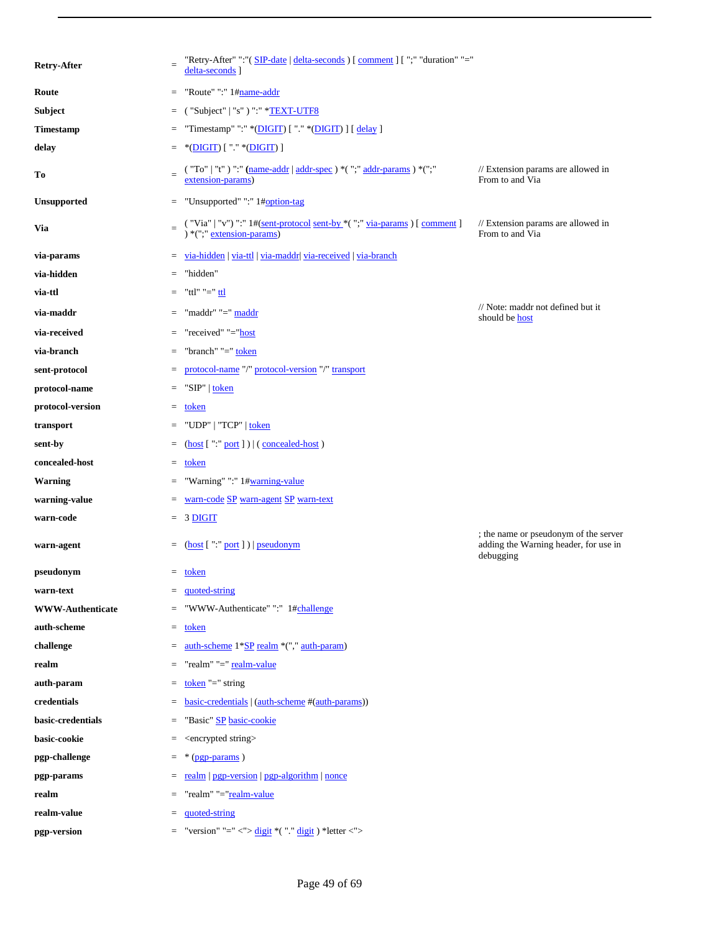| <b>Retry-After</b>      | $=$ | "Retry-After" ":"( SIP-date   delta-seconds ) [ comment ] [ ";" "duration" "="<br>delta-seconds]                                                                                                                   |                                                                                             |
|-------------------------|-----|--------------------------------------------------------------------------------------------------------------------------------------------------------------------------------------------------------------------|---------------------------------------------------------------------------------------------|
| Route                   | $=$ | "Route" ":" 1#name-addr                                                                                                                                                                                            |                                                                                             |
| Subject                 | $=$ | ("Subject"   "s") " <sup>.</sup> " *TEXT-UTF8                                                                                                                                                                      |                                                                                             |
| Timestamp               | $=$ | "Timestamp" ":" *(DIGIT) [ "." *(DIGIT) ] [ delay ]                                                                                                                                                                |                                                                                             |
| delay                   | $=$ | *(DIGIT) [ "." *(DIGIT) ]                                                                                                                                                                                          |                                                                                             |
| Tо                      |     | ("To"   "t") ":" (name-addr   addr-spec ) *(";" addr-params ) *(";"<br>extension-params)                                                                                                                           | // Extension params are allowed in<br>From to and Via                                       |
| <b>Unsupported</b>      |     | = "Unsupported" ":" 1#option-tag                                                                                                                                                                                   |                                                                                             |
| Via                     | $=$ | ( "Via"   "v") ":" $1\#(\underline{\text{sent-protocol}}\underline{\text{sent-by}}*($ ";" $\underline{\text{via-params}})$<br>[ $\underline{\text{comment}}$ ]<br><br>*(";" $\underline{\text{extension-params}})$ | // Extension params are allowed in<br>From to and Via                                       |
| via-params              |     | $=$ yia-hidden   yia-ttl   yia-maddr  yia-received   yia-branch                                                                                                                                                    |                                                                                             |
| via-hidden              | $=$ | "hidden"                                                                                                                                                                                                           |                                                                                             |
| via-ttl                 |     | $=$ "ttl" "=" <u>ttl</u>                                                                                                                                                                                           |                                                                                             |
| via-maddr               | $=$ | "maddr" "=" maddr                                                                                                                                                                                                  | // Note: maddr not defined but it<br>should be <b>host</b>                                  |
| via-received            | $=$ | "received" "="host                                                                                                                                                                                                 |                                                                                             |
| via-branch              | $=$ | "branch" "=" token                                                                                                                                                                                                 |                                                                                             |
| sent-protocol           |     | = protocol-name "/" protocol-version "/" transport                                                                                                                                                                 |                                                                                             |
| protocol-name           | $=$ | "SIP"   token                                                                                                                                                                                                      |                                                                                             |
| protocol-version        | $=$ | token                                                                                                                                                                                                              |                                                                                             |
| transport               |     | $=$ "UDP"   "TCP"   token                                                                                                                                                                                          |                                                                                             |
| sent-by                 |     | $=$ (host ["" port ]) $ $ (concealed-host)                                                                                                                                                                         |                                                                                             |
| concealed-host          |     | $=$ token                                                                                                                                                                                                          |                                                                                             |
| <b>Warning</b>          |     | $=$ "Warning" ":" 1#warning-value                                                                                                                                                                                  |                                                                                             |
| warning-value           | $=$ | warn-code SP warn-agent SP warn-text                                                                                                                                                                               |                                                                                             |
| warn-code               |     | $= 3$ DIGIT                                                                                                                                                                                                        |                                                                                             |
| warn-agent              |     | $=$ (host [":" port ])   pseudonym                                                                                                                                                                                 | ; the name or pseudonym of the server<br>adding the Warning header, for use in<br>debugging |
| pseudonym               |     | $=$ token                                                                                                                                                                                                          |                                                                                             |
| warn-text               | $=$ | quoted-string                                                                                                                                                                                                      |                                                                                             |
| <b>WWW-Authenticate</b> |     | "WWW-Authenticate" ":" 1#challenge                                                                                                                                                                                 |                                                                                             |
| auth-scheme             |     | $=$ token                                                                                                                                                                                                          |                                                                                             |
| challenge               | $=$ | auth-scheme 1*SP realm *("," auth-param)                                                                                                                                                                           |                                                                                             |
| realm                   |     | "realm" "=" realm-value                                                                                                                                                                                            |                                                                                             |
| auth-param              | $=$ | token " $=$ " string                                                                                                                                                                                               |                                                                                             |
| credentials             | $=$ | basic-credentials   (auth-scheme #(auth-params))                                                                                                                                                                   |                                                                                             |
| basic-credentials       | $=$ | "Basic" SP basic-cookie                                                                                                                                                                                            |                                                                                             |
| basic-cookie            | $=$ | <encrypted string=""></encrypted>                                                                                                                                                                                  |                                                                                             |
| pgp-challenge           | $=$ | $*(pp$ -params)                                                                                                                                                                                                    |                                                                                             |
| pgp-params              | $=$ | realm   pgp-version   pgp-algorithm   nonce                                                                                                                                                                        |                                                                                             |
| realm                   | $=$ | "realm" "="realm-value                                                                                                                                                                                             |                                                                                             |
| realm-value             | $=$ | quoted-string                                                                                                                                                                                                      |                                                                                             |
| pgp-version             | $=$ | "version" "=" <"> $\frac{digit}{di}$ *("." $\frac{digit}{di}$ ) *letter <">                                                                                                                                        |                                                                                             |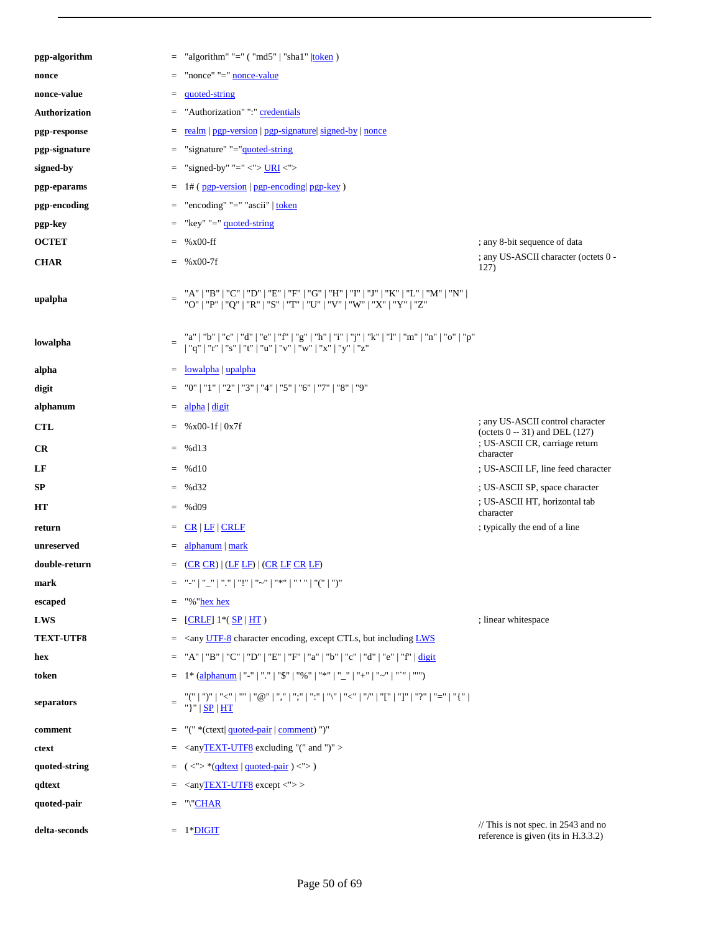| pgp-algorithm    | $=$             | "algorithm" "=" $('md5"   "sha1"   token)$                                                                                                                   |                                                                                                        |
|------------------|-----------------|--------------------------------------------------------------------------------------------------------------------------------------------------------------|--------------------------------------------------------------------------------------------------------|
| nonce            | $=$             | "nonce" "=" nonce-value                                                                                                                                      |                                                                                                        |
| nonce-value      | $=$             | quoted-string                                                                                                                                                |                                                                                                        |
| Authorization    | $=$             | "Authorization" ": " credentials                                                                                                                             |                                                                                                        |
| pgp-response     | $=$             | realm   pgp-version   pgp-signature   signed-by   nonce                                                                                                      |                                                                                                        |
| pgp-signature    | $=$             | "signature" "="guoted-string                                                                                                                                 |                                                                                                        |
| signed-by        | $=$             | "signed-by" "=" <"> $URI$ <">                                                                                                                                |                                                                                                        |
| pgp-eparams      | $=$             | $1#$ (pgp-version   pgp-encoding   pgp-key)                                                                                                                  |                                                                                                        |
| pgp-encoding     | $=$             | "encoding" "=" "ascii"   token                                                                                                                               |                                                                                                        |
| pgp-key          | $=$             | "key" "=" quoted-string                                                                                                                                      |                                                                                                        |
| <b>OCTET</b>     | $=$             | $%x00-ff$                                                                                                                                                    | ; any 8-bit sequence of data                                                                           |
| <b>CHAR</b>      | $=$             | $%x00-7f$                                                                                                                                                    | ; any US-ASCII character (octets 0 -<br>127)                                                           |
| upalpha          | $\quad \  \  =$ | "A"   "B"   "C"   "D"   "E"   "F"   "G"   "H"   "I"   "J"   "K"   "L"   "M"   "N"  <br>"O"   "P"   "Q"   "R"   "S"   "T"   "U"   "V"   "W"   "X"   "Y"   "Z" |                                                                                                        |
| lowalpha         | $=$             | "a"   "b"   "c"   "d"   "e"   "f"   "g"   "h"   "i"   "j"   "k"   "l"   "m"   "n"   "o"   "p"   "q"   "r"   "s"   "t"   "v"   "v"   "w"   "x"   "y"   "z"    |                                                                                                        |
| alpha            | $=$             | lowalpha   upalpha                                                                                                                                           |                                                                                                        |
| digit            | $=$             | "0"   "1"   "2"   "3"   "4"   "5"   "6"   "7"   "8"   "9"                                                                                                    |                                                                                                        |
| alphanum         | $=$             | alpha digit                                                                                                                                                  |                                                                                                        |
| <b>CTL</b>       | $=$             | $%x00-1f$   0x7f                                                                                                                                             | ; any US-ASCII control character<br>(octets $0 - 31$ ) and DEL (127)<br>; US-ASCII CR, carriage return |
| CR               | $=$             | %d13                                                                                                                                                         | character                                                                                              |
| LF               | $=$             | %d10                                                                                                                                                         | ; US-ASCII LF, line feed character                                                                     |
| SP               | $=$             | % $d32$                                                                                                                                                      | ; US-ASCII SP, space character<br>; US-ASCII HT, horizontal tab                                        |
| HТ               | $=$             | %d09                                                                                                                                                         | character                                                                                              |
| return           | $=$             | $CR$   $LF$   $CRLF$                                                                                                                                         | ; typically the end of a line                                                                          |
| unreserved       | $=$             | alphanum   mark                                                                                                                                              |                                                                                                        |
| double-return    | $=$             | $(CR \overline{CR})$ $(LF \overline{LF})$ $(CR \overline{LF} \overline{CR} \overline{LF})$                                                                   |                                                                                                        |
| mark             | $=$             | "("   "_"   "."   "!"   "~"   "*"   " ' "   "("   ")                                                                                                         |                                                                                                        |
| escaped          | $=$             | "%"hex hex                                                                                                                                                   |                                                                                                        |
| LWS              | $=$             | $[CRLF]$ 1*( $SP HT$ )                                                                                                                                       | ; linear whitespace                                                                                    |
| <b>TEXT-UTF8</b> | $=$             | $\langle$ <any but="" character="" ctls,="" encoding,="" except="" including="" lws<="" th="" utf-8=""><th></th></any>                                       |                                                                                                        |
| hex              | $=$             | "A"   "B"   "C"   "D"   "E"   "F"   "a"   "b"   "c"   "d"   "e"   "f"   $\frac{digit}{d$                                                                     |                                                                                                        |
| token            | $=$             | 1* (alphanum   "-"   "."   "\$"   "%"   "*"   "_"   "+"   "~"   "`"   """)                                                                                   |                                                                                                        |
| separators       | $=$             | "("   ")"   "<"   ""   "@"   ","   ";"   ":"   "\"   "<"   "/"   "["   "]"   "?"   "="   "{"  <br>"}"   <b>SP</b>   HT                                       |                                                                                                        |
| comment          | $=$             | "(" *(ctext  quoted-pair   comment) ")"                                                                                                                      |                                                                                                        |
| ctext            | $=$             | <anytext-utf8 "("="" ")"="" and="" excluding=""></anytext-utf8>                                                                                              |                                                                                                        |
| quoted-string    | $=$             | $(<\sim^{\prime}>$ *(qdtext   quoted-pair ) < $\sim$ >)                                                                                                      |                                                                                                        |
| qdtext           | $=$             | $\langle$ anyTEXT-UTF8 except $\langle$ "> >                                                                                                                 |                                                                                                        |
| quoted-pair      | $=$             | "\"CHAR                                                                                                                                                      |                                                                                                        |
| delta-seconds    | $=$             | 1*DIGIT                                                                                                                                                      | $\frac{1}{2}$ This is not spec. in 2543 and no<br>reference is given (its in H.3.3.2)                  |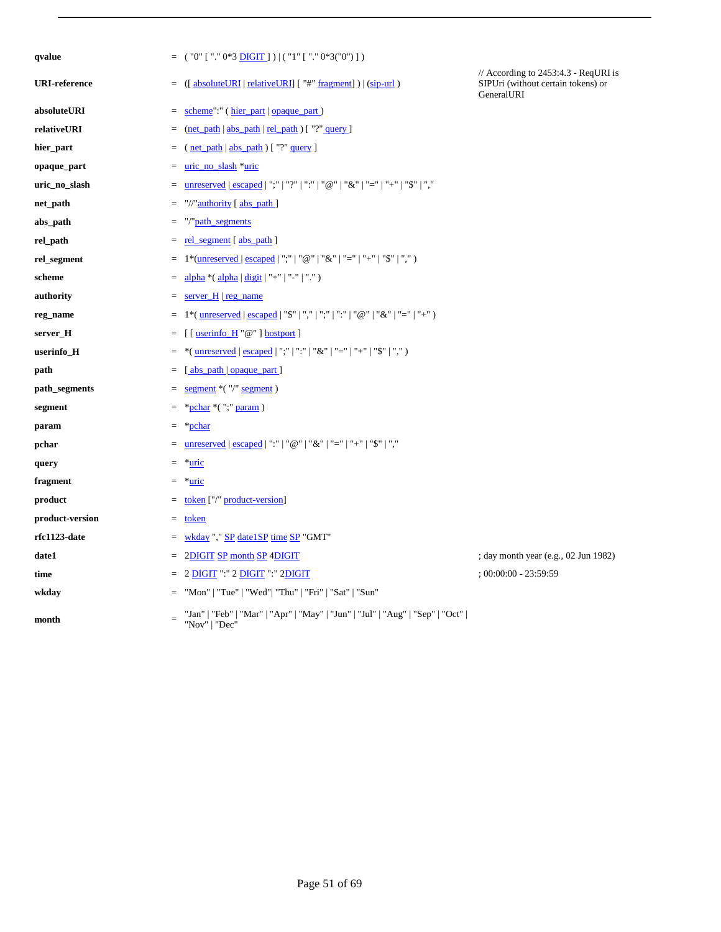| qvalue               | $=$             | $($ "0" [ "." 0*3 <u>DIGIT</u> ]) $ ($ "1" [ "." 0*3("0")])                                                                                                                                                                                                                                                                                                                                                                                                                           |                                                                                          |
|----------------------|-----------------|---------------------------------------------------------------------------------------------------------------------------------------------------------------------------------------------------------------------------------------------------------------------------------------------------------------------------------------------------------------------------------------------------------------------------------------------------------------------------------------|------------------------------------------------------------------------------------------|
| <b>URI-reference</b> | $\quad \  \  =$ | $\left(\frac{1}{2} \times \frac{1}{2} \times \frac{1}{2} \times \frac{1}{2} \times \frac{1}{2} \times \frac{1}{2} \times \frac{1}{2} \times \frac{1}{2} \times \frac{1}{2} \times \frac{1}{2} \times \frac{1}{2} \times \frac{1}{2} \times \frac{1}{2} \times \frac{1}{2} \times \frac{1}{2} \times \frac{1}{2} \times \frac{1}{2} \times \frac{1}{2} \times \frac{1}{2} \times \frac{1}{2} \times \frac{1}{2} \times \frac{1}{2} \times \frac{1}{2} \times \frac{1}{2} \times \frac$ | // According to 2453:4.3 - ReqURI is<br>SIPUri (without certain tokens) or<br>GeneralURI |
| absoluteURI          | $\quad =$       | scheme":" (hier_part   opaque_part)                                                                                                                                                                                                                                                                                                                                                                                                                                                   |                                                                                          |
| relativeURI          | $=$             | $(\text{net path}   abs path   rel path)$ ["?" query]                                                                                                                                                                                                                                                                                                                                                                                                                                 |                                                                                          |
| hier_part            | $=$             | $(\text{net path}   abs path)$ ["?" query]                                                                                                                                                                                                                                                                                                                                                                                                                                            |                                                                                          |
| opaque_part          | $\quad \  \  =$ | uric_no_slash *uric                                                                                                                                                                                                                                                                                                                                                                                                                                                                   |                                                                                          |
| uric_no_slash        | $\equiv$        | unreserved   escaped   ";"   "?"   ":"   "@"   "&"   "="   "+"   "\$"   ","                                                                                                                                                                                                                                                                                                                                                                                                           |                                                                                          |
| net_path             | $=$             | "//" <u>authority</u> [abs_path]                                                                                                                                                                                                                                                                                                                                                                                                                                                      |                                                                                          |
| abs_path             | $\quad \  \  =$ | "/"path_segments                                                                                                                                                                                                                                                                                                                                                                                                                                                                      |                                                                                          |
| rel_path             | $=$             | rel_segment [abs_path ]                                                                                                                                                                                                                                                                                                                                                                                                                                                               |                                                                                          |
| rel_segment          | $\quad \  \  =$ | 1*(unreserved   escaped   ";"   "@"   "&"   "="   "+"   "\$"   ",")                                                                                                                                                                                                                                                                                                                                                                                                                   |                                                                                          |
| scheme               | $=$             | alpha * ( alpha   digit   "+"   "-"   "." )                                                                                                                                                                                                                                                                                                                                                                                                                                           |                                                                                          |
| authority            | $=$             | server $H$ reg name                                                                                                                                                                                                                                                                                                                                                                                                                                                                   |                                                                                          |
| reg_name             | $=$             | 1*( $\frac{unreserved}{scaped}$   "\$" "," ";" ":" " $@$ " "&" "=" "+")                                                                                                                                                                                                                                                                                                                                                                                                               |                                                                                          |
| server_H             | $\quad =$       | $[$ [ userinfo_H " $@$ " ] hostport ]                                                                                                                                                                                                                                                                                                                                                                                                                                                 |                                                                                          |
| userinfo_H           | $=$             | *(unreserved   escaped   ";"   ":"   "&"   "="   "+"   "\$"   ",")                                                                                                                                                                                                                                                                                                                                                                                                                    |                                                                                          |
| path                 | $\equiv$        | [abs_path   opaque_part ]                                                                                                                                                                                                                                                                                                                                                                                                                                                             |                                                                                          |
| path_segments        | $=$             | $segment * ("="segment")$                                                                                                                                                                                                                                                                                                                                                                                                                                                             |                                                                                          |
| segment              | $=$             | *pchar *(";" param)                                                                                                                                                                                                                                                                                                                                                                                                                                                                   |                                                                                          |
| param                | $\equiv$        | *pchar                                                                                                                                                                                                                                                                                                                                                                                                                                                                                |                                                                                          |
| pchar                | $=$             | <u>unreserved</u>   escaped   ":"   "@"   "&"   "="   "+"   "\$"   ","                                                                                                                                                                                                                                                                                                                                                                                                                |                                                                                          |
| query                | $=$             | *uric                                                                                                                                                                                                                                                                                                                                                                                                                                                                                 |                                                                                          |
| fragment             | $=$             | *uric                                                                                                                                                                                                                                                                                                                                                                                                                                                                                 |                                                                                          |
| product              | $=$             | token ["/" product-version]                                                                                                                                                                                                                                                                                                                                                                                                                                                           |                                                                                          |
| product-version      | $\quad =$       | token                                                                                                                                                                                                                                                                                                                                                                                                                                                                                 |                                                                                          |
| rfc1123-date         | $=$             | wkday"," SP date1SP time SP "GMT"                                                                                                                                                                                                                                                                                                                                                                                                                                                     |                                                                                          |
| date1                | Ξ               | 2DIGIT SP month SP 4DIGIT                                                                                                                                                                                                                                                                                                                                                                                                                                                             | ; day month year (e.g., 02 Jun 1982)                                                     |
| time                 |                 | 2 DIGIT ":" 2 DIGIT ":" 2DIGIT                                                                                                                                                                                                                                                                                                                                                                                                                                                        | $;00:00:00 - 23:59:59$                                                                   |
| wkday                | $=$             | "Mon"   "Tue"   "Wed"  "Thu"   "Fri"   "Sat"   "Sun"                                                                                                                                                                                                                                                                                                                                                                                                                                  |                                                                                          |
| month                |                 | "Jan"   "Feb"   "Mar"   "Apr"   "May"   "Jun"   "Jul"   "Aug"   "Sep"   "Oct"  <br>"Nov"   "Dec"                                                                                                                                                                                                                                                                                                                                                                                      |                                                                                          |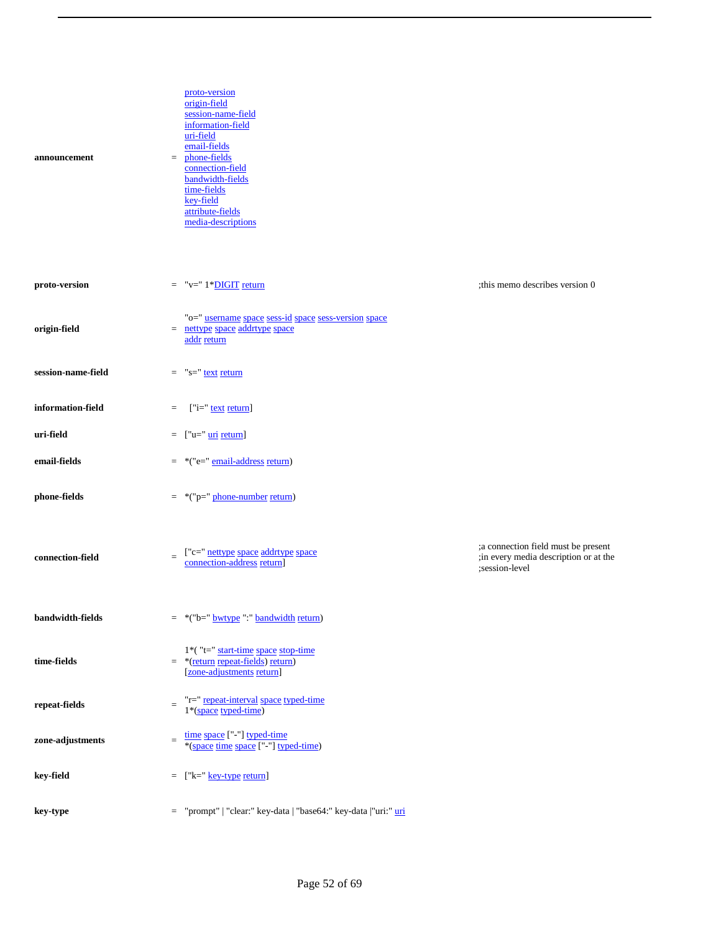| announcement       |          | proto-version<br>origin-field<br>session-name-field<br>information-field<br>uri-field<br>email-fields<br>$=$ phone-fields<br>connection-field<br>bandwidth-fields<br>time-fields<br>key-field<br>attribute-fields<br>media-descriptions |                                                                                                  |
|--------------------|----------|-----------------------------------------------------------------------------------------------------------------------------------------------------------------------------------------------------------------------------------------|--------------------------------------------------------------------------------------------------|
| proto-version      |          | $=$ "v=" 1*DIGIT return                                                                                                                                                                                                                 | ; this memo describes version 0                                                                  |
| origin-field       |          | "o=" username space sess-id space sess-version space<br>$=$ nettype space addrtype space<br>addr return                                                                                                                                 |                                                                                                  |
| session-name-field |          | $=$ "s=" text return                                                                                                                                                                                                                    |                                                                                                  |
| information-field  | $=$      | $['i='$ text return]                                                                                                                                                                                                                    |                                                                                                  |
| uri-field          | $=$      | ["u=" <u>uri</u> return]                                                                                                                                                                                                                |                                                                                                  |
| email-fields       | $=$      | *("e=" email-address return)                                                                                                                                                                                                            |                                                                                                  |
| phone-fields       |          | $=$ *("p=" phone-number return)                                                                                                                                                                                                         |                                                                                                  |
| connection-field   |          | ["c=" nettype space addrtype space<br>connection-address return]                                                                                                                                                                        | ; a connection field must be present<br>; in every media description or at the<br>;session-level |
| bandwidth-fields   |          | *("b=" bwtype ":" bandwidth return)                                                                                                                                                                                                     |                                                                                                  |
| time-fields        | $=$      | 1*("t=" start-time space stop-time<br>*(return repeat-fields) return)<br>[zone-adjustments return]                                                                                                                                      |                                                                                                  |
| repeat-fields      | $\equiv$ | "r=" repeat-interval space typed-time<br>$1*(\text{space typed-time})$                                                                                                                                                                  |                                                                                                  |
| zone-adjustments   | $\equiv$ | time space ["-"] typed-time<br>*(space time space ["-"] typed-time)                                                                                                                                                                     |                                                                                                  |
| key-field          | $=$      | ["k=" key-type return]                                                                                                                                                                                                                  |                                                                                                  |
| key-type           | $=$      | "prompt"   "clear:" key-data   "base64:" key-data   "uri:" uri                                                                                                                                                                          |                                                                                                  |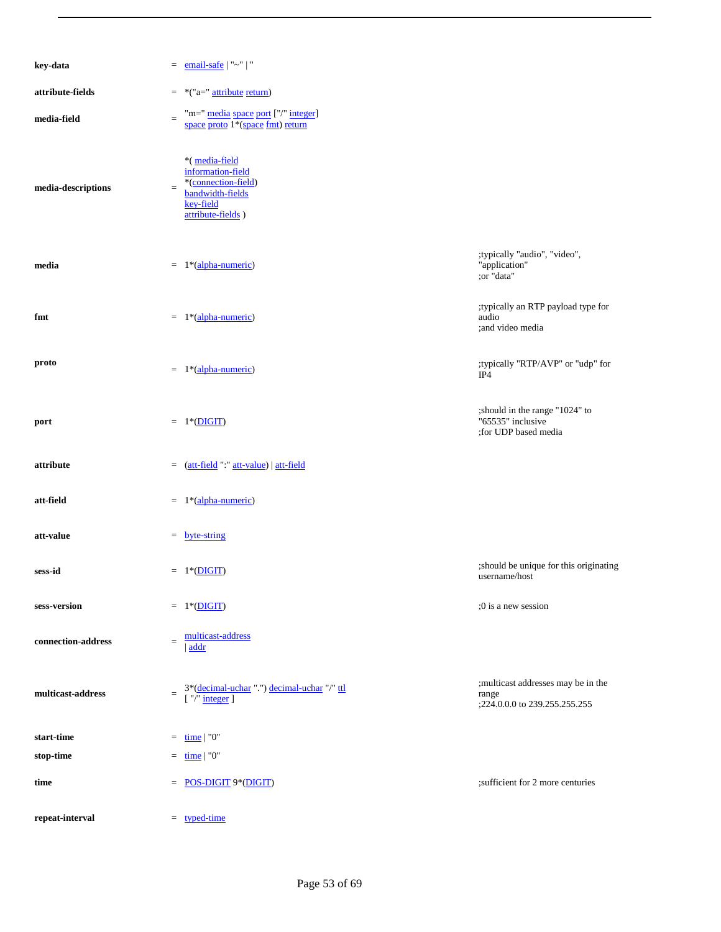| key-data           |          | $=$ email-safe   "~"   "                                                                                        |                                                                                |
|--------------------|----------|-----------------------------------------------------------------------------------------------------------------|--------------------------------------------------------------------------------|
| attribute-fields   | $=$      | *("a=" attribute return)                                                                                        |                                                                                |
| media-field        | $\equiv$ | "m=" media space port ["/" integer]<br>space proto 1 <sup>*</sup> (space fmt) return                            |                                                                                |
| media-descriptions | $=$      | *(media-field<br>information-field<br>*(connection-field)<br>bandwidth-fields<br>key-field<br>attribute-fields) |                                                                                |
| media              |          | $= 1*(\text{alpha-numberic})$                                                                                   | ;typically "audio", "video",<br>"application"<br>;or "data"                    |
| fmt                | $=$      | 1*(alpha-numeric)                                                                                               | ;typically an RTP payload type for<br>audio<br>;and video media                |
| proto              |          | $= 1*(\text{alpha-numberic})$                                                                                   | ;typically "RTP/AVP" or "udp" for<br>IP4                                       |
| port               |          | $= 1*(DIGIT)$                                                                                                   | ; should in the range "1024" to<br>"65535" inclusive<br>;for UDP based media   |
| attribute          |          | $=$ (att-field ":" att-value)   att-field                                                                       |                                                                                |
| att-field          | $=$      | 1*(alpha-numeric)                                                                                               |                                                                                |
| att-value          |          | $=$ byte-string                                                                                                 |                                                                                |
| sess-id            |          | $= 1*(DIGIT)$                                                                                                   | ; should be unique for this originating<br>username/host                       |
| sess-version       |          | $= 1*(DIGIT)$                                                                                                   | :0 is a new session                                                            |
| connection-address | $=$      | multicast-address<br>addr                                                                                       |                                                                                |
| multicast-address  | $=$      | 3*(decimal-uchar ".") decimal-uchar "/" ttl<br>$\lceil$ "/" integer $\rceil$                                    | ; multicast addresses may be in the<br>range<br>;224.0.0.0 to 239.255.255.255. |
| start-time         | $=$      | time $\vert$ "0"                                                                                                |                                                                                |
| stop-time          | $=$      | time   "0"                                                                                                      |                                                                                |
| time               | $=$      | <b>POS-DIGIT 9*(DIGIT)</b>                                                                                      | ; sufficient for 2 more centuries                                              |
| repeat-interval    |          | $=$ typed-time                                                                                                  |                                                                                |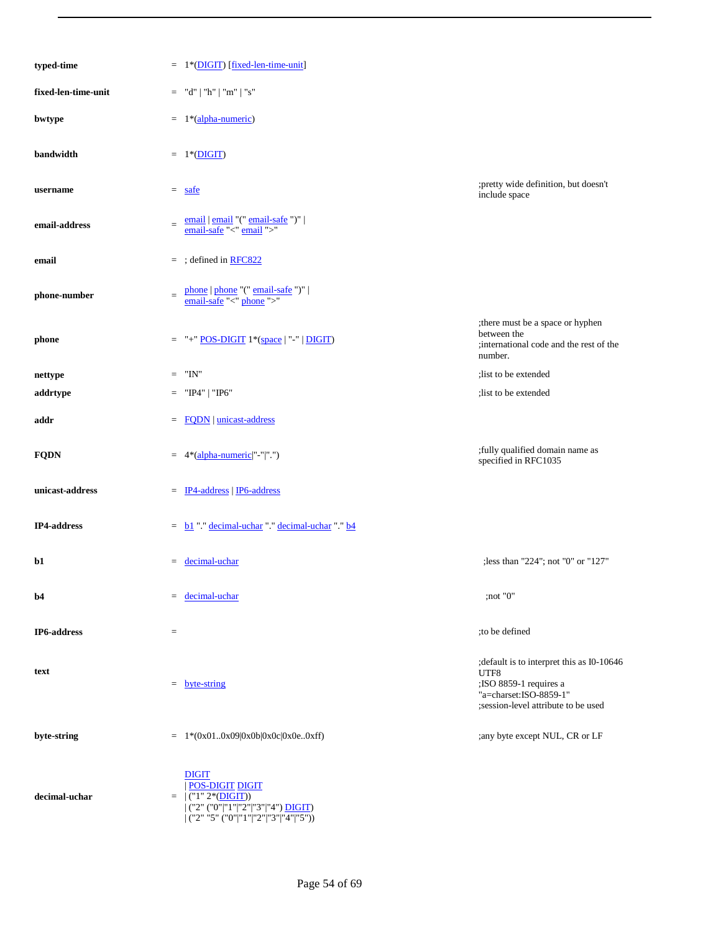| typed-time          |                 | $= 1*(\text{DIST})$ [fixed-len-time-unit]                                                                                                                                                          |                                                                                                                                               |
|---------------------|-----------------|----------------------------------------------------------------------------------------------------------------------------------------------------------------------------------------------------|-----------------------------------------------------------------------------------------------------------------------------------------------|
| fixed-len-time-unit | $=$             | "d"   "h"   "m"   "s"                                                                                                                                                                              |                                                                                                                                               |
| bwtype              | $=$             | 1*(alpha-numeric)                                                                                                                                                                                  |                                                                                                                                               |
| bandwidth           |                 | $= 1*(DIGIT)$                                                                                                                                                                                      |                                                                                                                                               |
| username            | $=$             | safe                                                                                                                                                                                               | ;pretty wide definition, but doesn't<br>include space                                                                                         |
| email-address       | $=$             | $\frac{\text{email}}{\text{email} \cdot \text{snail}} \cdot (\text{" email-safe"}') \mid \\ \frac{\text{email} \cdot \text{safe}}{\text{"``mail} \cdot \text{"`"}}$                                |                                                                                                                                               |
| email               |                 | $=$ ; defined in RFC822                                                                                                                                                                            |                                                                                                                                               |
| phone-number        | $\equiv$        | $\underline{\text{phone}} \mid \underline{\text{phone}} \text{''(" email-safe ")''} \mid \\ \underline{\text{email-safe}} \text{''<" } \underline{\text{phone}} \text{''>} \text{''} \end{matrix}$ |                                                                                                                                               |
| phone               | $\equiv$        | "+" <b>POS-DIGIT</b> 1*(space   "-"   <b>DIGIT</b> )                                                                                                                                               | ;there must be a space or hyphen<br>between the<br>; international code and the rest of the<br>number.                                        |
| nettype             | $\quad \  \  =$ | "IN"                                                                                                                                                                                               | ; list to be extended                                                                                                                         |
| addrtype            | $\quad \  \  =$ | "IP4"   "IP6"                                                                                                                                                                                      | ; list to be extended                                                                                                                         |
| addr                | $=$             | <b>FQDN</b>   unicast-address                                                                                                                                                                      |                                                                                                                                               |
| <b>FQDN</b>         | $=$             | 4*(alpha-numeric "-" ".")                                                                                                                                                                          | ; fully qualified domain name as<br>specified in RFC1035                                                                                      |
| unicast-address     | $=$             | <b>IP4-address</b>   <b>IP6-address</b>                                                                                                                                                            |                                                                                                                                               |
| <b>IP4-address</b>  |                 | $=$ $\underline{b1}$ " " decimal-uchar " " decimal-uchar " " $\underline{b4}$                                                                                                                      |                                                                                                                                               |
| b1                  | $=$             | decimal-uchar                                                                                                                                                                                      | ;less than "224"; not "0" or "127"                                                                                                            |
| b4                  | $=$             | decimal-uchar                                                                                                                                                                                      | ;not "0"                                                                                                                                      |
| IP6-address         | $\equiv$        |                                                                                                                                                                                                    | to be defined                                                                                                                                 |
| text                | $=$             | byte-string                                                                                                                                                                                        | ; default is to interpret this as I0-10646<br>UTF8<br>;ISO 8859-1 requires a<br>"a=charset:ISO-8859-1"<br>;session-level attribute to be used |
| byte-string         | $=$             | $1*(0x010x09 0x0b 0x0c 0x0e0xff)$                                                                                                                                                                  | ;any byte except NUL, CR or LF                                                                                                                |
| decimal-uchar       |                 | <b>DIGIT</b><br><b>POS-DIGIT DIGIT</b><br>$=$ $ ($ "1" 2*( <b>DIGIT</b> ))<br>$ ($ "2" ("0" "1" "2" "3" "4") DIGIT)<br>$ ($ "2" "5" $($ "0" "1" "2"  "3"  "4"  "5"))                               |                                                                                                                                               |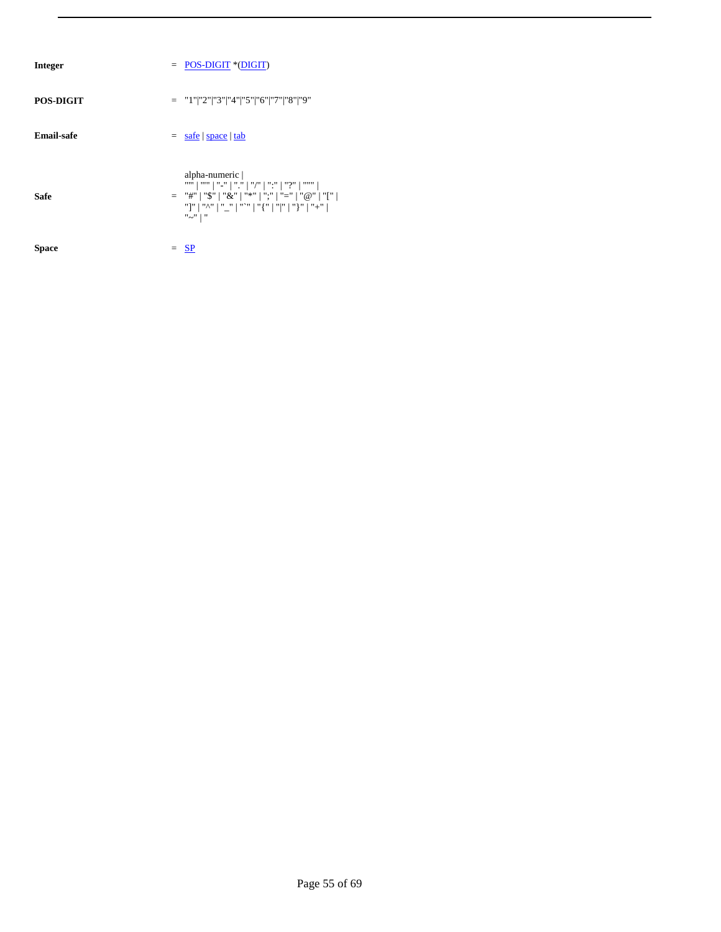| Integer    | $=$ POS-DIGIT *(DIGIT)                                                                                                                |
|------------|---------------------------------------------------------------------------------------------------------------------------------------|
| POS-DIGIT  | $=$ "1" "2" "3" "4" "5" "6" "7" "8" "9"                                                                                               |
| Email-safe | $=$ safe   space   tab                                                                                                                |
| Safe       | alpha-numeric  <br>= "#"   "\$"   "&"   "*"   ";"   "="   "@"   "["  <br>"] "   "^"   "_"   "^"   "{ "   " "   "}"   "+"  <br>"~"   " |
| Space      | $=$ SP                                                                                                                                |
|            |                                                                                                                                       |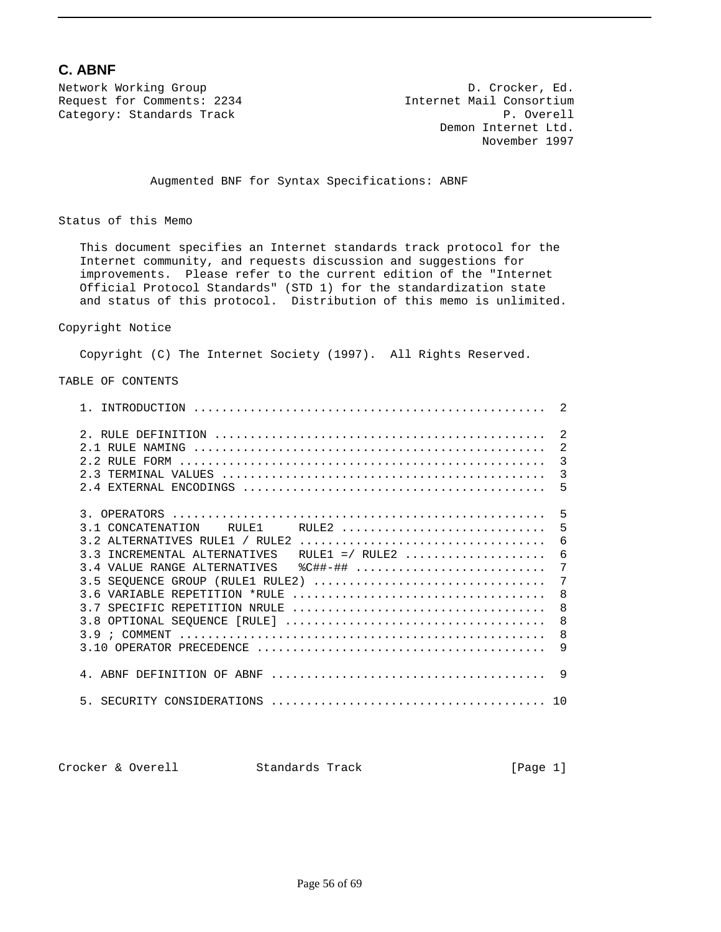### **C. ABNF**

Network Working Group  $D.$  Crocker, Ed. Request for Comments: 2234 Internet Mail Consortium Category: Standards Track expansion of the control of the P. Overell

 Demon Internet Ltd. November 1997

Augmented BNF for Syntax Specifications: ABNF

Status of this Memo

 This document specifies an Internet standards track protocol for the Internet community, and requests discussion and suggestions for improvements. Please refer to the current edition of the "Internet Official Protocol Standards" (STD 1) for the standardization state and status of this protocol. Distribution of this memo is unlimited.

#### Copyright Notice

Copyright (C) The Internet Society (1997). All Rights Reserved.

#### TABLE OF CONTENTS

| 3.1 CONCATENATION RULE1 RULE2  5                    |
|-----------------------------------------------------|
|                                                     |
| 3.3 INCREMENTAL ALTERNATIVES RULE1 =/ RULE2  6      |
| $7\phantom{.0}$                                     |
| $7\phantom{.0}$<br>3.5 SEQUENCE GROUP (RULE1 RULE2) |
| 8                                                   |
|                                                     |
|                                                     |
|                                                     |
|                                                     |
|                                                     |
| 5.                                                  |

| Crocker & Overell | Standards Track | [Page 1] |
|-------------------|-----------------|----------|
|                   |                 |          |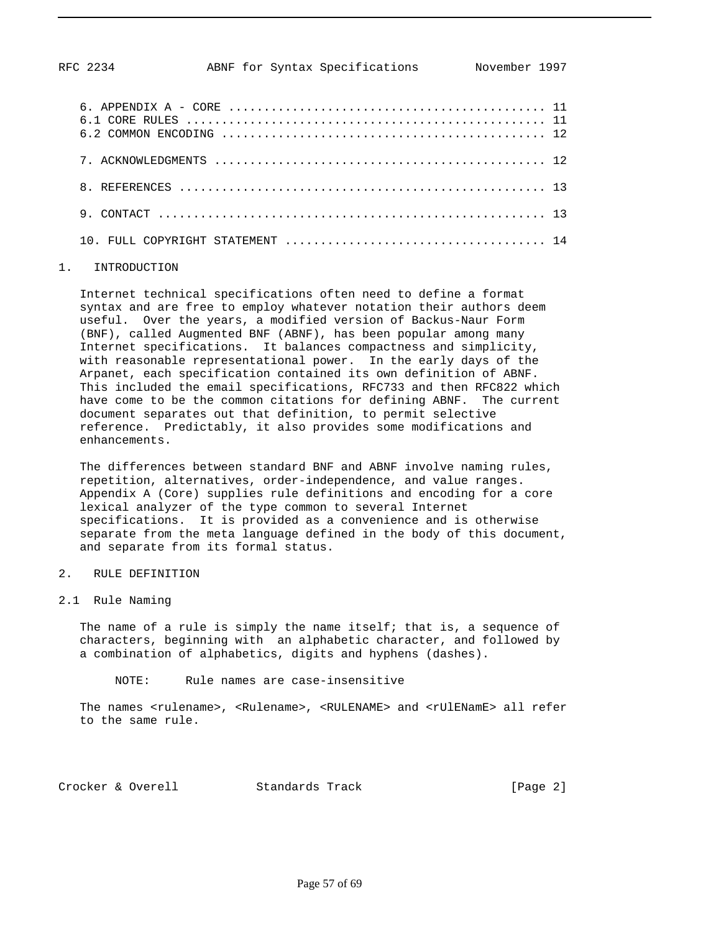#### 1. INTRODUCTION

 Internet technical specifications often need to define a format syntax and are free to employ whatever notation their authors deem useful. Over the years, a modified version of Backus-Naur Form (BNF), called Augmented BNF (ABNF), has been popular among many Internet specifications. It balances compactness and simplicity, with reasonable representational power. In the early days of the Arpanet, each specification contained its own definition of ABNF. This included the email specifications, RFC733 and then RFC822 which have come to be the common citations for defining ABNF. The current document separates out that definition, to permit selective reference. Predictably, it also provides some modifications and enhancements.

 The differences between standard BNF and ABNF involve naming rules, repetition, alternatives, order-independence, and value ranges. Appendix A (Core) supplies rule definitions and encoding for a core lexical analyzer of the type common to several Internet specifications. It is provided as a convenience and is otherwise separate from the meta language defined in the body of this document, and separate from its formal status.

#### 2. RULE DEFINITION

#### 2.1 Rule Naming

The name of a rule is simply the name itself; that is, a sequence of characters, beginning with an alphabetic character, and followed by a combination of alphabetics, digits and hyphens (dashes).

NOTE: Rule names are case-insensitive

The names <rulename>, <Rulename>, <RULENAME> and <rUlENamE> all refer to the same rule.

Crocker & Overell Standards Track [Page 2]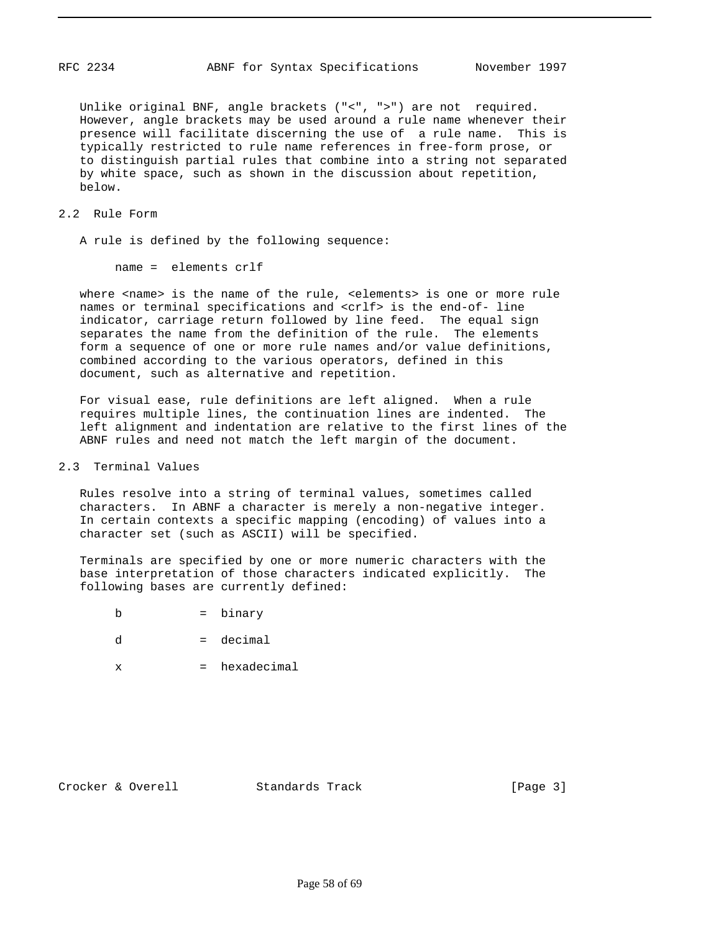Unlike original BNF, angle brackets ("<", ">") are not required. However, angle brackets may be used around a rule name whenever their presence will facilitate discerning the use of a rule name. This is typically restricted to rule name references in free-form prose, or to distinguish partial rules that combine into a string not separated by white space, such as shown in the discussion about repetition, below.

#### 2.2 Rule Form

A rule is defined by the following sequence:

name = elements crlf

where <name> is the name of the rule, <elements> is one or more rule names or terminal specifications and <crlf> is the end-of- line indicator, carriage return followed by line feed. The equal sign separates the name from the definition of the rule. The elements form a sequence of one or more rule names and/or value definitions, combined according to the various operators, defined in this document, such as alternative and repetition.

 For visual ease, rule definitions are left aligned. When a rule requires multiple lines, the continuation lines are indented. The left alignment and indentation are relative to the first lines of the ABNF rules and need not match the left margin of the document.

#### 2.3 Terminal Values

 Rules resolve into a string of terminal values, sometimes called characters. In ABNF a character is merely a non-negative integer. In certain contexts a specific mapping (encoding) of values into a character set (such as ASCII) will be specified.

 Terminals are specified by one or more numeric characters with the base interpretation of those characters indicated explicitly. The following bases are currently defined:

- b = binary
- $d = decimal$
- x = hexadecimal

Crocker & Overell Standards Track [Page 3]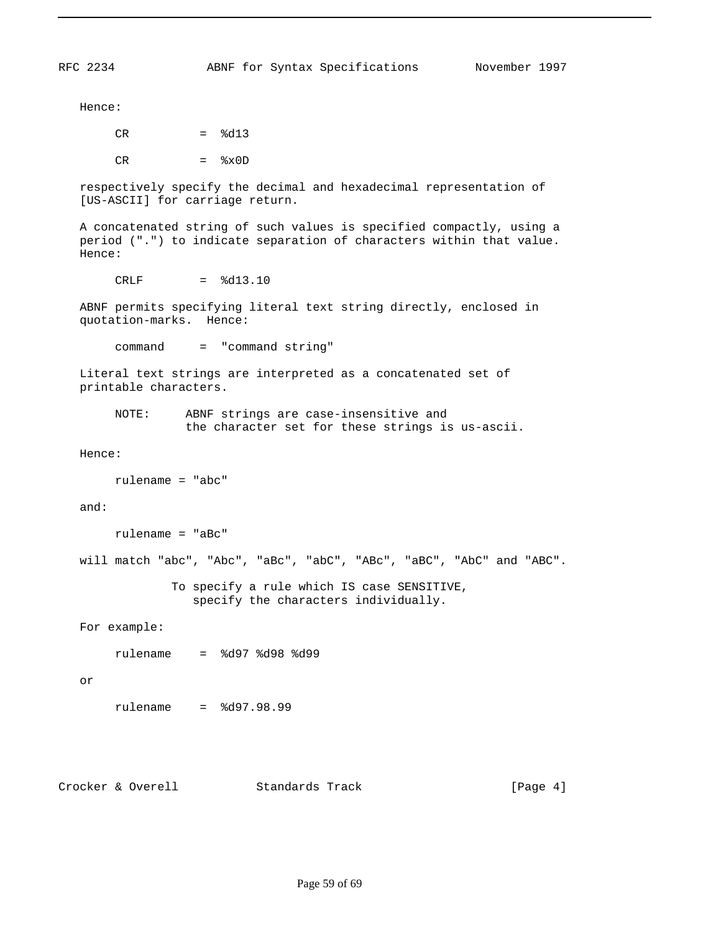Hence:

 $CR =  $\frac{2}{d}3$$ 

 $CR =  $\&x0D$$ 

 respectively specify the decimal and hexadecimal representation of [US-ASCII] for carriage return.

 A concatenated string of such values is specified compactly, using a period (".") to indicate separation of characters within that value. Hence:

 $CRLF =  $\frac{1}{6}d13.10$$ 

 ABNF permits specifying literal text string directly, enclosed in quotation-marks. Hence:

command = "command string"

 Literal text strings are interpreted as a concatenated set of printable characters.

 NOTE: ABNF strings are case-insensitive and the character set for these strings is us-ascii.

Hence:

```
 rulename = "abc"
```
and:

```
 rulename = "aBc"
```
will match "abc", "Abc", "aBc", "abC", "ABc", "aBC", "AbC" and "ABC".

 To specify a rule which IS case SENSITIVE, specify the characters individually.

For example:

rulename = %d97 %d98 %d99

or

rulename = %d97.98.99

Crocker & Overell Standards Track [Page 4]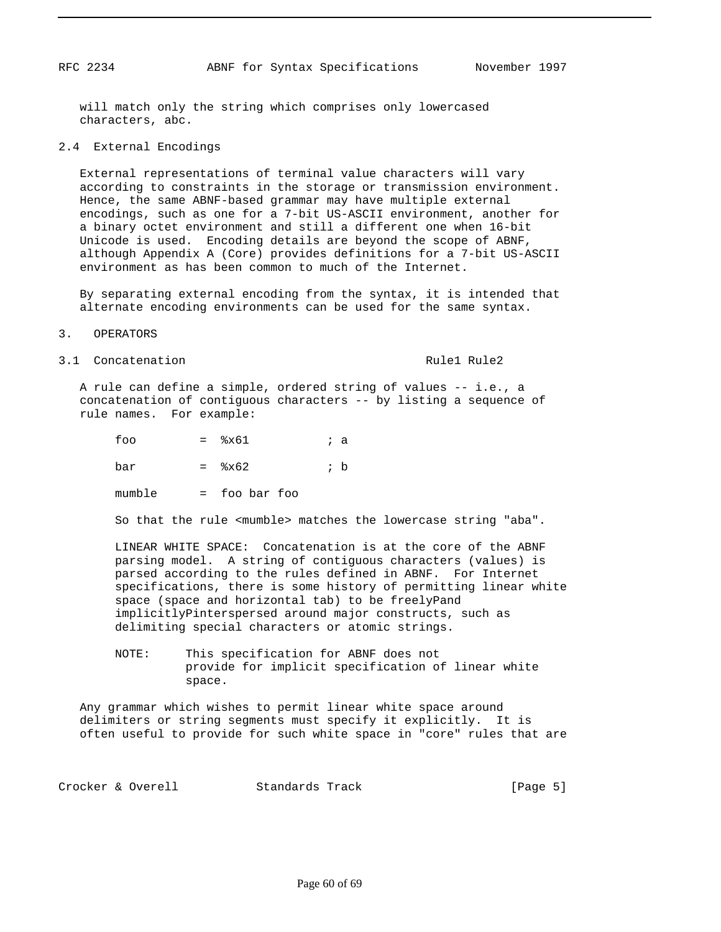will match only the string which comprises only lowercased characters, abc.

#### 2.4 External Encodings

 External representations of terminal value characters will vary according to constraints in the storage or transmission environment. Hence, the same ABNF-based grammar may have multiple external encodings, such as one for a 7-bit US-ASCII environment, another for a binary octet environment and still a different one when 16-bit Unicode is used. Encoding details are beyond the scope of ABNF, although Appendix A (Core) provides definitions for a 7-bit US-ASCII environment as has been common to much of the Internet.

 By separating external encoding from the syntax, it is intended that alternate encoding environments can be used for the same syntax.

#### 3. OPERATORS

3.1 Concatenation and Rule1 Rule2

 A rule can define a simple, ordered string of values -- i.e., a concatenation of contiguous characters -- by listing a sequence of rule names. For example:

| foo    | $=$ $\frac{8 \times 61}{ }$ | ; a |
|--------|-----------------------------|-----|
| bar    | $=$ $\frac{8 \times 62}{ }$ | ; b |
| mumble | $=$ foo bar foo             |     |

So that the rule <mumble> matches the lowercase string "aba".

 LINEAR WHITE SPACE: Concatenation is at the core of the ABNF parsing model. A string of contiguous characters (values) is parsed according to the rules defined in ABNF. For Internet specifications, there is some history of permitting linear white space (space and horizontal tab) to be freelyPand implicitlyPinterspersed around major constructs, such as delimiting special characters or atomic strings.

 NOTE: This specification for ABNF does not provide for implicit specification of linear white space.

 Any grammar which wishes to permit linear white space around delimiters or string segments must specify it explicitly. It is often useful to provide for such white space in "core" rules that are

Crocker & Overell Standards Track [Page 5]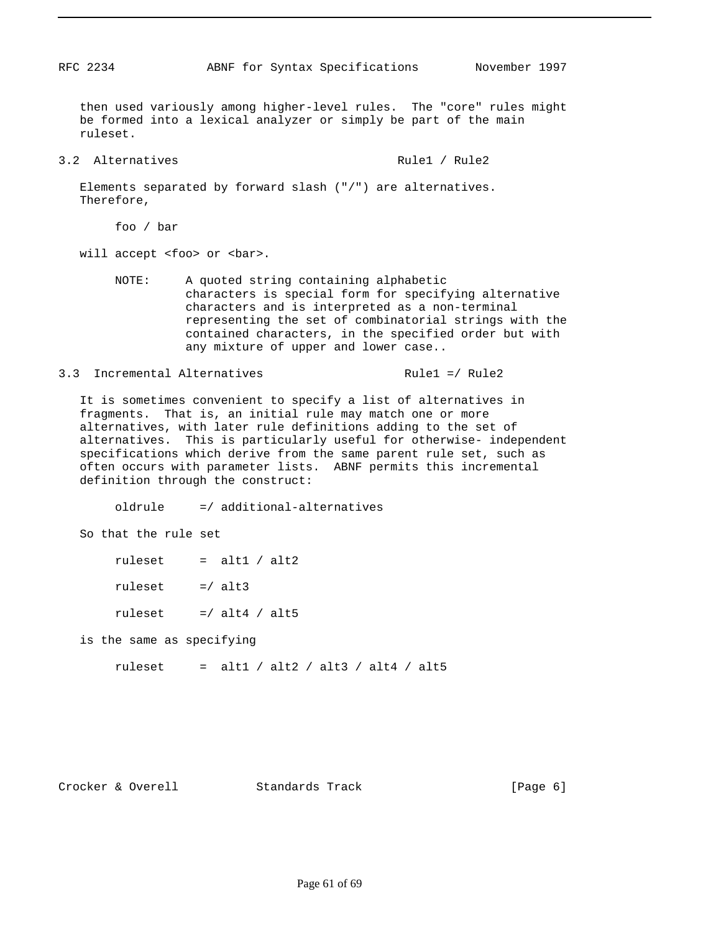then used variously among higher-level rules. The "core" rules might be formed into a lexical analyzer or simply be part of the main ruleset.

3.2 Alternatives and Rule1 / Rule2

 Elements separated by forward slash ("/") are alternatives. Therefore,

foo / bar

will accept <foo> or <br/> <br/>bar>.

 NOTE: A quoted string containing alphabetic characters is special form for specifying alternative characters and is interpreted as a non-terminal representing the set of combinatorial strings with the contained characters, in the specified order but with any mixture of upper and lower case..

3.3 Incremental Alternatives The Rule1 =/ Rule2

 It is sometimes convenient to specify a list of alternatives in fragments. That is, an initial rule may match one or more alternatives, with later rule definitions adding to the set of alternatives. This is particularly useful for otherwise- independent specifications which derive from the same parent rule set, such as often occurs with parameter lists. ABNF permits this incremental definition through the construct:

oldrule =/ additional-alternatives

So that the rule set

ruleset  $=$  alt1 / alt2

ruleset  $=$   $/$  alt3

ruleset  $=$  / alt4 / alt5

is the same as specifying

ruleset = alt1 / alt2 / alt3 / alt4 / alt5

Crocker & Overell Standards Track [Page 6]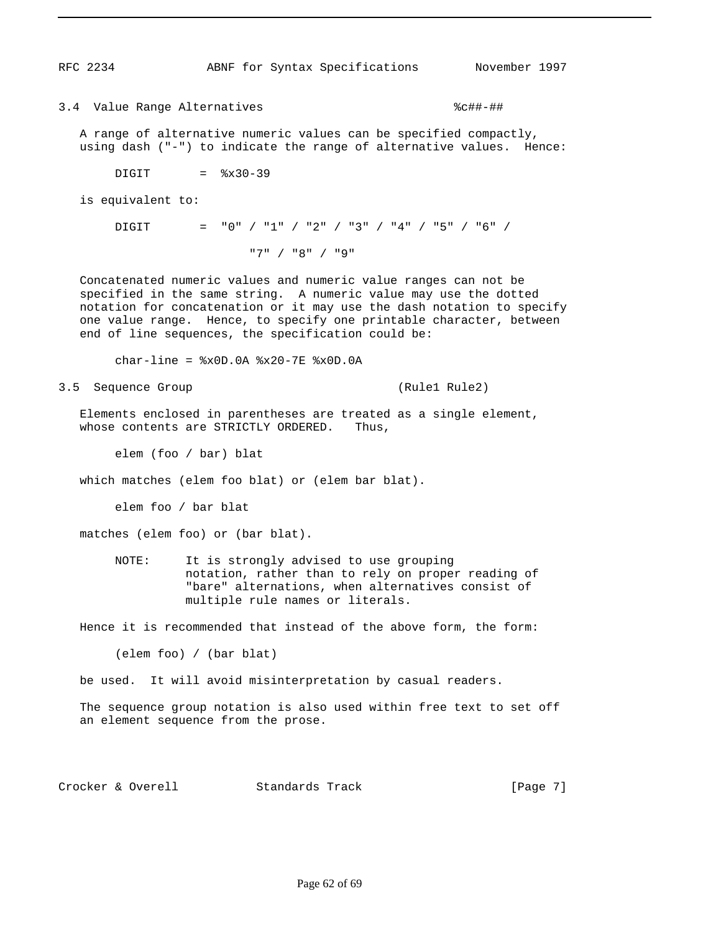3.4 Value Range Alternatives  $\text{?}$ 

 A range of alternative numeric values can be specified compactly, using dash ("-") to indicate the range of alternative values. Hence:

 $DIGIT =  $\$x30-39$$ 

is equivalent to:

DIGIT = "0" / "1" / "2" / "3" / "4" / "5" / "6" / "7" / "8" / "9"

 Concatenated numeric values and numeric value ranges can not be specified in the same string. A numeric value may use the dotted notation for concatenation or it may use the dash notation to specify one value range. Hence, to specify one printable character, between end of line sequences, the specification could be:

char-line =  $x0D.0A$   $x20-7E$   $x0D.0A$ 

3.5 Sequence Group (Rule1 Rule2)

 Elements enclosed in parentheses are treated as a single element, whose contents are STRICTLY ORDERED. Thus,

elem (foo / bar) blat

which matches (elem foo blat) or (elem bar blat).

elem foo / bar blat

matches (elem foo) or (bar blat).

 NOTE: It is strongly advised to use grouping notation, rather than to rely on proper reading of "bare" alternations, when alternatives consist of multiple rule names or literals.

Hence it is recommended that instead of the above form, the form:

(elem foo) / (bar blat)

be used. It will avoid misinterpretation by casual readers.

 The sequence group notation is also used within free text to set off an element sequence from the prose.

Crocker & Overell Standards Track [Page 7]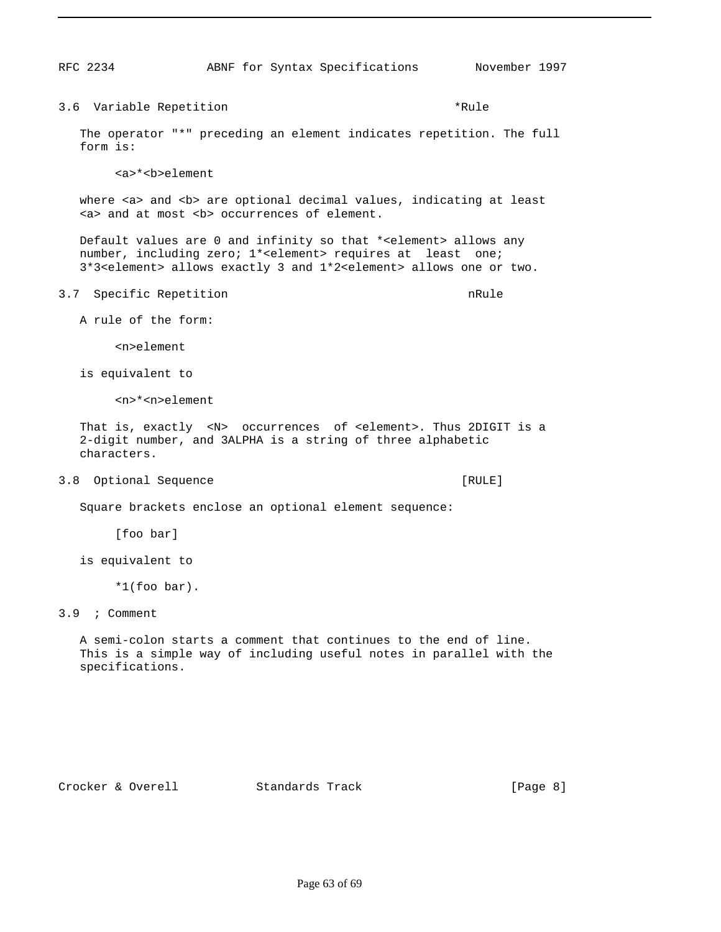3.6 Variable Repetition **\*Rule** \*Rule The operator "\*" preceding an element indicates repetition. The full form is: <a>\*<b>element where <a> and <b> are optional decimal values, indicating at least <a> and at most <b> occurrences of element. Default values are 0 and infinity so that \*<element> allows any number, including zero; 1\*<element> requires at least one; 3\*3<element> allows exactly 3 and 1\*2<element> allows one or two. 3.7 Specific Repetition 2008 and the set of the set of the set of the set of the set of the set of the set of the set of the set of the set of the set of the set of the set of the set of the set of the set of the set of th A rule of the form: <n>element is equivalent to <n>\*<n>element That is, exactly <N> occurrences of <element>. Thus 2DIGIT is a 2-digit number, and 3ALPHA is a string of three alphabetic characters. 3.8 Optional Sequence [RULE] Square brackets enclose an optional element sequence: [foo bar] is equivalent to \*1(foo bar). 3.9 ; Comment A semi-colon starts a comment that continues to the end of line. This is a simple way of including useful notes in parallel with the specifications.

Crocker & Overell Standards Track [Page 8]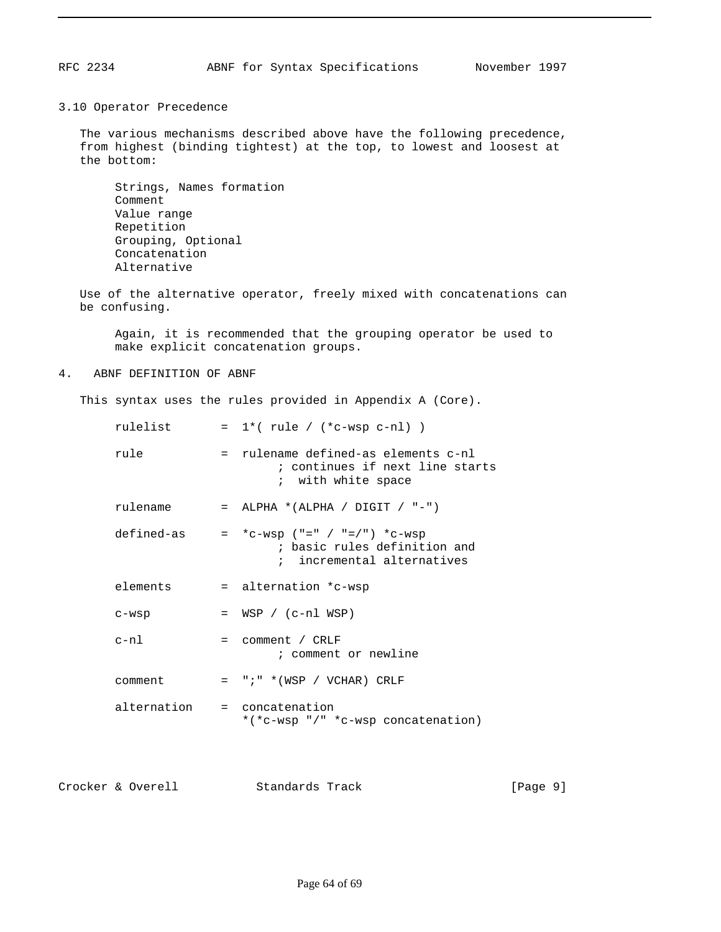3.10 Operator Precedence

 The various mechanisms described above have the following precedence, from highest (binding tightest) at the top, to lowest and loosest at the bottom:

 Strings, Names formation Comment Value range Repetition Grouping, Optional Concatenation Alternative

 Use of the alternative operator, freely mixed with concatenations can be confusing.

 Again, it is recommended that the grouping operator be used to make explicit concatenation groups.

4. ABNF DEFINITION OF ABNF

This syntax uses the rules provided in Appendix A (Core).

| rulelist                    | $= 1*(rule / (*c-wsp c-n]) )$                                                                             |
|-----------------------------|-----------------------------------------------------------------------------------------------------------|
| rule                        | = rulename defined-as elements c-nl<br>; continues if next line starts<br>; with white space              |
|                             | rulename = $ALPHA * (ALPHA / DIGIT / "-")$                                                                |
|                             | defined-as = $*C-wsp$ ("=" / "=/") $*C-wsp$<br>; basic rules definition and<br>; incremental alternatives |
| elements                    | = alternation *c-wsp                                                                                      |
| $C-WSD$                     | $= WSP / (c-n1 WSP)$                                                                                      |
| $c-n1$                      | $=$ comment / CRLF<br>; comment or newline                                                                |
| comment                     | $= "i" * (WSP / VCHAR) CRLF$                                                                              |
| alternation = concatenation | *(*c-wsp "/" *c-wsp concatenation)                                                                        |

Crocker & Overell Standards Track [Page 9]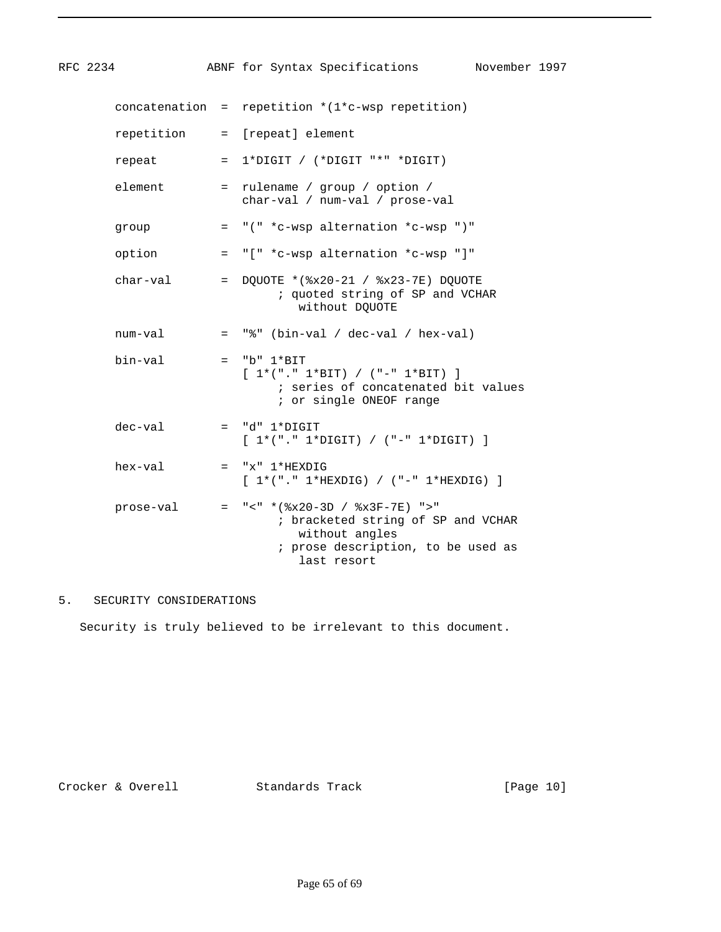| RFC 2234  | ABNF for Syntax Specifications<br>November 1997                                                                                                    |
|-----------|----------------------------------------------------------------------------------------------------------------------------------------------------|
|           | concatenation = repetition $*(1*c-wsp$ repetition)                                                                                                 |
|           | repetition = [repeat] element                                                                                                                      |
| repeat    | $= 1*DiffIT / (*Diff " * " DIGIT")$                                                                                                                |
| element   | = rulename / group / option /<br>char-val / num-val / prose-val                                                                                    |
| group     | $=$ "(" *c-wsp alternation *c-wsp ")"                                                                                                              |
| option    | = "[" *c-wsp alternation *c-wsp "]"                                                                                                                |
| char-val  | = DQUOTE *( $x20-21$ / $*x23-7E$ ) DQUOTE<br>; quoted string of SP and VCHAR<br>without DQUOTE                                                     |
| num-val   | $=$ "%" (bin-val / dec-val / hex-val)                                                                                                              |
| bin-val   | $=$ "b" $1*BIT$<br>$[1*(". " 1*BIT) / (" - " 1*BIT) ]$<br>; series of concatenated bit values<br>; or single ONEOF range                           |
| dec-val   | $= "d" 1*DiffIT$<br>$[1*(". " 1*Diff]) / ("-" 1*Diff]) ]$                                                                                          |
| hex-val   | $= "x" 1*HEXDIG$<br>$[1*(". 1*HEXDIG) / (-. 1*HEXDIG) ]$                                                                                           |
| prose-val | $=$ "<" * ( $x20-3D$ / $x3F-7E$ ) ">"<br>; bracketed string of SP and VCHAR<br>without angles<br>; prose description, to be used as<br>last resort |

#### 5. SECURITY CONSIDERATIONS

Security is truly believed to be irrelevant to this document.

Crocker & Overell Standards Track [Page 10]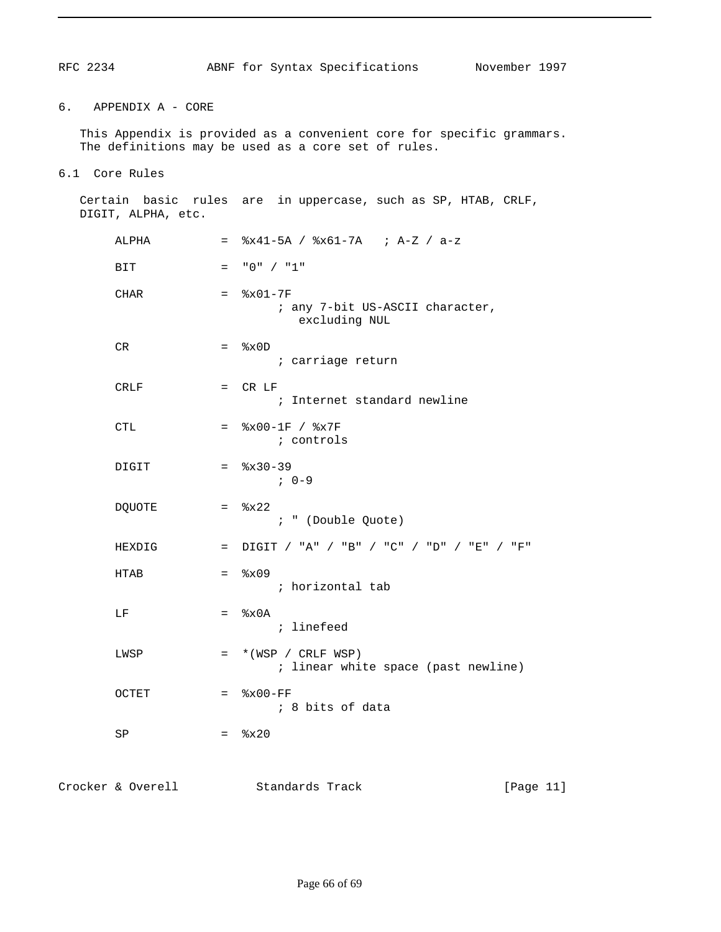#### 6. APPENDIX A - CORE

 This Appendix is provided as a convenient core for specific grammars. The definitions may be used as a core set of rules.

6.1 Core Rules

 Certain basic rules are in uppercase, such as SP, HTAB, CRLF, DIGIT, ALPHA, etc. ALPHA = %x41-5A / %x61-7A ; A-Z / a-z BIT  $= "0" / "1"$  $CHAR =  $8x01-7F$$  ; any 7-bit US-ASCII character, excluding NUL  $CR =  $\&x0D$$  ; carriage return  $CRLF$  =  $CRLF$  ; Internet standard newline CTL  $=$   $\frac{6}{15} \times 00 - 1$ F /  $\frac{6}{15} \times 7$ F ; controls  $DIGIT =  $\frac{2}{3}x30-39$$  ; 0-9  $DQUOTE$  =  $%x22$  ; " (Double Quote) HEXDIG = DIGIT / "A" / "B" / "C" / "D" / "E" / "F"  $HTAB =  $8x09$$  ; horizontal tab  $LF$  =  $%x0A$  ; linefeed  $LWSP = * (WSP / CRLF WSP)$  ; linear white space (past newline)  $OCTET$  =  $%x00-FF$  ; 8 bits of data  $SP = \$x20$ 

Crocker & Overell Standards Track [Page 11]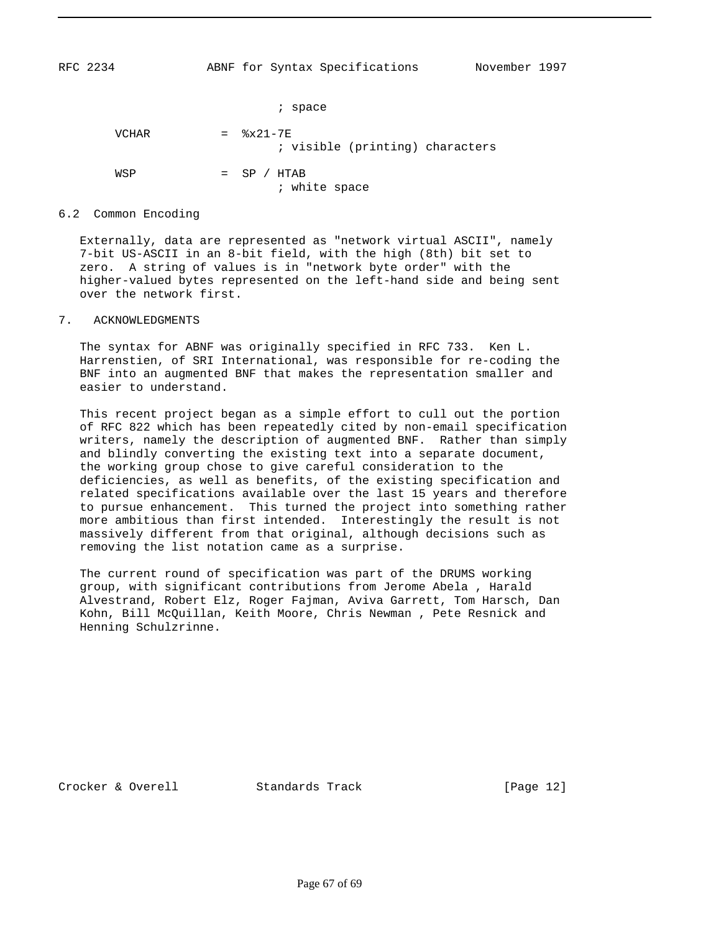; space  $VCHAR =  $\&x21-7E$$  ; visible (printing) characters  $WSP$  =  $SP / HTAB$ ; white space

#### 6.2 Common Encoding

 Externally, data are represented as "network virtual ASCII", namely 7-bit US-ASCII in an 8-bit field, with the high (8th) bit set to zero. A string of values is in "network byte order" with the higher-valued bytes represented on the left-hand side and being sent over the network first.

#### 7. ACKNOWLEDGMENTS

 The syntax for ABNF was originally specified in RFC 733. Ken L. Harrenstien, of SRI International, was responsible for re-coding the BNF into an augmented BNF that makes the representation smaller and easier to understand.

 This recent project began as a simple effort to cull out the portion of RFC 822 which has been repeatedly cited by non-email specification writers, namely the description of augmented BNF. Rather than simply and blindly converting the existing text into a separate document, the working group chose to give careful consideration to the deficiencies, as well as benefits, of the existing specification and related specifications available over the last 15 years and therefore to pursue enhancement. This turned the project into something rather more ambitious than first intended. Interestingly the result is not massively different from that original, although decisions such as removing the list notation came as a surprise.

 The current round of specification was part of the DRUMS working group, with significant contributions from Jerome Abela , Harald Alvestrand, Robert Elz, Roger Fajman, Aviva Garrett, Tom Harsch, Dan Kohn, Bill McQuillan, Keith Moore, Chris Newman , Pete Resnick and Henning Schulzrinne.

Crocker & Overell Standards Track [Page 12]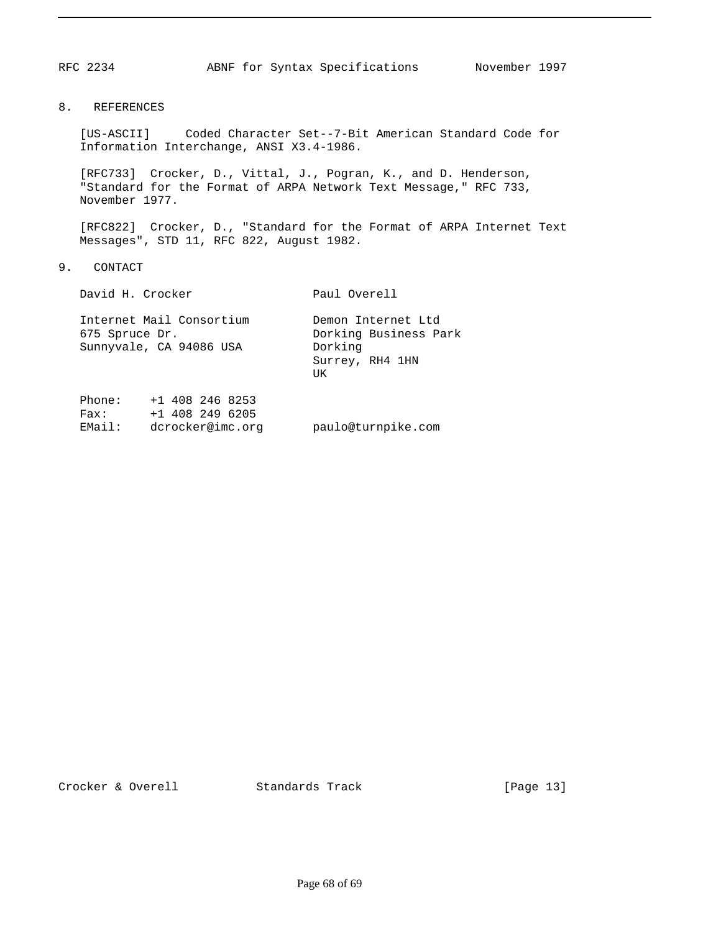#### 8. REFERENCES

 [US-ASCII] Coded Character Set--7-Bit American Standard Code for Information Interchange, ANSI X3.4-1986.

 [RFC733] Crocker, D., Vittal, J., Pogran, K., and D. Henderson, "Standard for the Format of ARPA Network Text Message," RFC 733, November 1977.

 [RFC822] Crocker, D., "Standard for the Format of ARPA Internet Text Messages", STD 11, RFC 822, August 1982.

9. CONTACT

|                          | David H. Crocker                                           | Paul Overell                                                                    |  |  |
|--------------------------|------------------------------------------------------------|---------------------------------------------------------------------------------|--|--|
| 675 Spruce Dr.           | Internet Mail Consortium<br>Sunnyvale, CA 94086 USA        | Demon Internet Ltd<br>Dorking Business Park<br>Dorking<br>Surrey, RH4 1HN<br>UK |  |  |
| Phone:<br>Fax:<br>EMail: | $+1$ 408 246 8253<br>$+1$ 408 249 6205<br>dcrocker@imc.orq | paulo@turnpike.com                                                              |  |  |

Crocker & Overell Standards Track [Page 13]